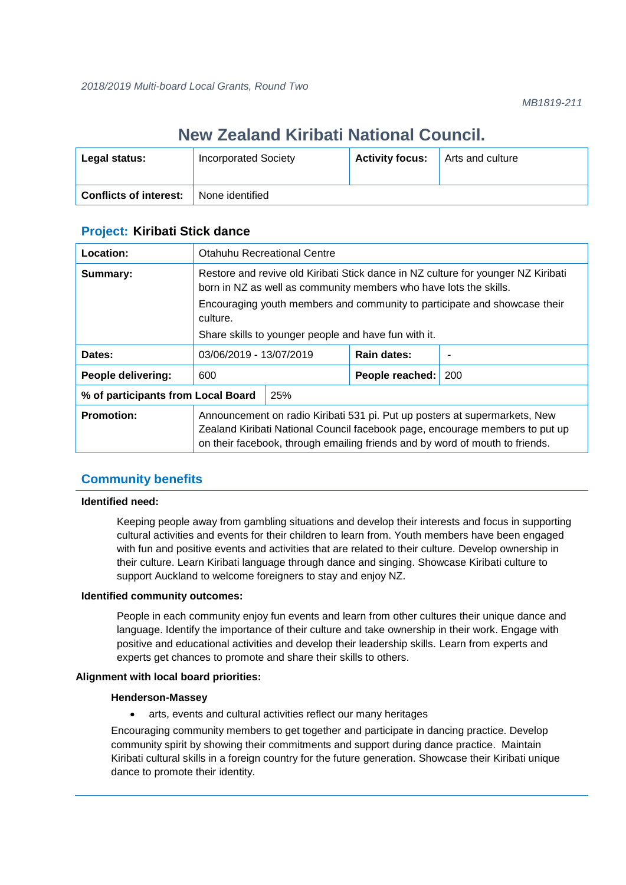# **New Zealand Kiribati National Council.**

| Legal status:                 | <b>Incorporated Society</b> | <b>Activity focus:</b> | Arts and culture |
|-------------------------------|-----------------------------|------------------------|------------------|
| <b>Conflicts of interest:</b> | None identified             |                        |                  |

### **Project: Kiribati Stick dance**

| Location:                          | <b>Otahuhu Recreational Centre</b>                                                                                                                                                                                                              |                                                                                                                                                                                                                                            |             |  |  |
|------------------------------------|-------------------------------------------------------------------------------------------------------------------------------------------------------------------------------------------------------------------------------------------------|--------------------------------------------------------------------------------------------------------------------------------------------------------------------------------------------------------------------------------------------|-------------|--|--|
| Summary:                           | Restore and revive old Kiribati Stick dance in NZ culture for younger NZ Kiribati<br>born in NZ as well as community members who have lots the skills.<br>Encouraging youth members and community to participate and showcase their<br>culture. |                                                                                                                                                                                                                                            |             |  |  |
|                                    |                                                                                                                                                                                                                                                 | Share skills to younger people and have fun with it.                                                                                                                                                                                       |             |  |  |
| Dates:                             | 03/06/2019 - 13/07/2019                                                                                                                                                                                                                         |                                                                                                                                                                                                                                            | Rain dates: |  |  |
| People delivering:                 | 200<br>600<br>People reached:                                                                                                                                                                                                                   |                                                                                                                                                                                                                                            |             |  |  |
| % of participants from Local Board |                                                                                                                                                                                                                                                 | 25%                                                                                                                                                                                                                                        |             |  |  |
| <b>Promotion:</b>                  |                                                                                                                                                                                                                                                 | Announcement on radio Kiribati 531 pi. Put up posters at supermarkets, New<br>Zealand Kiribati National Council facebook page, encourage members to put up<br>on their facebook, through emailing friends and by word of mouth to friends. |             |  |  |

# **Community benefits**

#### **Identified need:**

Keeping people away from gambling situations and develop their interests and focus in supporting cultural activities and events for their children to learn from. Youth members have been engaged with fun and positive events and activities that are related to their culture. Develop ownership in their culture. Learn Kiribati language through dance and singing. Showcase Kiribati culture to support Auckland to welcome foreigners to stay and enjoy NZ.

#### **Identified community outcomes:**

People in each community enjoy fun events and learn from other cultures their unique dance and language. Identify the importance of their culture and take ownership in their work. Engage with positive and educational activities and develop their leadership skills. Learn from experts and experts get chances to promote and share their skills to others.

#### **Alignment with local board priorities:**

#### **Henderson-Massey**

• arts, events and cultural activities reflect our many heritages

Encouraging community members to get together and participate in dancing practice. Develop community spirit by showing their commitments and support during dance practice. Maintain Kiribati cultural skills in a foreign country for the future generation. Showcase their Kiribati unique dance to promote their identity.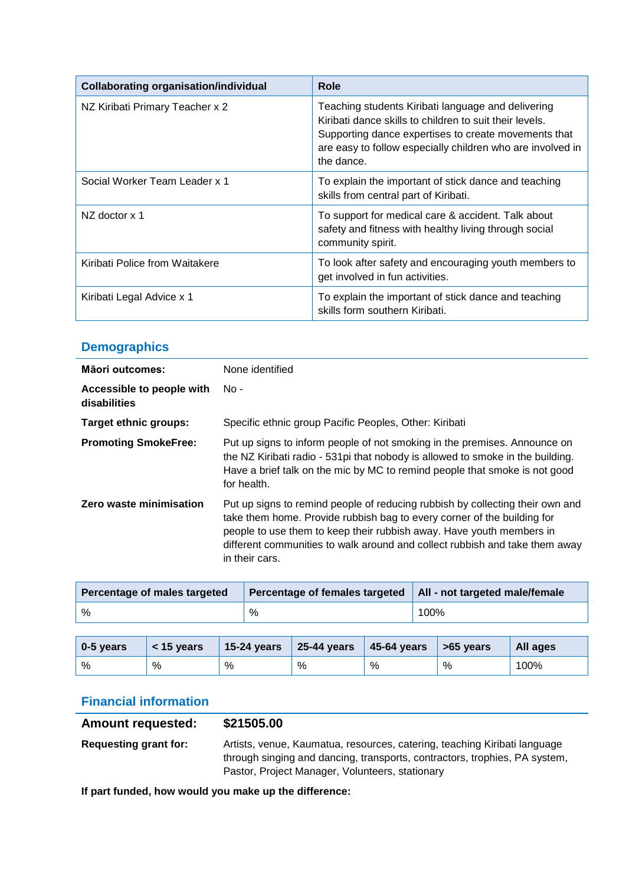| <b>Collaborating organisation/individual</b> | Role                                                                                                                                                                                                                                              |
|----------------------------------------------|---------------------------------------------------------------------------------------------------------------------------------------------------------------------------------------------------------------------------------------------------|
| NZ Kiribati Primary Teacher x 2              | Teaching students Kiribati language and delivering<br>Kiribati dance skills to children to suit their levels.<br>Supporting dance expertises to create movements that<br>are easy to follow especially children who are involved in<br>the dance. |
| Social Worker Team Leader x 1                | To explain the important of stick dance and teaching<br>skills from central part of Kiribati.                                                                                                                                                     |
| NZ doctor x 1                                | To support for medical care & accident. Talk about<br>safety and fitness with healthy living through social<br>community spirit.                                                                                                                  |
| Kiribati Police from Waitakere               | To look after safety and encouraging youth members to<br>get involved in fun activities.                                                                                                                                                          |
| Kiribati Legal Advice x 1                    | To explain the important of stick dance and teaching<br>skills form southern Kiribati.                                                                                                                                                            |

# **Demographics**

| Māori outcomes:                           | None identified                                                                                                                                                                                                                                                                                                                   |
|-------------------------------------------|-----------------------------------------------------------------------------------------------------------------------------------------------------------------------------------------------------------------------------------------------------------------------------------------------------------------------------------|
| Accessible to people with<br>disabilities | $No -$                                                                                                                                                                                                                                                                                                                            |
| <b>Target ethnic groups:</b>              | Specific ethnic group Pacific Peoples, Other: Kiribati                                                                                                                                                                                                                                                                            |
| <b>Promoting SmokeFree:</b>               | Put up signs to inform people of not smoking in the premises. Announce on<br>the NZ Kiribati radio - 531pi that nobody is allowed to smoke in the building.<br>Have a brief talk on the mic by MC to remind people that smoke is not good<br>for health.                                                                          |
| Zero waste minimisation                   | Put up signs to remind people of reducing rubbish by collecting their own and<br>take them home. Provide rubbish bag to every corner of the building for<br>people to use them to keep their rubbish away. Have youth members in<br>different communities to walk around and collect rubbish and take them away<br>in their cars. |

| Percentage of males targeted | Percentage of females targeted   All - not targeted male/female |      |
|------------------------------|-----------------------------------------------------------------|------|
| %                            | %                                                               | 100% |

| 0-5 years | $<$ 15 years | 15-24 years | $\vert$ 25-44 years | $\vert$ 45-64 years $\vert$ >65 years |   | All ages |
|-----------|--------------|-------------|---------------------|---------------------------------------|---|----------|
| %         | %            | $\%$        | %                   | %                                     | % | 100%     |

# **Financial information**

| <b>Amount requested:</b> | \$21505.00                                                                                                                                                                                                 |
|--------------------------|------------------------------------------------------------------------------------------------------------------------------------------------------------------------------------------------------------|
| Requesting grant for:    | Artists, venue, Kaumatua, resources, catering, teaching Kiribati language<br>through singing and dancing, transports, contractors, trophies, PA system,<br>Pastor, Project Manager, Volunteers, stationary |

**If part funded, how would you make up the difference:**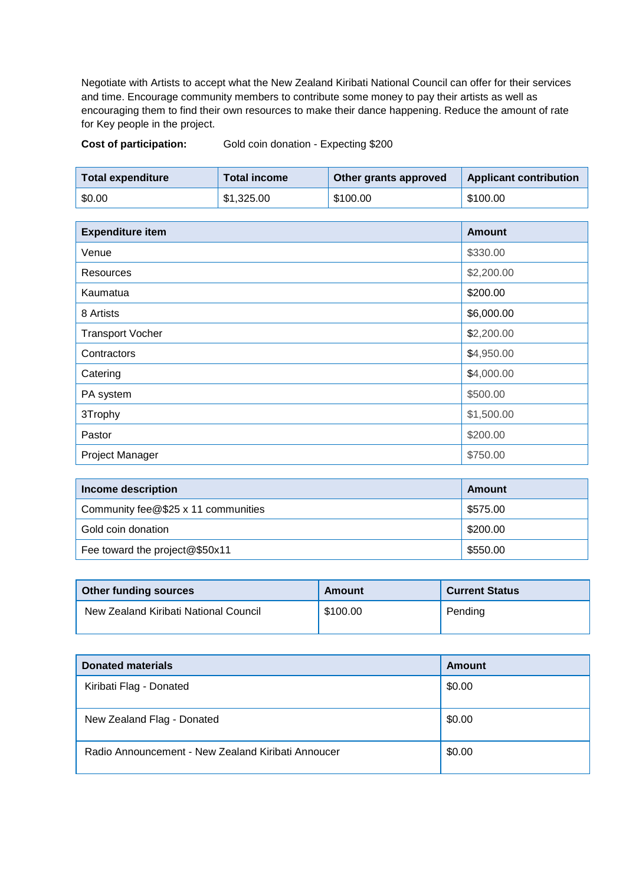Negotiate with Artists to accept what the New Zealand Kiribati National Council can offer for their services and time. Encourage community members to contribute some money to pay their artists as well as encouraging them to find their own resources to make their dance happening. Reduce the amount of rate for Key people in the project.

**Cost of participation:** Gold coin donation - Expecting \$200

| <b>Total expenditure</b> | Total income | Other grants approved | <b>Applicant contribution</b> |
|--------------------------|--------------|-----------------------|-------------------------------|
| \$0.00                   | \$1,325.00   | \$100.00              | \$100.00                      |

| <b>Expenditure item</b> | <b>Amount</b> |
|-------------------------|---------------|
| Venue                   | \$330.00      |
| <b>Resources</b>        | \$2,200.00    |
| Kaumatua                | \$200.00      |
| 8 Artists               | \$6,000.00    |
| <b>Transport Vocher</b> | \$2,200.00    |
| Contractors             | \$4,950.00    |
| Catering                | \$4,000.00    |
| PA system               | \$500.00      |
| 3Trophy                 | \$1,500.00    |
| Pastor                  | \$200.00      |
| Project Manager         | \$750.00      |

| Income description                  | Amount   |
|-------------------------------------|----------|
| Community fee@\$25 x 11 communities | \$575.00 |
| Gold coin donation                  | \$200.00 |
| Fee toward the project@\$50x11      | \$550.00 |

| <b>Other funding sources</b>          | Amount   | <b>Current Status</b> |
|---------------------------------------|----------|-----------------------|
| New Zealand Kiribati National Council | \$100.00 | Pending               |

| <b>Donated materials</b>                           | Amount |
|----------------------------------------------------|--------|
| Kiribati Flag - Donated                            | \$0.00 |
| New Zealand Flag - Donated                         | \$0.00 |
| Radio Announcement - New Zealand Kiribati Annoucer | \$0.00 |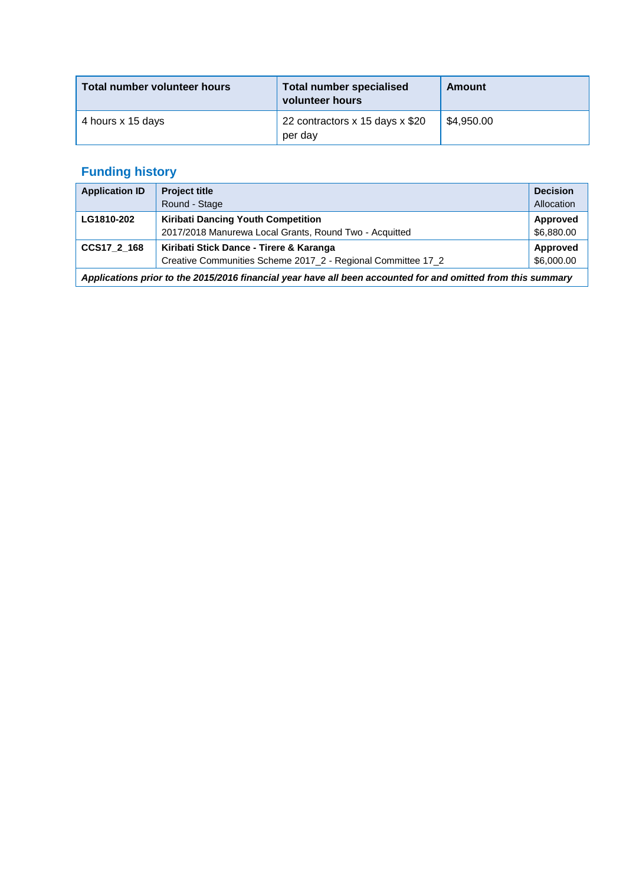| Total number volunteer hours | <b>Total number specialised</b><br>volunteer hours | Amount     |
|------------------------------|----------------------------------------------------|------------|
| 4 hours x 15 days            | 22 contractors x 15 days x \$20<br>per day         | \$4,950.00 |

| <b>Application ID</b>                                                                                        | <b>Project title</b><br>Round - Stage                                                                   | <b>Decision</b><br>Allocation |
|--------------------------------------------------------------------------------------------------------------|---------------------------------------------------------------------------------------------------------|-------------------------------|
| LG1810-202                                                                                                   | Kiribati Dancing Youth Competition<br>2017/2018 Manurewa Local Grants, Round Two - Acquitted            | Approved<br>\$6,880.00        |
| CCS17 2 168                                                                                                  | Kiribati Stick Dance - Tirere & Karanga<br>Creative Communities Scheme 2017_2 - Regional Committee 17_2 | Approved<br>\$6,000.00        |
| Applications prior to the 2015/2016 financial year have all been accounted for and omitted from this summary |                                                                                                         |                               |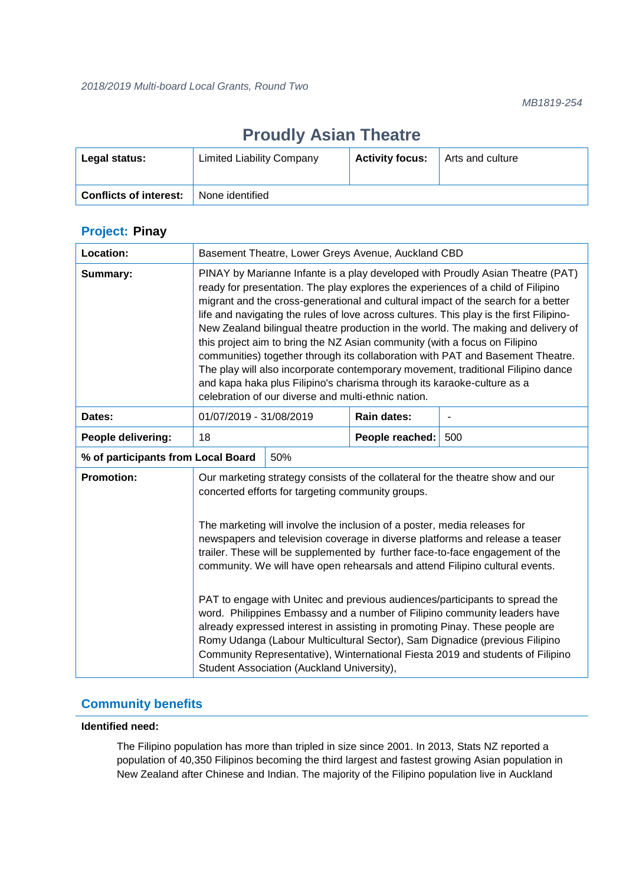# **Proudly Asian Theatre**

| Legal status:                 | <b>Limited Liability Company</b> | <b>Activity focus:</b> | Arts and culture |
|-------------------------------|----------------------------------|------------------------|------------------|
| <b>Conflicts of interest:</b> | None identified                  |                        |                  |

# **Project: Pinay**

| Location:                                 | Basement Theatre, Lower Greys Avenue, Auckland CBD                                                                                                                                                                                                                                                                                                                                                                                                                                                                                                                                                                                                                                                                                                                                                                                                                                                                          |  |                    |     |
|-------------------------------------------|-----------------------------------------------------------------------------------------------------------------------------------------------------------------------------------------------------------------------------------------------------------------------------------------------------------------------------------------------------------------------------------------------------------------------------------------------------------------------------------------------------------------------------------------------------------------------------------------------------------------------------------------------------------------------------------------------------------------------------------------------------------------------------------------------------------------------------------------------------------------------------------------------------------------------------|--|--------------------|-----|
| Summary:                                  | PINAY by Marianne Infante is a play developed with Proudly Asian Theatre (PAT)<br>ready for presentation. The play explores the experiences of a child of Filipino<br>migrant and the cross-generational and cultural impact of the search for a better<br>life and navigating the rules of love across cultures. This play is the first Filipino-<br>New Zealand bilingual theatre production in the world. The making and delivery of<br>this project aim to bring the NZ Asian community (with a focus on Filipino<br>communities) together through its collaboration with PAT and Basement Theatre.<br>The play will also incorporate contemporary movement, traditional Filipino dance<br>and kapa haka plus Filipino's charisma through its karaoke-culture as a<br>celebration of our diverse and multi-ethnic nation.                                                                                               |  |                    |     |
| Dates:                                    | 01/07/2019 - 31/08/2019                                                                                                                                                                                                                                                                                                                                                                                                                                                                                                                                                                                                                                                                                                                                                                                                                                                                                                     |  | <b>Rain dates:</b> |     |
| People delivering:                        | 18                                                                                                                                                                                                                                                                                                                                                                                                                                                                                                                                                                                                                                                                                                                                                                                                                                                                                                                          |  | People reached:    | 500 |
| % of participants from Local Board<br>50% |                                                                                                                                                                                                                                                                                                                                                                                                                                                                                                                                                                                                                                                                                                                                                                                                                                                                                                                             |  |                    |     |
| <b>Promotion:</b>                         | Our marketing strategy consists of the collateral for the theatre show and our<br>concerted efforts for targeting community groups.<br>The marketing will involve the inclusion of a poster, media releases for<br>newspapers and television coverage in diverse platforms and release a teaser<br>trailer. These will be supplemented by further face-to-face engagement of the<br>community. We will have open rehearsals and attend Filipino cultural events.<br>PAT to engage with Unitec and previous audiences/participants to spread the<br>word. Philippines Embassy and a number of Filipino community leaders have<br>already expressed interest in assisting in promoting Pinay. These people are<br>Romy Udanga (Labour Multicultural Sector), Sam Dignadice (previous Filipino<br>Community Representative), Winternational Fiesta 2019 and students of Filipino<br>Student Association (Auckland University), |  |                    |     |

# **Community benefits**

### **Identified need:**

The Filipino population has more than tripled in size since 2001. In 2013, Stats NZ reported a population of 40,350 Filipinos becoming the third largest and fastest growing Asian population in New Zealand after Chinese and Indian. The majority of the Filipino population live in Auckland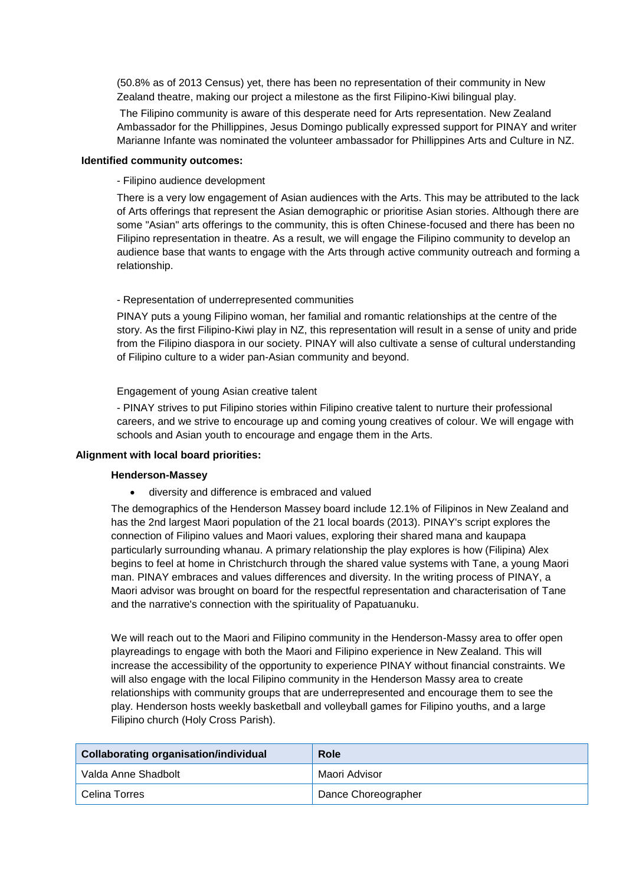(50.8% as of 2013 Census) yet, there has been no representation of their community in New Zealand theatre, making our project a milestone as the first Filipino-Kiwi bilingual play.

The Filipino community is aware of this desperate need for Arts representation. New Zealand Ambassador for the Phillippines, Jesus Domingo publically expressed support for PINAY and writer Marianne Infante was nominated the volunteer ambassador for Phillippines Arts and Culture in NZ.

#### **Identified community outcomes:**

- Filipino audience development

There is a very low engagement of Asian audiences with the Arts. This may be attributed to the lack of Arts offerings that represent the Asian demographic or prioritise Asian stories. Although there are some "Asian" arts offerings to the community, this is often Chinese-focused and there has been no Filipino representation in theatre. As a result, we will engage the Filipino community to develop an audience base that wants to engage with the Arts through active community outreach and forming a relationship.

#### - Representation of underrepresented communities

PINAY puts a young Filipino woman, her familial and romantic relationships at the centre of the story. As the first Filipino-Kiwi play in NZ, this representation will result in a sense of unity and pride from the Filipino diaspora in our society. PINAY will also cultivate a sense of cultural understanding of Filipino culture to a wider pan-Asian community and beyond.

Engagement of young Asian creative talent

- PINAY strives to put Filipino stories within Filipino creative talent to nurture their professional careers, and we strive to encourage up and coming young creatives of colour. We will engage with schools and Asian youth to encourage and engage them in the Arts.

#### **Alignment with local board priorities:**

#### **Henderson-Massey**

• diversity and difference is embraced and valued

The demographics of the Henderson Massey board include 12.1% of Filipinos in New Zealand and has the 2nd largest Maori population of the 21 local boards (2013). PINAY's script explores the connection of Filipino values and Maori values, exploring their shared mana and kaupapa particularly surrounding whanau. A primary relationship the play explores is how (Filipina) Alex begins to feel at home in Christchurch through the shared value systems with Tane, a young Maori man. PINAY embraces and values differences and diversity. In the writing process of PINAY, a Maori advisor was brought on board for the respectful representation and characterisation of Tane and the narrative's connection with the spirituality of Papatuanuku.

We will reach out to the Maori and Filipino community in the Henderson-Massy area to offer open playreadings to engage with both the Maori and Filipino experience in New Zealand. This will increase the accessibility of the opportunity to experience PINAY without financial constraints. We will also engage with the local Filipino community in the Henderson Massy area to create relationships with community groups that are underrepresented and encourage them to see the play. Henderson hosts weekly basketball and volleyball games for Filipino youths, and a large Filipino church (Holy Cross Parish).

| <b>Collaborating organisation/individual</b> | Role                |
|----------------------------------------------|---------------------|
| Valda Anne Shadbolt                          | Maori Advisor       |
| ' Celina Torres                              | Dance Choreographer |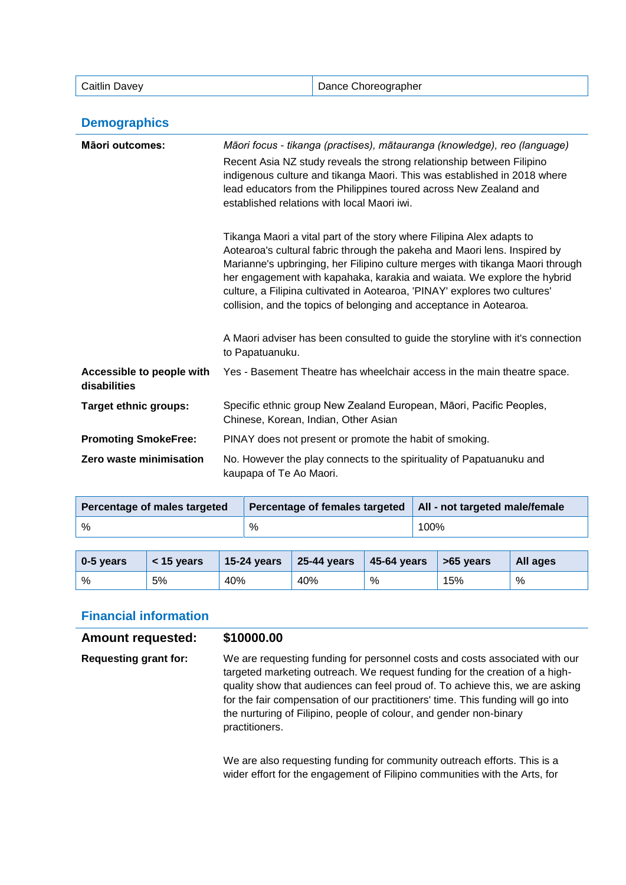# **Demographics**

| <b>Māori outcomes:</b>                    | Māori focus - tikanga (practises), mātauranga (knowledge), reo (language)                                                                                                                                                                                                                                                                                                                                                                                          |
|-------------------------------------------|--------------------------------------------------------------------------------------------------------------------------------------------------------------------------------------------------------------------------------------------------------------------------------------------------------------------------------------------------------------------------------------------------------------------------------------------------------------------|
|                                           | Recent Asia NZ study reveals the strong relationship between Filipino<br>indigenous culture and tikanga Maori. This was established in 2018 where<br>lead educators from the Philippines toured across New Zealand and<br>established relations with local Maori iwi.                                                                                                                                                                                              |
|                                           | Tikanga Maori a vital part of the story where Filipina Alex adapts to<br>Aotearoa's cultural fabric through the pakeha and Maori lens. Inspired by<br>Marianne's upbringing, her Filipino culture merges with tikanga Maori through<br>her engagement with kapahaka, karakia and waiata. We explore the hybrid<br>culture, a Filipina cultivated in Aotearoa, 'PINAY' explores two cultures'<br>collision, and the topics of belonging and acceptance in Aotearoa. |
|                                           | A Maori adviser has been consulted to guide the storyline with it's connection<br>to Papatuanuku.                                                                                                                                                                                                                                                                                                                                                                  |
| Accessible to people with<br>disabilities | Yes - Basement Theatre has wheelchair access in the main theatre space.                                                                                                                                                                                                                                                                                                                                                                                            |
| <b>Target ethnic groups:</b>              | Specific ethnic group New Zealand European, Māori, Pacific Peoples,<br>Chinese, Korean, Indian, Other Asian                                                                                                                                                                                                                                                                                                                                                        |
| <b>Promoting SmokeFree:</b>               | PINAY does not present or promote the habit of smoking.                                                                                                                                                                                                                                                                                                                                                                                                            |
| Zero waste minimisation                   | No. However the play connects to the spirituality of Papatuanuku and<br>kaupapa of Te Ao Maori.                                                                                                                                                                                                                                                                                                                                                                    |

| Percentage of males targeted | Percentage of females targeted | All - not targeted male/female |
|------------------------------|--------------------------------|--------------------------------|
| %                            | %                              | 100%                           |

| 0-5 years | $<$ 15 vears | 15-24 years 25-44 years |     | $\vert$ 45-64 years | $\vert$ >65 years | All ages |
|-----------|--------------|-------------------------|-----|---------------------|-------------------|----------|
| %         | 5%           | 40%                     | 40% | %                   | 15%               | %        |

# **Financial information**

| <b>Amount requested:</b>     | \$10000.00                                                                                                                                                                                                                                                                                                                                                                                                             |
|------------------------------|------------------------------------------------------------------------------------------------------------------------------------------------------------------------------------------------------------------------------------------------------------------------------------------------------------------------------------------------------------------------------------------------------------------------|
| <b>Requesting grant for:</b> | We are requesting funding for personnel costs and costs associated with our<br>targeted marketing outreach. We request funding for the creation of a high-<br>quality show that audiences can feel proud of. To achieve this, we are asking<br>for the fair compensation of our practitioners' time. This funding will go into<br>the nurturing of Filipino, people of colour, and gender non-binary<br>practitioners. |

We are also requesting funding for community outreach efforts. This is a wider effort for the engagement of Filipino communities with the Arts, for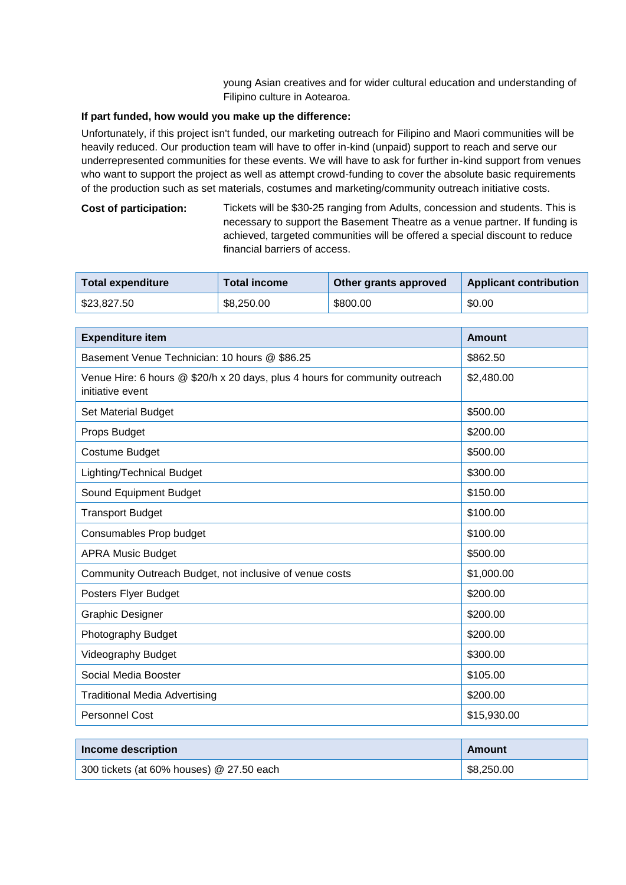young Asian creatives and for wider cultural education and understanding of Filipino culture in Aotearoa.

#### **If part funded, how would you make up the difference:**

Unfortunately, if this project isn't funded, our marketing outreach for Filipino and Maori communities will be heavily reduced. Our production team will have to offer in-kind (unpaid) support to reach and serve our underrepresented communities for these events. We will have to ask for further in-kind support from venues who want to support the project as well as attempt crowd-funding to cover the absolute basic requirements of the production such as set materials, costumes and marketing/community outreach initiative costs.

**Cost of participation:** Tickets will be \$30-25 ranging from Adults, concession and students. This is necessary to support the Basement Theatre as a venue partner. If funding is achieved, targeted communities will be offered a special discount to reduce financial barriers of access.

| <b>Total expenditure</b> | Total income | Other grants approved | <b>Applicant contribution</b> |
|--------------------------|--------------|-----------------------|-------------------------------|
| \$23,827.50              | \$8,250.00   | \$800.00              | \$0.00                        |

| <b>Expenditure item</b>                                                                         | Amount      |
|-------------------------------------------------------------------------------------------------|-------------|
| Basement Venue Technician: 10 hours @ \$86.25                                                   | \$862.50    |
| Venue Hire: 6 hours @ \$20/h x 20 days, plus 4 hours for community outreach<br>initiative event | \$2,480.00  |
| Set Material Budget                                                                             | \$500.00    |
| Props Budget                                                                                    | \$200.00    |
| Costume Budget                                                                                  | \$500.00    |
| Lighting/Technical Budget                                                                       | \$300.00    |
| Sound Equipment Budget                                                                          | \$150.00    |
| <b>Transport Budget</b>                                                                         | \$100.00    |
| Consumables Prop budget                                                                         | \$100.00    |
| <b>APRA Music Budget</b>                                                                        | \$500.00    |
| Community Outreach Budget, not inclusive of venue costs                                         | \$1,000.00  |
| Posters Flyer Budget                                                                            | \$200.00    |
| <b>Graphic Designer</b>                                                                         | \$200.00    |
| Photography Budget                                                                              | \$200.00    |
| Videography Budget                                                                              | \$300.00    |
| Social Media Booster                                                                            | \$105.00    |
| <b>Traditional Media Advertising</b>                                                            | \$200.00    |
| <b>Personnel Cost</b>                                                                           | \$15,930.00 |

| Income description                       | Amount     |
|------------------------------------------|------------|
| 300 tickets (at 60% houses) @ 27.50 each | \$8,250.00 |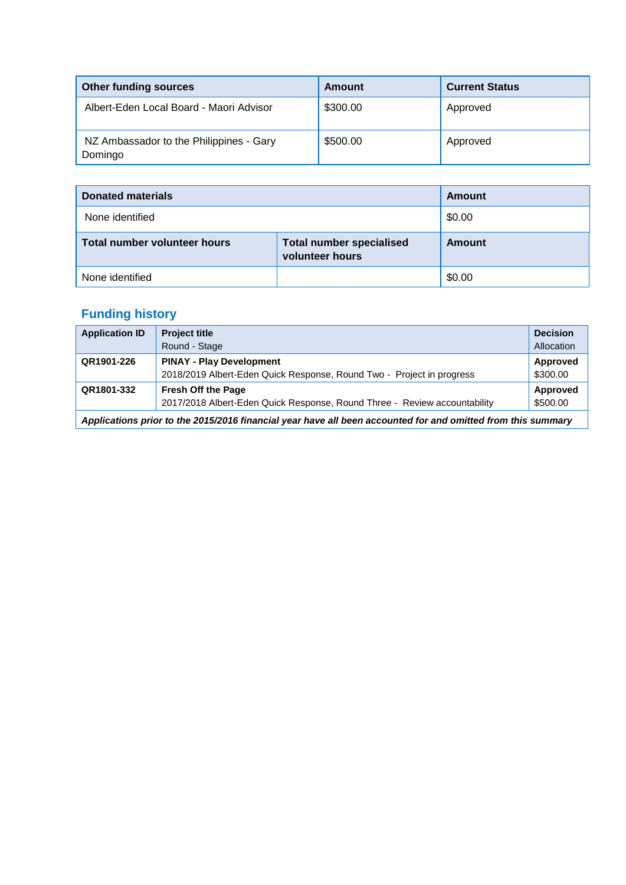| Other funding sources                              | Amount   | <b>Current Status</b> |
|----------------------------------------------------|----------|-----------------------|
| Albert-Eden Local Board - Maori Advisor            | \$300.00 | Approved              |
| NZ Ambassador to the Philippines - Gary<br>Domingo | \$500.00 | Approved              |

| <b>Donated materials</b>     | Amount                                             |        |
|------------------------------|----------------------------------------------------|--------|
| None identified              | \$0.00                                             |        |
| Total number volunteer hours | <b>Total number specialised</b><br>volunteer hours | Amount |
| None identified              |                                                    | \$0.00 |

| <b>Application ID</b> | <b>Project title</b>                                                                                         | <b>Decision</b> |
|-----------------------|--------------------------------------------------------------------------------------------------------------|-----------------|
|                       | Round - Stage                                                                                                | Allocation      |
| QR1901-226            | <b>PINAY - Play Development</b>                                                                              | Approved        |
|                       | 2018/2019 Albert-Eden Quick Response, Round Two - Project in progress                                        | \$300.00        |
| QR1801-332            | <b>Fresh Off the Page</b>                                                                                    | Approved        |
|                       | 2017/2018 Albert-Eden Quick Response, Round Three - Review accountability                                    | \$500.00        |
|                       | Applications prior to the 2015/2016 financial year have all been accounted for and omitted from this summary |                 |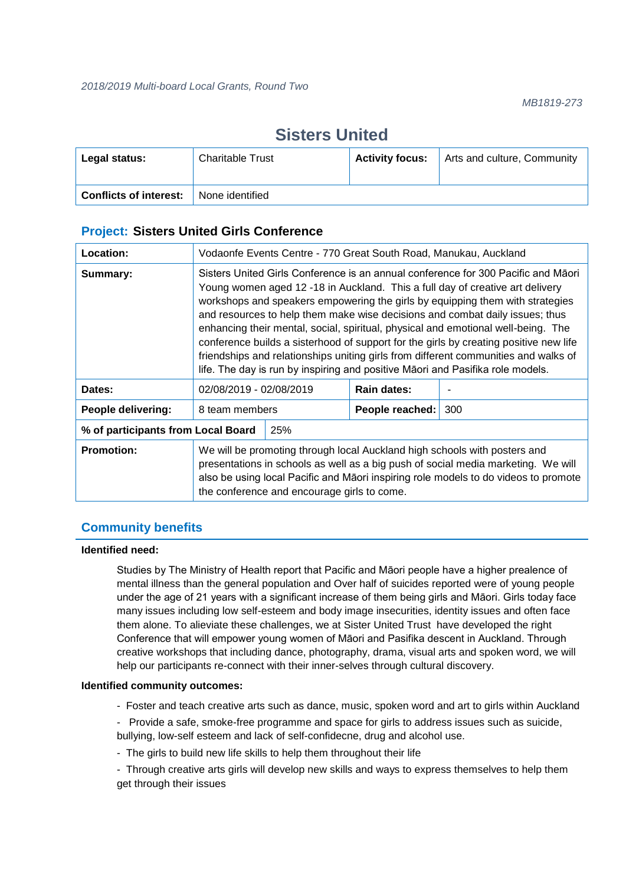# **Sisters United**

| Legal status:                 | <b>Charitable Trust</b> | <b>Activity focus:</b> | Arts and culture, Community |
|-------------------------------|-------------------------|------------------------|-----------------------------|
| <b>Conflicts of interest:</b> | None identified         |                        |                             |

### **Project: Sisters United Girls Conference**

| Location:                          | Vodaonfe Events Centre - 770 Great South Road, Manukau, Auckland                                                                                                                                                                                                                                                                                                                                                                                                                                                                                                                                                                                                                           |     |                 |     |
|------------------------------------|--------------------------------------------------------------------------------------------------------------------------------------------------------------------------------------------------------------------------------------------------------------------------------------------------------------------------------------------------------------------------------------------------------------------------------------------------------------------------------------------------------------------------------------------------------------------------------------------------------------------------------------------------------------------------------------------|-----|-----------------|-----|
| Summary:                           | Sisters United Girls Conference is an annual conference for 300 Pacific and Māori<br>Young women aged 12 -18 in Auckland. This a full day of creative art delivery<br>workshops and speakers empowering the girls by equipping them with strategies<br>and resources to help them make wise decisions and combat daily issues; thus<br>enhancing their mental, social, spiritual, physical and emotional well-being. The<br>conference builds a sisterhood of support for the girls by creating positive new life<br>friendships and relationships uniting girls from different communities and walks of<br>life. The day is run by inspiring and positive Māori and Pasifika role models. |     |                 |     |
| Dates:                             | 02/08/2019 - 02/08/2019                                                                                                                                                                                                                                                                                                                                                                                                                                                                                                                                                                                                                                                                    |     | Rain dates:     |     |
| People delivering:                 | 8 team members                                                                                                                                                                                                                                                                                                                                                                                                                                                                                                                                                                                                                                                                             |     | People reached: | 300 |
| % of participants from Local Board |                                                                                                                                                                                                                                                                                                                                                                                                                                                                                                                                                                                                                                                                                            | 25% |                 |     |
| <b>Promotion:</b>                  | We will be promoting through local Auckland high schools with posters and<br>presentations in schools as well as a big push of social media marketing. We will<br>also be using local Pacific and Māori inspiring role models to do videos to promote<br>the conference and encourage girls to come.                                                                                                                                                                                                                                                                                                                                                                                       |     |                 |     |

# **Community benefits**

#### **Identified need:**

Studies by The Ministry of Health report that Pacific and Māori people have a higher prealence of mental illness than the general population and Over half of suicides reported were of young people under the age of 21 years with a significant increase of them being girls and Māori. Girls today face many issues including low self-esteem and body image insecurities, identity issues and often face them alone. To alieviate these challenges, we at Sister United Trust have developed the right Conference that will empower young women of Māori and Pasifika descent in Auckland. Through creative workshops that including dance, photography, drama, visual arts and spoken word, we will help our participants re-connect with their inner-selves through cultural discovery.

#### **Identified community outcomes:**

- Foster and teach creative arts such as dance, music, spoken word and art to girls within Auckland
- Provide a safe, smoke-free programme and space for girls to address issues such as suicide,

bullying, low-self esteem and lack of self-confidecne, drug and alcohol use.

- The girls to build new life skills to help them throughout their life
- Through creative arts girls will develop new skills and ways to express themselves to help them get through their issues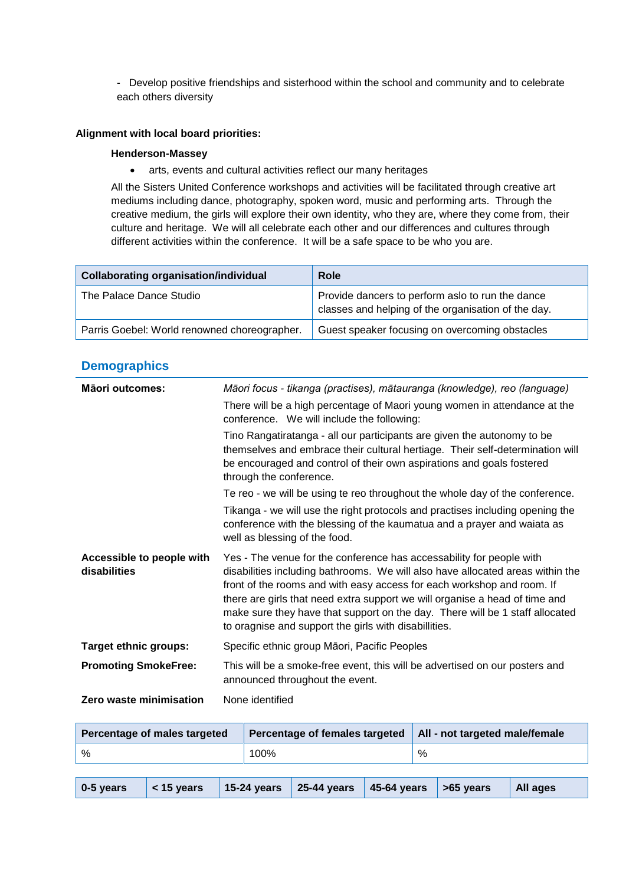- Develop positive friendships and sisterhood within the school and community and to celebrate each others diversity

#### **Alignment with local board priorities:**

#### **Henderson-Massey**

• arts, events and cultural activities reflect our many heritages

All the Sisters United Conference workshops and activities will be facilitated through creative art mediums including dance, photography, spoken word, music and performing arts. Through the creative medium, the girls will explore their own identity, who they are, where they come from, their culture and heritage. We will all celebrate each other and our differences and cultures through different activities within the conference. It will be a safe space to be who you are.

| <b>Collaborating organisation/individual</b> | <b>Role</b>                                                                                             |
|----------------------------------------------|---------------------------------------------------------------------------------------------------------|
| The Palace Dance Studio                      | Provide dancers to perform aslo to run the dance<br>classes and helping of the organisation of the day. |
| Parris Goebel: World renowned choreographer. | Guest speaker focusing on overcoming obstacles                                                          |

### **Demographics**

| Māori outcomes:                           | Māori focus - tikanga (practises), mātauranga (knowledge), reo (language)                                                                                                                                                                                                                                                                                                                                                                                |
|-------------------------------------------|----------------------------------------------------------------------------------------------------------------------------------------------------------------------------------------------------------------------------------------------------------------------------------------------------------------------------------------------------------------------------------------------------------------------------------------------------------|
|                                           | There will be a high percentage of Maori young women in attendance at the<br>conference. We will include the following:                                                                                                                                                                                                                                                                                                                                  |
|                                           | Tino Rangatiratanga - all our participants are given the autonomy to be<br>themselves and embrace their cultural hertiage. Their self-determination will<br>be encouraged and control of their own aspirations and goals fostered<br>through the conference.                                                                                                                                                                                             |
|                                           | Te reo - we will be using te reo throughout the whole day of the conference.                                                                                                                                                                                                                                                                                                                                                                             |
|                                           | Tikanga - we will use the right protocols and practises including opening the<br>conference with the blessing of the kaumatua and a prayer and waiata as<br>well as blessing of the food.                                                                                                                                                                                                                                                                |
| Accessible to people with<br>disabilities | Yes - The venue for the conference has accessability for people with<br>disabilities including bathrooms. We will also have allocated areas within the<br>front of the rooms and with easy access for each workshop and room. If<br>there are girls that need extra support we will organise a head of time and<br>make sure they have that support on the day. There will be 1 staff allocated<br>to oragnise and support the girls with disabillities. |
| <b>Target ethnic groups:</b>              | Specific ethnic group Māori, Pacific Peoples                                                                                                                                                                                                                                                                                                                                                                                                             |
| <b>Promoting SmokeFree:</b>               | This will be a smoke-free event, this will be advertised on our posters and<br>announced throughout the event.                                                                                                                                                                                                                                                                                                                                           |
| Zero waste minimisation                   | None identified                                                                                                                                                                                                                                                                                                                                                                                                                                          |

|             | Percentage of males targeted |               | Percentage of females targeted |             | All - not targeted male/female |  |          |
|-------------|------------------------------|---------------|--------------------------------|-------------|--------------------------------|--|----------|
| %           | 100%<br>%                    |               |                                |             |                                |  |          |
|             |                              |               |                                |             |                                |  |          |
| $0-5$ years | $<$ 15 years                 | $15-24$ years | 25-44 years                    | 45-64 years | >65 vears                      |  | All ages |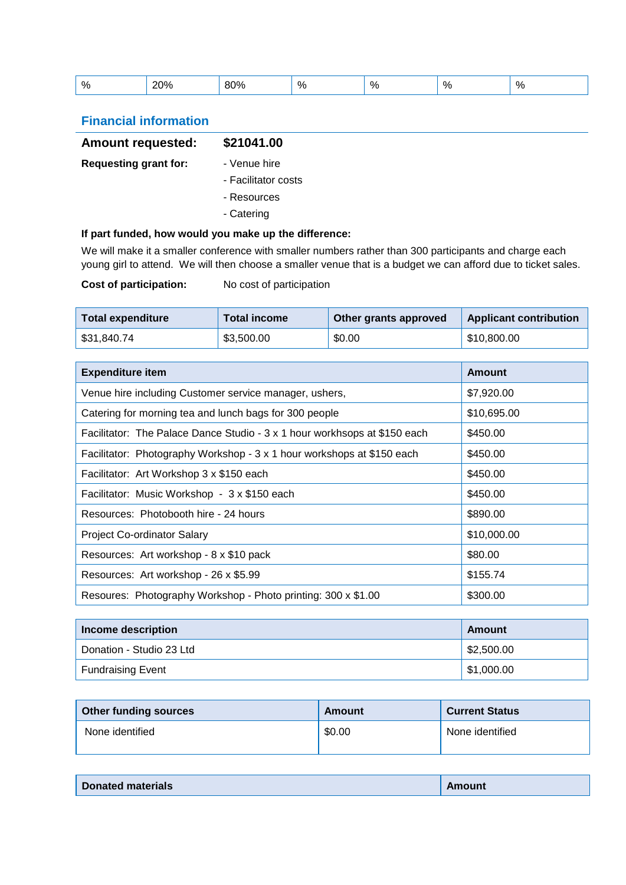| $\mathsf{o}_k$ | 200'<br>-- | <b>ዓ</b> በ‰<br>oυ | $\mathsf{o}_\mathsf{A}$ | Ω,<br>"∕o | % | $\mathsf{o}_\mathsf{A}$ |
|----------------|------------|-------------------|-------------------------|-----------|---|-------------------------|
|----------------|------------|-------------------|-------------------------|-----------|---|-------------------------|

### **Financial information**

| <b>Amount requested:</b>     | \$21041.00          |
|------------------------------|---------------------|
| <b>Requesting grant for:</b> | - Venue hire        |
|                              | - Facilitator costs |
|                              | - Resources         |
|                              | - Catering          |

#### **If part funded, how would you make up the difference:**

We will make it a smaller conference with smaller numbers rather than 300 participants and charge each young girl to attend. We will then choose a smaller venue that is a budget we can afford due to ticket sales.

### **Cost of participation:** No cost of participation

| <b>Total expenditure</b> | Total income | Other grants approved | <b>Applicant contribution</b> |
|--------------------------|--------------|-----------------------|-------------------------------|
| \$31,840.74              | \$3,500.00   | \$0.00                | \$10,800.00                   |

| <b>Expenditure item</b>                                                   | <b>Amount</b> |
|---------------------------------------------------------------------------|---------------|
| Venue hire including Customer service manager, ushers,                    | \$7,920.00    |
| Catering for morning tea and lunch bags for 300 people                    | \$10,695.00   |
| Facilitator: The Palace Dance Studio - 3 x 1 hour workhsops at \$150 each | \$450.00      |
| Facilitator: Photography Workshop - 3 x 1 hour workshops at \$150 each    | \$450.00      |
| Facilitator: Art Workshop 3 x \$150 each                                  | \$450.00      |
| Facilitator: Music Workshop - 3 x \$150 each                              | \$450.00      |
| Resources: Photobooth hire - 24 hours                                     | \$890.00      |
| Project Co-ordinator Salary                                               | \$10,000.00   |
| Resources: Art workshop - 8 x \$10 pack                                   | \$80.00       |
| Resources: Art workshop - 26 x \$5.99                                     | \$155.74      |
| Resoures: Photography Workshop - Photo printing: 300 x \$1.00             | \$300.00      |

| Income description       | Amount     |
|--------------------------|------------|
| Donation - Studio 23 Ltd | \$2,500.00 |
| <b>Fundraising Event</b> | \$1,000.00 |

| <b>Other funding sources</b> | Amount | <b>Current Status</b> |
|------------------------------|--------|-----------------------|
| None identified              | \$0.00 | None identified       |

| Amount |
|--------|
|--------|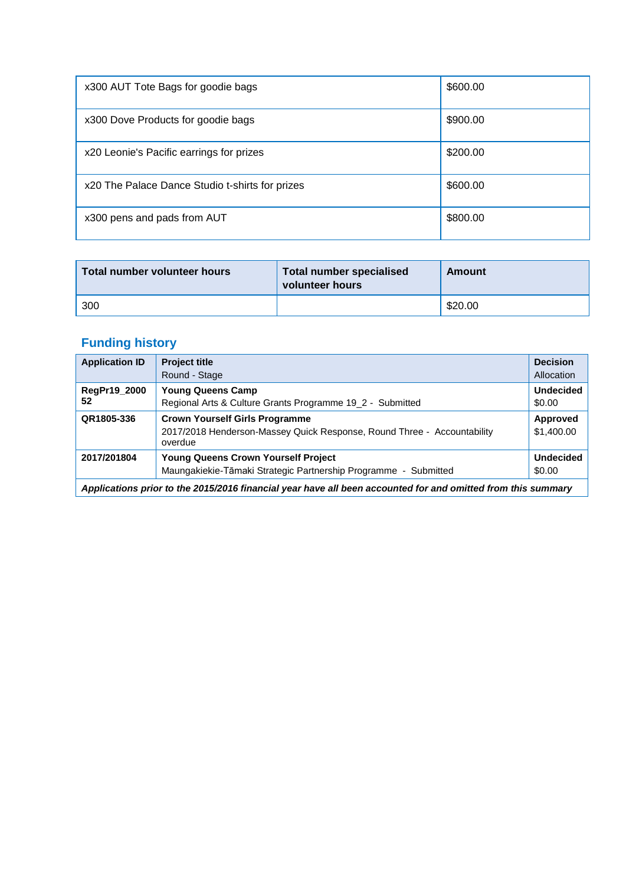| x300 AUT Tote Bags for goodie bags              | \$600.00 |
|-------------------------------------------------|----------|
| x300 Dove Products for goodie bags              | \$900.00 |
| x20 Leonie's Pacific earrings for prizes        | \$200.00 |
| x20 The Palace Dance Studio t-shirts for prizes | \$600.00 |
| x300 pens and pads from AUT                     | \$800.00 |

| Total number volunteer hours | <b>Total number specialised</b><br>volunteer hours | Amount  |
|------------------------------|----------------------------------------------------|---------|
| 300                          |                                                    | \$20.00 |

| <b>Application ID</b>                                                                                        | <b>Project title</b><br>Round - Stage                                                                                       | <b>Decision</b><br>Allocation |
|--------------------------------------------------------------------------------------------------------------|-----------------------------------------------------------------------------------------------------------------------------|-------------------------------|
| RegPr19_2000<br>52                                                                                           | <b>Young Queens Camp</b><br>Regional Arts & Culture Grants Programme 19_2 - Submitted                                       | <b>Undecided</b><br>\$0.00    |
| QR1805-336                                                                                                   | <b>Crown Yourself Girls Programme</b><br>2017/2018 Henderson-Massey Quick Response, Round Three - Accountability<br>overdue | Approved<br>\$1,400.00        |
| 2017/201804                                                                                                  | <b>Young Queens Crown Yourself Project</b><br>Maungakiekie-Tāmaki Strategic Partnership Programme - Submitted               | <b>Undecided</b><br>\$0.00    |
| Applications prior to the 2015/2016 financial year have all been accounted for and omitted from this summary |                                                                                                                             |                               |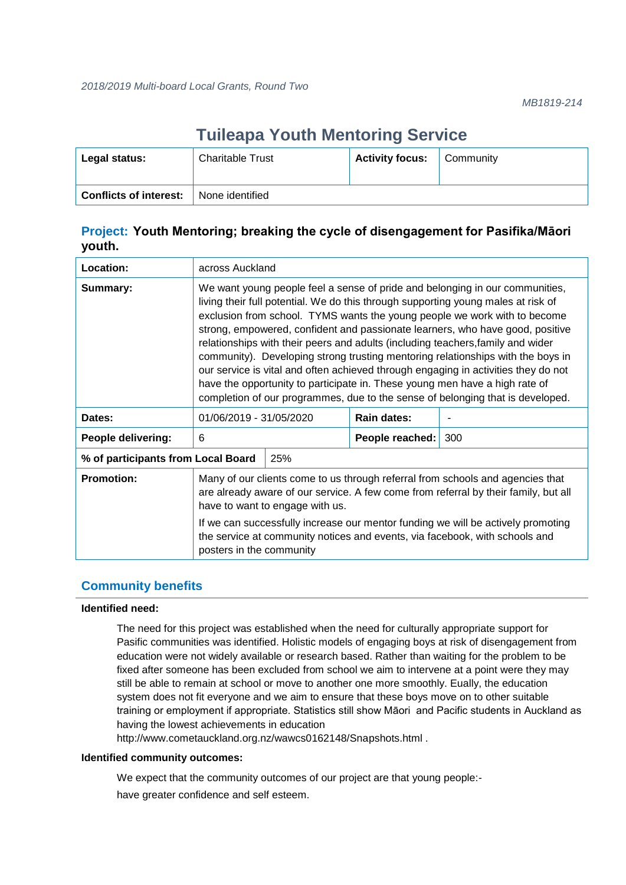# **Tuileapa Youth Mentoring Service**

| Legal status:                 | <b>Charitable Trust</b> | <b>Activity focus:</b> | Community |
|-------------------------------|-------------------------|------------------------|-----------|
| <b>Conflicts of interest:</b> | None identified         |                        |           |

# **Project: Youth Mentoring; breaking the cycle of disengagement for Pasifika/Māori youth.**

| Location:                          |                                                                                                                                                                                                                                                                                                                                                                                                                                                                                                                                                                                                                                                                                                                                                              | across Auckland |                 |     |
|------------------------------------|--------------------------------------------------------------------------------------------------------------------------------------------------------------------------------------------------------------------------------------------------------------------------------------------------------------------------------------------------------------------------------------------------------------------------------------------------------------------------------------------------------------------------------------------------------------------------------------------------------------------------------------------------------------------------------------------------------------------------------------------------------------|-----------------|-----------------|-----|
| Summary:                           | We want young people feel a sense of pride and belonging in our communities,<br>living their full potential. We do this through supporting young males at risk of<br>exclusion from school. TYMS wants the young people we work with to become<br>strong, empowered, confident and passionate learners, who have good, positive<br>relationships with their peers and adults (including teachers, family and wider<br>community). Developing strong trusting mentoring relationships with the boys in<br>our service is vital and often achieved through engaging in activities they do not<br>have the opportunity to participate in. These young men have a high rate of<br>completion of our programmes, due to the sense of belonging that is developed. |                 |                 |     |
| Dates:                             | 01/06/2019 - 31/05/2020                                                                                                                                                                                                                                                                                                                                                                                                                                                                                                                                                                                                                                                                                                                                      |                 | Rain dates:     |     |
| People delivering:                 | 6                                                                                                                                                                                                                                                                                                                                                                                                                                                                                                                                                                                                                                                                                                                                                            |                 | People reached: | 300 |
| % of participants from Local Board | 25%                                                                                                                                                                                                                                                                                                                                                                                                                                                                                                                                                                                                                                                                                                                                                          |                 |                 |     |
| <b>Promotion:</b>                  | Many of our clients come to us through referral from schools and agencies that<br>are already aware of our service. A few come from referral by their family, but all<br>have to want to engage with us.<br>If we can successfully increase our mentor funding we will be actively promoting<br>the service at community notices and events, via facebook, with schools and<br>posters in the community                                                                                                                                                                                                                                                                                                                                                      |                 |                 |     |

# **Community benefits**

#### **Identified need:**

The need for this project was established when the need for culturally appropriate support for Pasific communities was identified. Holistic models of engaging boys at risk of disengagement from education were not widely available or research based. Rather than waiting for the problem to be fixed after someone has been excluded from school we aim to intervene at a point were they may still be able to remain at school or move to another one more smoothly. Eually, the education system does not fit everyone and we aim to ensure that these boys move on to other suitable training or employment if appropriate. Statistics still show Māori and Pacific students in Auckland as having the lowest achievements in education

http://www.cometauckland.org.nz/wawcs0162148/Snapshots.html .

#### **Identified community outcomes:**

We expect that the community outcomes of our project are that young people: have greater confidence and self esteem.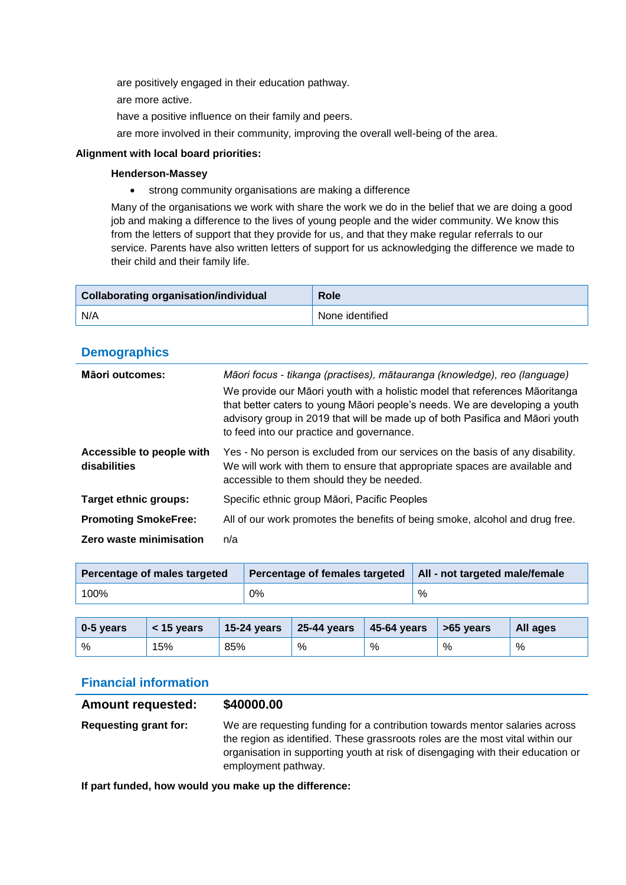are positively engaged in their education pathway.

are more active.

have a positive influence on their family and peers.

are more involved in their community, improving the overall well-being of the area.

### **Alignment with local board priorities:**

#### **Henderson-Massey**

• strong community organisations are making a difference

Many of the organisations we work with share the work we do in the belief that we are doing a good job and making a difference to the lives of young people and the wider community. We know this from the letters of support that they provide for us, and that they make regular referrals to our service. Parents have also written letters of support for us acknowledging the difference we made to their child and their family life.

| <b>Collaborating organisation/individual</b> | <b>Role</b>     |
|----------------------------------------------|-----------------|
| N/A                                          | None identified |

### **Demographics**

| <b>Māori outcomes:</b>                    | Māori focus - tikanga (practises), mātauranga (knowledge), reo (language)<br>We provide our Māori youth with a holistic model that references Mãoritanga<br>that better caters to young Mãori people's needs. We are developing a youth<br>advisory group in 2019 that will be made up of both Pasifica and Māori youth<br>to feed into our practice and governance. |
|-------------------------------------------|----------------------------------------------------------------------------------------------------------------------------------------------------------------------------------------------------------------------------------------------------------------------------------------------------------------------------------------------------------------------|
| Accessible to people with<br>disabilities | Yes - No person is excluded from our services on the basis of any disability.<br>We will work with them to ensure that appropriate spaces are available and<br>accessible to them should they be needed.                                                                                                                                                             |
| <b>Target ethnic groups:</b>              | Specific ethnic group Māori, Pacific Peoples                                                                                                                                                                                                                                                                                                                         |
| <b>Promoting SmokeFree:</b>               | All of our work promotes the benefits of being smoke, alcohol and drug free.                                                                                                                                                                                                                                                                                         |
| Zero waste minimisation                   | n/a                                                                                                                                                                                                                                                                                                                                                                  |

| Percentage of males targeted | Percentage of females targeted   All - not targeted male/female |   |
|------------------------------|-----------------------------------------------------------------|---|
| 100%                         | 0%                                                              | % |

| 0-5 years | $<$ 15 vears | 15-24 years | $\vert$ 25-44 years | $\vert$ 45-64 years | $\sim$ 55 years | <b>All ages</b> |
|-----------|--------------|-------------|---------------------|---------------------|-----------------|-----------------|
| %         | 15%          | 85%         | %                   | %                   | %               | %               |

### **Financial information**

**Amount requested: \$40000.00 Requesting grant for:** We are requesting funding for a contribution towards mentor salaries across the region as identified. These grassroots roles are the most vital within our organisation in supporting youth at risk of disengaging with their education or employment pathway.

**If part funded, how would you make up the difference:**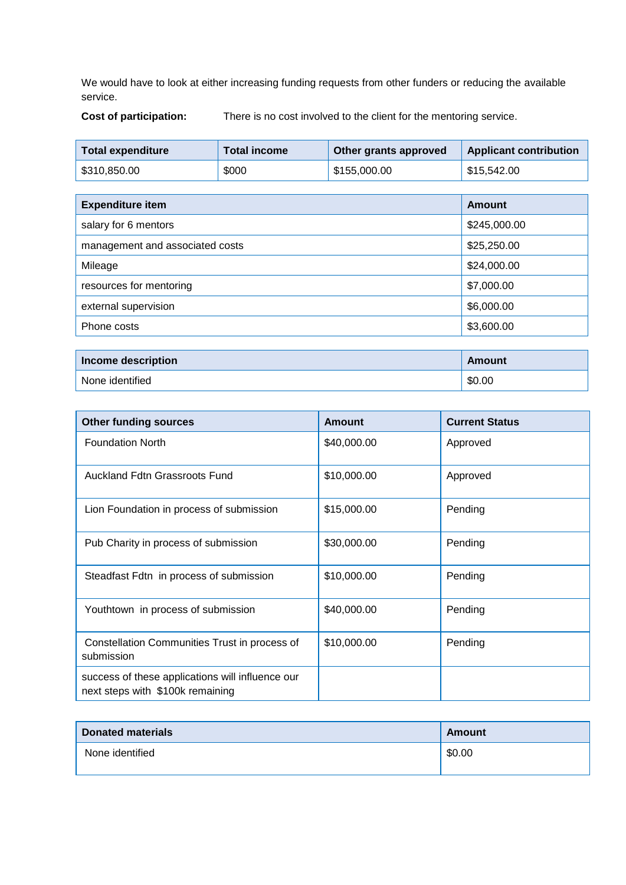We would have to look at either increasing funding requests from other funders or reducing the available service.

**Cost of participation:** There is no cost involved to the client for the mentoring service.

| <b>Total expenditure</b> | Total income | Other grants approved | <b>Applicant contribution</b> |
|--------------------------|--------------|-----------------------|-------------------------------|
| \$310,850.00             | \$000        | \$155,000.00          | \$15,542.00                   |

| <b>Expenditure item</b>         | <b>Amount</b> |
|---------------------------------|---------------|
| salary for 6 mentors            | \$245,000.00  |
| management and associated costs | \$25,250.00   |
| Mileage                         | \$24,000.00   |
| resources for mentoring         | \$7,000.00    |
| external supervision            | \$6,000.00    |
| Phone costs                     | \$3,600.00    |

| Income description | Amount |
|--------------------|--------|
| None identified    | \$0.00 |

| <b>Other funding sources</b>                                                         | Amount      | <b>Current Status</b> |
|--------------------------------------------------------------------------------------|-------------|-----------------------|
| <b>Foundation North</b>                                                              | \$40,000.00 | Approved              |
| Auckland Fdtn Grassroots Fund                                                        | \$10,000.00 | Approved              |
| Lion Foundation in process of submission                                             | \$15,000.00 | Pending               |
| Pub Charity in process of submission                                                 | \$30,000.00 | Pending               |
| Steadfast Fdtn in process of submission                                              | \$10,000.00 | Pending               |
| Youthtown in process of submission                                                   | \$40,000.00 | Pending               |
| Constellation Communities Trust in process of<br>submission                          | \$10,000.00 | Pending               |
| success of these applications will influence our<br>next steps with \$100k remaining |             |                       |

| <b>Donated materials</b> | Amount |
|--------------------------|--------|
| None identified          | \$0.00 |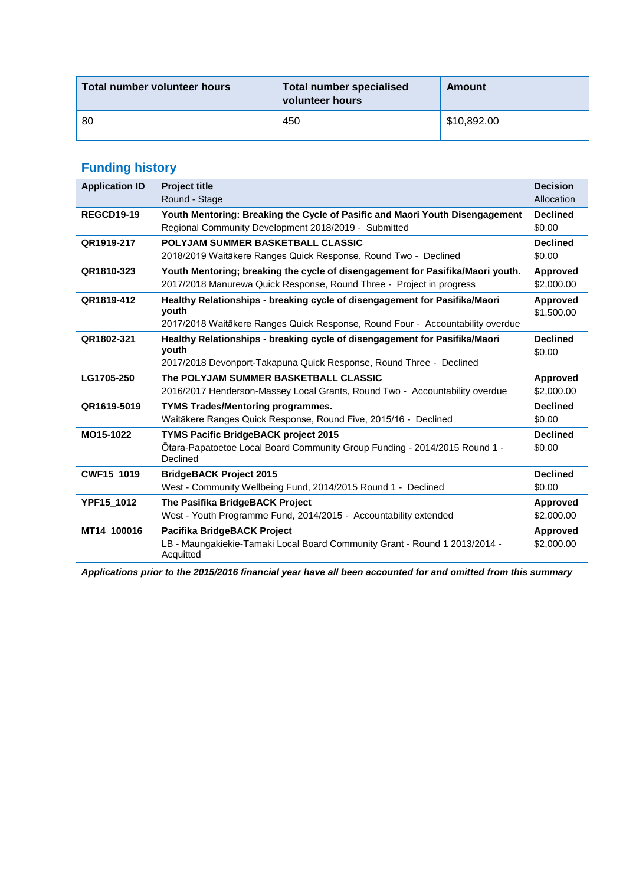| Total number volunteer hours | <b>Total number specialised</b><br>volunteer hours | Amount      |
|------------------------------|----------------------------------------------------|-------------|
| -80                          | 450                                                | \$10,892.00 |

| <b>Application ID</b> | <b>Project title</b><br>Round - Stage                                                                        | <b>Decision</b><br>Allocation |
|-----------------------|--------------------------------------------------------------------------------------------------------------|-------------------------------|
|                       |                                                                                                              |                               |
| <b>REGCD19-19</b>     | Youth Mentoring: Breaking the Cycle of Pasific and Maori Youth Disengagement                                 | <b>Declined</b>               |
|                       | Regional Community Development 2018/2019 - Submitted                                                         | \$0.00                        |
| QR1919-217            | POLYJAM SUMMER BASKETBALL CLASSIC                                                                            | <b>Declined</b>               |
|                       | 2018/2019 Waitākere Ranges Quick Response, Round Two - Declined                                              | \$0.00                        |
| QR1810-323            | Youth Mentoring; breaking the cycle of disengagement for Pasifika/Maori youth.                               | Approved                      |
|                       | 2017/2018 Manurewa Quick Response, Round Three - Project in progress                                         | \$2,000.00                    |
| QR1819-412            | Healthy Relationships - breaking cycle of disengagement for Pasifika/Maori                                   | Approved                      |
|                       | youth                                                                                                        | \$1,500.00                    |
|                       | 2017/2018 Waitākere Ranges Quick Response, Round Four - Accountability overdue                               |                               |
| QR1802-321            | Healthy Relationships - breaking cycle of disengagement for Pasifika/Maori                                   | <b>Declined</b>               |
|                       | youth                                                                                                        | \$0.00                        |
|                       | 2017/2018 Devonport-Takapuna Quick Response, Round Three - Declined                                          |                               |
| LG1705-250            | The POLYJAM SUMMER BASKETBALL CLASSIC                                                                        | Approved                      |
|                       | 2016/2017 Henderson-Massey Local Grants, Round Two - Accountability overdue                                  | \$2,000.00                    |
| QR1619-5019           | <b>TYMS Trades/Mentoring programmes.</b>                                                                     | <b>Declined</b>               |
|                       | Waitākere Ranges Quick Response, Round Five, 2015/16 - Declined                                              | \$0.00                        |
| MO15-1022             | TYMS Pacific BridgeBACK project 2015                                                                         | <b>Declined</b>               |
|                       | Ōtara-Papatoetoe Local Board Community Group Funding - 2014/2015 Round 1 -                                   | \$0.00                        |
|                       | Declined                                                                                                     |                               |
| CWF15_1019            | <b>BridgeBACK Project 2015</b>                                                                               | <b>Declined</b>               |
|                       | West - Community Wellbeing Fund, 2014/2015 Round 1 - Declined                                                | \$0.00                        |
| <b>YPF15 1012</b>     | The Pasifika BridgeBACK Project                                                                              | Approved                      |
|                       | West - Youth Programme Fund, 2014/2015 - Accountability extended                                             | \$2,000.00                    |
| MT14_100016           | Pacifika BridgeBACK Project                                                                                  | Approved                      |
|                       | LB - Maungakiekie-Tamaki Local Board Community Grant - Round 1 2013/2014 -                                   | \$2,000.00                    |
|                       | Acquitted                                                                                                    |                               |
|                       | Applications prior to the 2015/2016 financial year have all been accounted for and omitted from this summary |                               |

*Applications prior to the 2015/2016 financial year have all been accounted for and omitted from this summary*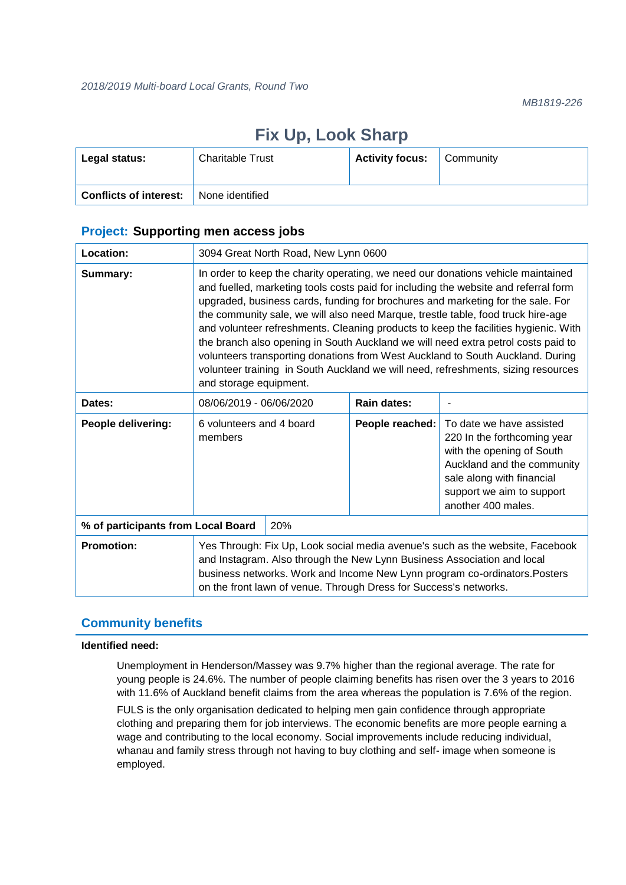# **Fix Up, Look Sharp**

| Legal status:                 | <b>Charitable Trust</b> | <b>Activity focus:</b> | Community |
|-------------------------------|-------------------------|------------------------|-----------|
| <b>Conflicts of interest:</b> | None identified         |                        |           |

# **Project: Supporting men access jobs**

| Location:                          | 3094 Great North Road, New Lynn 0600                                                                                                                                                                                                                                                                                                                                                                                                                                                                                                                                                                                                                                                                                        |     |                 |                                                                                                                                                                                                    |
|------------------------------------|-----------------------------------------------------------------------------------------------------------------------------------------------------------------------------------------------------------------------------------------------------------------------------------------------------------------------------------------------------------------------------------------------------------------------------------------------------------------------------------------------------------------------------------------------------------------------------------------------------------------------------------------------------------------------------------------------------------------------------|-----|-----------------|----------------------------------------------------------------------------------------------------------------------------------------------------------------------------------------------------|
| Summary:                           | In order to keep the charity operating, we need our donations vehicle maintained<br>and fuelled, marketing tools costs paid for including the website and referral form<br>upgraded, business cards, funding for brochures and marketing for the sale. For<br>the community sale, we will also need Marque, trestle table, food truck hire-age<br>and volunteer refreshments. Cleaning products to keep the facilities hygienic. With<br>the branch also opening in South Auckland we will need extra petrol costs paid to<br>volunteers transporting donations from West Auckland to South Auckland. During<br>volunteer training in South Auckland we will need, refreshments, sizing resources<br>and storage equipment. |     |                 |                                                                                                                                                                                                    |
| Dates:                             | 08/06/2019 - 06/06/2020                                                                                                                                                                                                                                                                                                                                                                                                                                                                                                                                                                                                                                                                                                     |     | Rain dates:     |                                                                                                                                                                                                    |
| People delivering:                 | 6 volunteers and 4 board<br>members                                                                                                                                                                                                                                                                                                                                                                                                                                                                                                                                                                                                                                                                                         |     | People reached: | To date we have assisted<br>220 In the forthcoming year<br>with the opening of South<br>Auckland and the community<br>sale along with financial<br>support we aim to support<br>another 400 males. |
| % of participants from Local Board |                                                                                                                                                                                                                                                                                                                                                                                                                                                                                                                                                                                                                                                                                                                             | 20% |                 |                                                                                                                                                                                                    |
| <b>Promotion:</b>                  | Yes Through: Fix Up, Look social media avenue's such as the website, Facebook<br>and Instagram. Also through the New Lynn Business Association and local<br>business networks. Work and Income New Lynn program co-ordinators. Posters<br>on the front lawn of venue. Through Dress for Success's networks.                                                                                                                                                                                                                                                                                                                                                                                                                 |     |                 |                                                                                                                                                                                                    |

# **Community benefits**

#### **Identified need:**

Unemployment in Henderson/Massey was 9.7% higher than the regional average. The rate for young people is 24.6%. The number of people claiming benefits has risen over the 3 years to 2016 with 11.6% of Auckland benefit claims from the area whereas the population is 7.6% of the region.

FULS is the only organisation dedicated to helping men gain confidence through appropriate clothing and preparing them for job interviews. The economic benefits are more people earning a wage and contributing to the local economy. Social improvements include reducing individual, whanau and family stress through not having to buy clothing and self- image when someone is employed.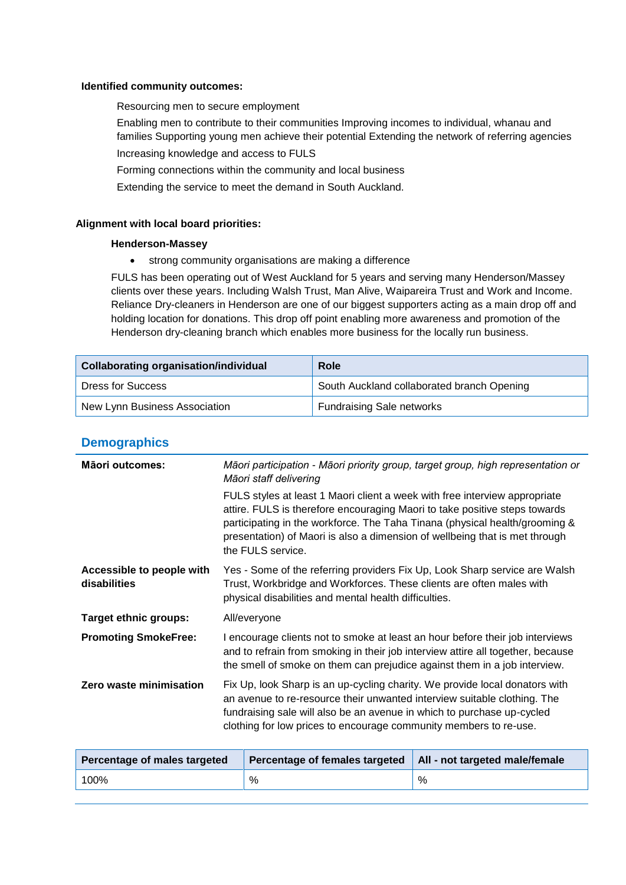#### **Identified community outcomes:**

Resourcing men to secure employment

Enabling men to contribute to their communities Improving incomes to individual, whanau and families Supporting young men achieve their potential Extending the network of referring agencies Increasing knowledge and access to FULS

Forming connections within the community and local business

Extending the service to meet the demand in South Auckland.

#### **Alignment with local board priorities:**

#### **Henderson-Massey**

• strong community organisations are making a difference

FULS has been operating out of West Auckland for 5 years and serving many Henderson/Massey clients over these years. Including Walsh Trust, Man Alive, Waipareira Trust and Work and Income. Reliance Dry-cleaners in Henderson are one of our biggest supporters acting as a main drop off and holding location for donations. This drop off point enabling more awareness and promotion of the Henderson dry-cleaning branch which enables more business for the locally run business.

| <b>Collaborating organisation/individual</b> | <b>Role</b>                                |
|----------------------------------------------|--------------------------------------------|
| <b>Dress for Success</b>                     | South Auckland collaborated branch Opening |
| New Lynn Business Association                | <b>Fundraising Sale networks</b>           |

### **Demographics**

| <b>Māori outcomes:</b>                    | Māori participation - Māori priority group, target group, high representation or<br>Māori staff delivering                                                                                                                                                                                                                                  |  |  |
|-------------------------------------------|---------------------------------------------------------------------------------------------------------------------------------------------------------------------------------------------------------------------------------------------------------------------------------------------------------------------------------------------|--|--|
|                                           | FULS styles at least 1 Maori client a week with free interview appropriate<br>attire. FULS is therefore encouraging Maori to take positive steps towards<br>participating in the workforce. The Taha Tinana (physical health/grooming &<br>presentation) of Maori is also a dimension of wellbeing that is met through<br>the FULS service. |  |  |
| Accessible to people with<br>disabilities | Yes - Some of the referring providers Fix Up, Look Sharp service are Walsh<br>Trust, Workbridge and Workforces. These clients are often males with<br>physical disabilities and mental health difficulties.                                                                                                                                 |  |  |
| <b>Target ethnic groups:</b>              | All/everyone                                                                                                                                                                                                                                                                                                                                |  |  |
| <b>Promoting SmokeFree:</b>               | I encourage clients not to smoke at least an hour before their job interviews<br>and to refrain from smoking in their job interview attire all together, because<br>the smell of smoke on them can prejudice against them in a job interview.                                                                                               |  |  |
| Zero waste minimisation                   | Fix Up, look Sharp is an up-cycling charity. We provide local donators with<br>an avenue to re-resource their unwanted interview suitable clothing. The<br>fundraising sale will also be an avenue in which to purchase up-cycled<br>clothing for low prices to encourage community members to re-use.                                      |  |  |

| Percentage of males targeted | Percentage of females targeted | All - not targeted male/female |
|------------------------------|--------------------------------|--------------------------------|
| 100%                         | %                              | %                              |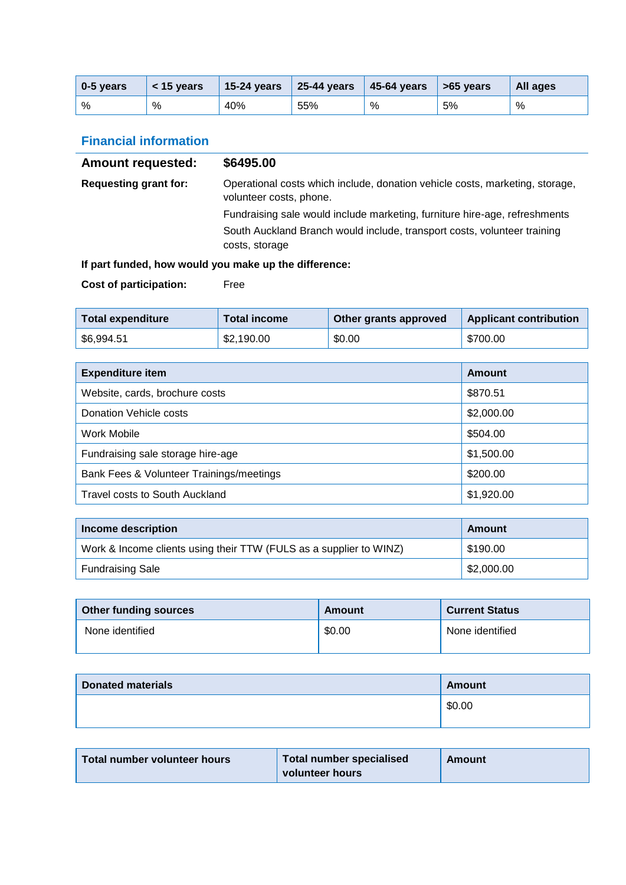| 0-5 years | $<$ 15 vears | <b>15-24 years</b> | $\vert$ 25-44 years | $\vert$ 45-64 years | $\vert$ >65 years | All ages |
|-----------|--------------|--------------------|---------------------|---------------------|-------------------|----------|
| %         | %            | 40%                | 55%                 | %                   | 5%                | %        |

# **Financial information**

| <b>Amount requested:</b>     | \$6495.00                                                                                               |
|------------------------------|---------------------------------------------------------------------------------------------------------|
| <b>Requesting grant for:</b> | Operational costs which include, donation vehicle costs, marketing, storage,<br>volunteer costs, phone. |
|                              | Fundraising sale would include marketing, furniture hire-age, refreshments                              |
|                              | South Auckland Branch would include, transport costs, volunteer training<br>costs, storage              |
|                              |                                                                                                         |

# **If part funded, how would you make up the difference:**

**Cost of participation:** Free

| <b>Total expenditure</b> | Total income | Other grants approved | <b>Applicant contribution</b> |
|--------------------------|--------------|-----------------------|-------------------------------|
| \$6,994.51               | \$2,190.00   | \$0.00                | \$700.00                      |

| <b>Expenditure item</b>                  | <b>Amount</b> |
|------------------------------------------|---------------|
| Website, cards, brochure costs           | \$870.51      |
| Donation Vehicle costs                   | \$2,000.00    |
| Work Mobile                              | \$504.00      |
| Fundraising sale storage hire-age        | \$1,500.00    |
| Bank Fees & Volunteer Trainings/meetings | \$200.00      |
| Travel costs to South Auckland           | \$1,920.00    |

| Income description                                                 | Amount     |
|--------------------------------------------------------------------|------------|
| Work & Income clients using their TTW (FULS as a supplier to WINZ) | \$190.00   |
| <b>Fundraising Sale</b>                                            | \$2,000.00 |

| <b>Other funding sources</b> | Amount | <b>Current Status</b> |
|------------------------------|--------|-----------------------|
| None identified              | \$0.00 | None identified       |

| <b>Donated materials</b> | Amount |
|--------------------------|--------|
|                          | \$0.00 |

| Total number volunteer hours | Total number specialised | Amount |
|------------------------------|--------------------------|--------|
|                              | volunteer hours          |        |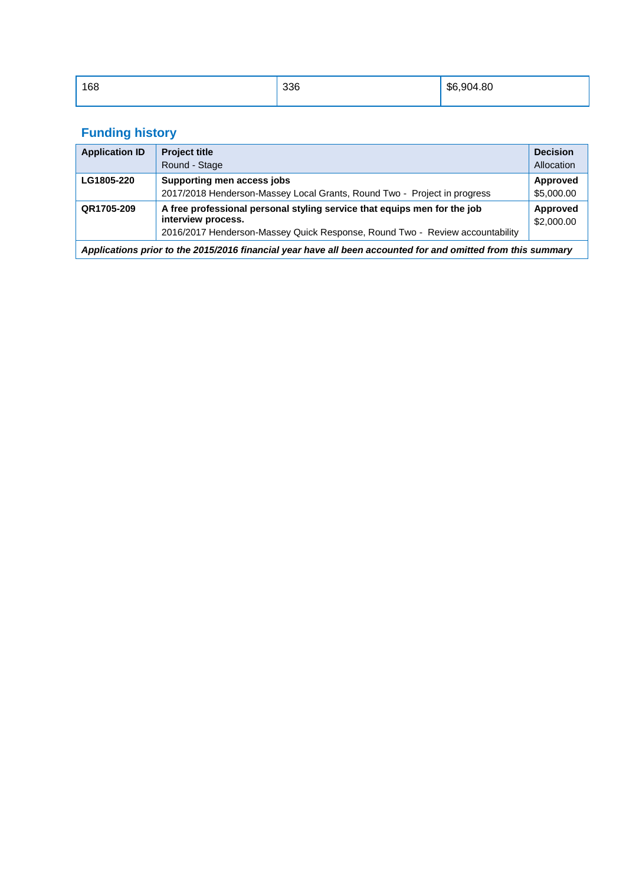| 168 | 336 | \$6,904.80 |
|-----|-----|------------|
|     |     |            |

| <b>Application ID</b> | <b>Project title</b><br>Round - Stage                                                                                                                                          | <b>Decision</b><br>Allocation |
|-----------------------|--------------------------------------------------------------------------------------------------------------------------------------------------------------------------------|-------------------------------|
| LG1805-220            | Supporting men access jobs<br>2017/2018 Henderson-Massey Local Grants, Round Two - Project in progress                                                                         | Approved<br>\$5,000.00        |
| QR1705-209            | A free professional personal styling service that equips men for the job<br>interview process.<br>2016/2017 Henderson-Massey Quick Response, Round Two - Review accountability | Approved<br>\$2,000.00        |
|                       | Applications prior to the 2015/2016 financial year have all been accounted for and omitted from this summary                                                                   |                               |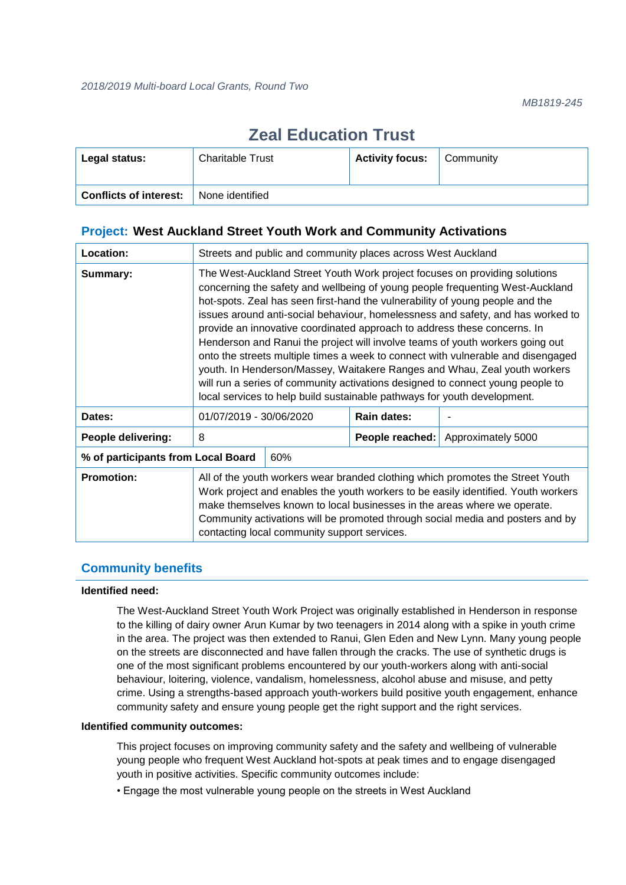# **Zeal Education Trust**

| Legal status:                 | <b>Charitable Trust</b> | <b>Activity focus:</b> | Community |
|-------------------------------|-------------------------|------------------------|-----------|
| <b>Conflicts of interest:</b> | None identified         |                        |           |

# **Project: West Auckland Street Youth Work and Community Activations**

| Location:                          | Streets and public and community places across West Auckland                                                                                                                                                                                                                                                                                                                                                                                                                                                                                                                                                                                                                                                                                                                                                                |  |                    |                    |
|------------------------------------|-----------------------------------------------------------------------------------------------------------------------------------------------------------------------------------------------------------------------------------------------------------------------------------------------------------------------------------------------------------------------------------------------------------------------------------------------------------------------------------------------------------------------------------------------------------------------------------------------------------------------------------------------------------------------------------------------------------------------------------------------------------------------------------------------------------------------------|--|--------------------|--------------------|
| Summary:                           | The West-Auckland Street Youth Work project focuses on providing solutions<br>concerning the safety and wellbeing of young people frequenting West-Auckland<br>hot-spots. Zeal has seen first-hand the vulnerability of young people and the<br>issues around anti-social behaviour, homelessness and safety, and has worked to<br>provide an innovative coordinated approach to address these concerns. In<br>Henderson and Ranui the project will involve teams of youth workers going out<br>onto the streets multiple times a week to connect with vulnerable and disengaged<br>youth. In Henderson/Massey, Waitakere Ranges and Whau, Zeal youth workers<br>will run a series of community activations designed to connect young people to<br>local services to help build sustainable pathways for youth development. |  |                    |                    |
| Dates:                             | 01/07/2019 - 30/06/2020                                                                                                                                                                                                                                                                                                                                                                                                                                                                                                                                                                                                                                                                                                                                                                                                     |  | <b>Rain dates:</b> |                    |
| People delivering:                 | 8                                                                                                                                                                                                                                                                                                                                                                                                                                                                                                                                                                                                                                                                                                                                                                                                                           |  | People reached:    | Approximately 5000 |
| % of participants from Local Board | 60%                                                                                                                                                                                                                                                                                                                                                                                                                                                                                                                                                                                                                                                                                                                                                                                                                         |  |                    |                    |
| <b>Promotion:</b>                  | All of the youth workers wear branded clothing which promotes the Street Youth<br>Work project and enables the youth workers to be easily identified. Youth workers<br>make themselves known to local businesses in the areas where we operate.<br>Community activations will be promoted through social media and posters and by<br>contacting local community support services.                                                                                                                                                                                                                                                                                                                                                                                                                                           |  |                    |                    |

# **Community benefits**

#### **Identified need:**

The West-Auckland Street Youth Work Project was originally established in Henderson in response to the killing of dairy owner Arun Kumar by two teenagers in 2014 along with a spike in youth crime in the area. The project was then extended to Ranui, Glen Eden and New Lynn. Many young people on the streets are disconnected and have fallen through the cracks. The use of synthetic drugs is one of the most significant problems encountered by our youth-workers along with anti-social behaviour, loitering, violence, vandalism, homelessness, alcohol abuse and misuse, and petty crime. Using a strengths-based approach youth-workers build positive youth engagement, enhance community safety and ensure young people get the right support and the right services.

#### **Identified community outcomes:**

This project focuses on improving community safety and the safety and wellbeing of vulnerable young people who frequent West Auckland hot-spots at peak times and to engage disengaged youth in positive activities. Specific community outcomes include:

• Engage the most vulnerable young people on the streets in West Auckland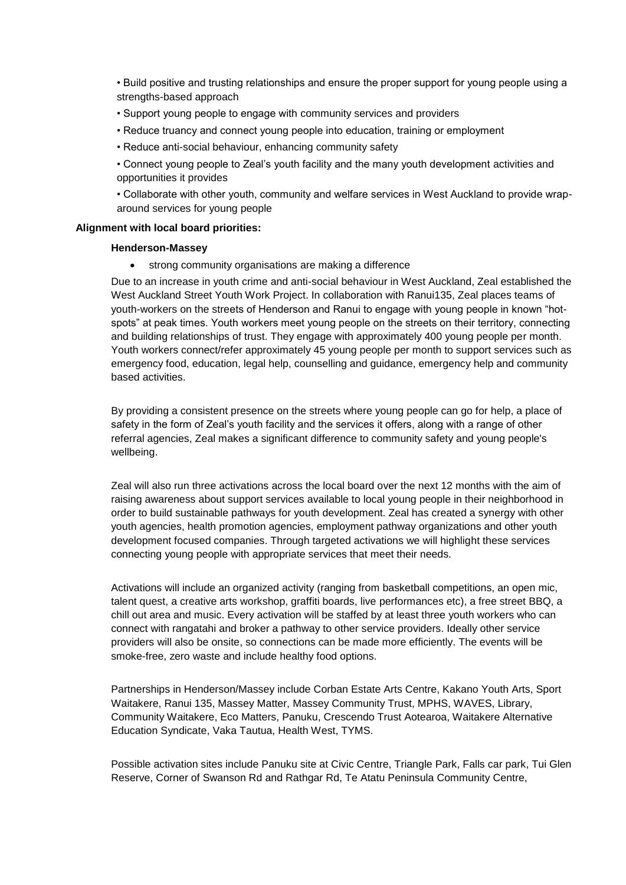• Build positive and trusting relationships and ensure the proper support for young people using a strengths-based approach

- Support young people to engage with community services and providers
- Reduce truancy and connect young people into education, training or employment
- Reduce anti-social behaviour, enhancing community safety

• Connect young people to Zeal's youth facility and the many youth development activities and opportunities it provides

• Collaborate with other youth, community and welfare services in West Auckland to provide wraparound services for young people

#### **Alignment with local board priorities:**

#### **Henderson-Massey**

• strong community organisations are making a difference

Due to an increase in youth crime and anti-social behaviour in West Auckland, Zeal established the West Auckland Street Youth Work Project. In collaboration with Ranui135, Zeal places teams of youth-workers on the streets of Henderson and Ranui to engage with young people in known "hotspots" at peak times. Youth workers meet young people on the streets on their territory, connecting and building relationships of trust. They engage with approximately 400 young people per month. Youth workers connect/refer approximately 45 young people per month to support services such as emergency food, education, legal help, counselling and guidance, emergency help and community based activities.

By providing a consistent presence on the streets where young people can go for help, a place of safety in the form of Zeal's youth facility and the services it offers, along with a range of other referral agencies, Zeal makes a significant difference to community safety and young people's wellbeing.

Zeal will also run three activations across the local board over the next 12 months with the aim of raising awareness about support services available to local young people in their neighborhood in order to build sustainable pathways for youth development. Zeal has created a synergy with other youth agencies, health promotion agencies, employment pathway organizations and other youth development focused companies. Through targeted activations we will highlight these services connecting young people with appropriate services that meet their needs.

Activations will include an organized activity (ranging from basketball competitions, an open mic, talent quest, a creative arts workshop, graffiti boards, live performances etc), a free street BBQ, a chill out area and music. Every activation will be staffed by at least three youth workers who can connect with rangatahi and broker a pathway to other service providers. Ideally other service providers will also be onsite, so connections can be made more efficiently. The events will be smoke-free, zero waste and include healthy food options.

Partnerships in Henderson/Massey include Corban Estate Arts Centre, Kakano Youth Arts, Sport Waitakere, Ranui 135, Massey Matter, Massey Community Trust, MPHS, WAVES, Library, Community Waitakere, Eco Matters, Panuku, Crescendo Trust Aotearoa, Waitakere Alternative Education Syndicate, Vaka Tautua, Health West, TYMS.

Possible activation sites include Panuku site at Civic Centre, Triangle Park, Falls car park, Tui Glen Reserve, Corner of Swanson Rd and Rathgar Rd, Te Atatu Peninsula Community Centre,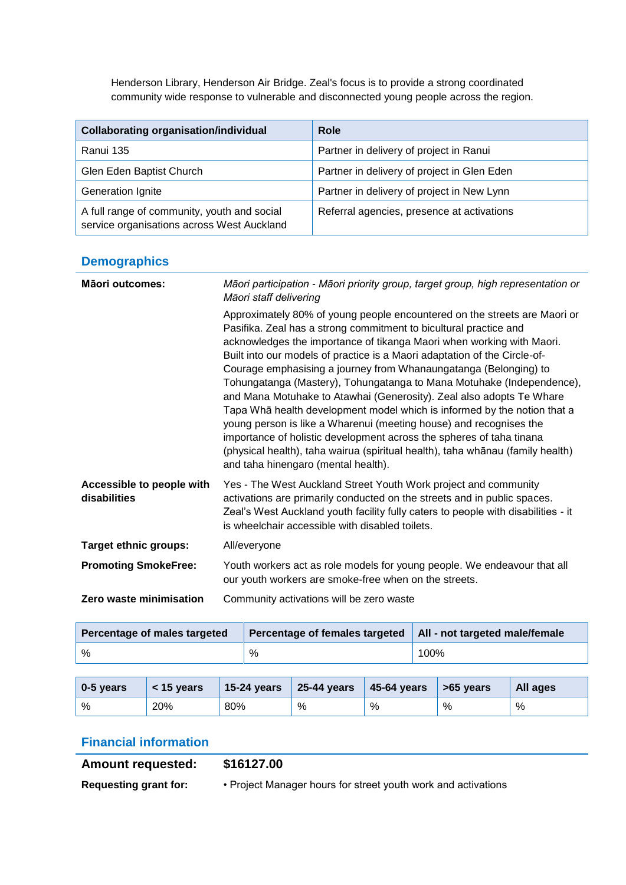Henderson Library, Henderson Air Bridge. Zeal's focus is to provide a strong coordinated community wide response to vulnerable and disconnected young people across the region.

| <b>Collaborating organisation/individual</b>                                              | <b>Role</b>                                 |
|-------------------------------------------------------------------------------------------|---------------------------------------------|
| Ranui 135                                                                                 | Partner in delivery of project in Ranui     |
| Glen Eden Baptist Church                                                                  | Partner in delivery of project in Glen Eden |
| Generation Ignite                                                                         | Partner in delivery of project in New Lynn  |
| A full range of community, youth and social<br>service organisations across West Auckland | Referral agencies, presence at activations  |

# **Demographics**

| <b>Māori outcomes:</b>                    | Māori participation - Māori priority group, target group, high representation or<br>Māori staff delivering                                                                                                                                                                                                                                                                                                                                                                                                                                                                                                                                                                                                                                                                                                                                                                   |
|-------------------------------------------|------------------------------------------------------------------------------------------------------------------------------------------------------------------------------------------------------------------------------------------------------------------------------------------------------------------------------------------------------------------------------------------------------------------------------------------------------------------------------------------------------------------------------------------------------------------------------------------------------------------------------------------------------------------------------------------------------------------------------------------------------------------------------------------------------------------------------------------------------------------------------|
|                                           | Approximately 80% of young people encountered on the streets are Maori or<br>Pasifika. Zeal has a strong commitment to bicultural practice and<br>acknowledges the importance of tikanga Maori when working with Maori.<br>Built into our models of practice is a Maori adaptation of the Circle-of-<br>Courage emphasising a journey from Whanaungatanga (Belonging) to<br>Tohungatanga (Mastery), Tohungatanga to Mana Motuhake (Independence),<br>and Mana Motuhake to Atawhai (Generosity). Zeal also adopts Te Whare<br>Tapa Whā health development model which is informed by the notion that a<br>young person is like a Wharenui (meeting house) and recognises the<br>importance of holistic development across the spheres of taha tinana<br>(physical health), taha wairua (spiritual health), taha whānau (family health)<br>and taha hinengaro (mental health). |
| Accessible to people with<br>disabilities | Yes - The West Auckland Street Youth Work project and community<br>activations are primarily conducted on the streets and in public spaces.<br>Zeal's West Auckland youth facility fully caters to people with disabilities - it<br>is wheelchair accessible with disabled toilets.                                                                                                                                                                                                                                                                                                                                                                                                                                                                                                                                                                                          |
| <b>Target ethnic groups:</b>              | All/everyone                                                                                                                                                                                                                                                                                                                                                                                                                                                                                                                                                                                                                                                                                                                                                                                                                                                                 |
| <b>Promoting SmokeFree:</b>               | Youth workers act as role models for young people. We endeavour that all<br>our youth workers are smoke-free when on the streets.                                                                                                                                                                                                                                                                                                                                                                                                                                                                                                                                                                                                                                                                                                                                            |
| Zero waste minimisation                   | Community activations will be zero waste                                                                                                                                                                                                                                                                                                                                                                                                                                                                                                                                                                                                                                                                                                                                                                                                                                     |

| Percentage of males targeted | Percentage of females targeted   All - not targeted male/female |      |
|------------------------------|-----------------------------------------------------------------|------|
| $\%$                         | %                                                               | 100% |

| 0-5 years | $<$ 15 years | $15-24$ years | $\vert$ 25-44 years | $45-64$ years | $>65$ years | All ages |
|-----------|--------------|---------------|---------------------|---------------|-------------|----------|
| %         | 20%          | 80%           | %                   | %             | %           | %        |

# **Financial information**

| <b>Amount requested:</b>     | \$16127.00                                                    |
|------------------------------|---------------------------------------------------------------|
| <b>Requesting grant for:</b> | • Project Manager hours for street youth work and activations |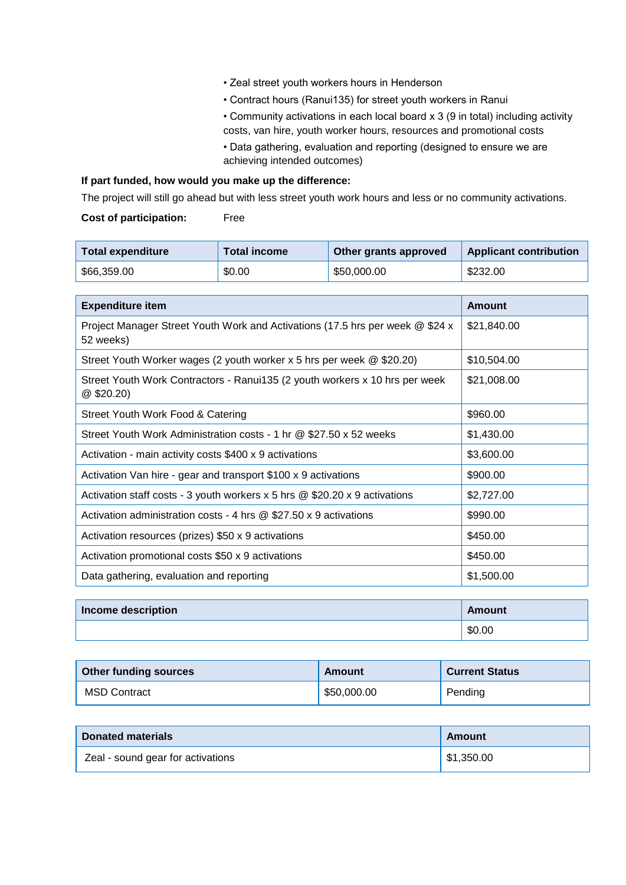- Zeal street youth workers hours in Henderson
- Contract hours (Ranui135) for street youth workers in Ranui
- Community activations in each local board x 3 (9 in total) including activity costs, van hire, youth worker hours, resources and promotional costs
- Data gathering, evaluation and reporting (designed to ensure we are achieving intended outcomes)

### **If part funded, how would you make up the difference:**

The project will still go ahead but with less street youth work hours and less or no community activations.

### **Cost of participation:** Free

| Total expenditure | <b>Total income</b> | Other grants approved | <b>Applicant contribution</b> |
|-------------------|---------------------|-----------------------|-------------------------------|
| \$66,359.00       | \$0.00              | \$50,000.00           | \$232.00                      |

| <b>Expenditure item</b>                                                                     | Amount      |
|---------------------------------------------------------------------------------------------|-------------|
| Project Manager Street Youth Work and Activations (17.5 hrs per week @ \$24 x<br>52 weeks)  | \$21,840.00 |
| Street Youth Worker wages (2 youth worker x 5 hrs per week @ \$20.20)                       | \$10,504.00 |
| Street Youth Work Contractors - Ranui135 (2 youth workers x 10 hrs per week<br>$@$ \$20.20) | \$21,008.00 |
| Street Youth Work Food & Catering                                                           | \$960.00    |
| Street Youth Work Administration costs - 1 hr @ \$27.50 x 52 weeks                          | \$1,430.00  |
| Activation - main activity costs \$400 x 9 activations                                      | \$3,600.00  |
| Activation Van hire - gear and transport \$100 x 9 activations                              | \$900.00    |
| Activation staff costs - 3 youth workers $x$ 5 hrs $@$ \$20.20 $x$ 9 activations            | \$2,727.00  |
| Activation administration costs - 4 hrs $@$ \$27.50 x 9 activations                         | \$990.00    |
| Activation resources (prizes) \$50 x 9 activations                                          | \$450.00    |
| Activation promotional costs \$50 x 9 activations                                           | \$450.00    |
| Data gathering, evaluation and reporting                                                    | \$1,500.00  |

| Income description | Amount |
|--------------------|--------|
|                    | \$0.00 |

| <b>Other funding sources</b> | Amount      | <b>Current Status</b> |
|------------------------------|-------------|-----------------------|
| <b>MSD Contract</b>          | \$50,000.00 | Pending               |

| <b>Donated materials</b>          | Amount     |
|-----------------------------------|------------|
| Zeal - sound gear for activations | \$1,350.00 |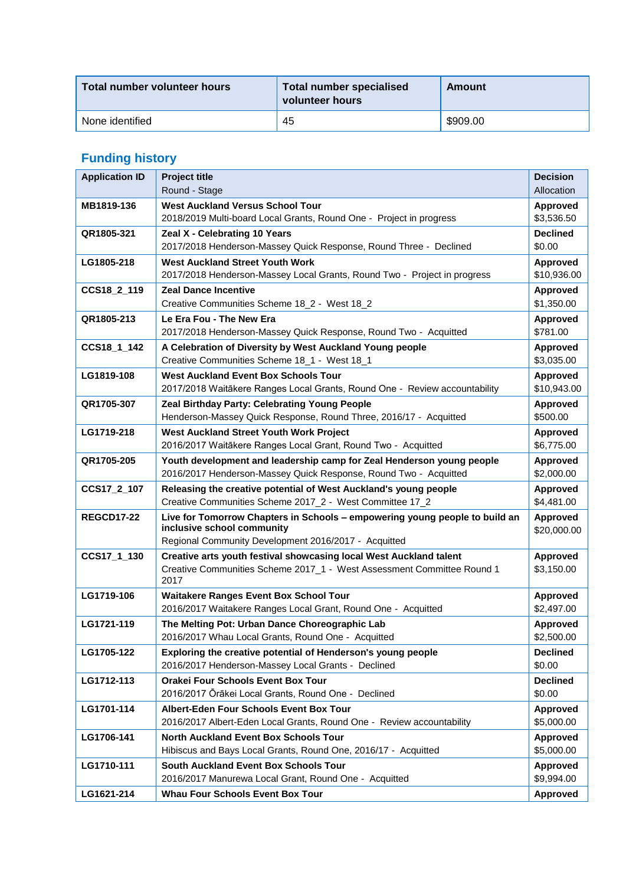| Total number volunteer hours | Total number specialised<br>volunteer hours | Amount   |
|------------------------------|---------------------------------------------|----------|
| None identified              | 45                                          | \$909.00 |

| <b>Application ID</b> | <b>Project title</b><br>Round - Stage                                                                                                                             | <b>Decision</b><br>Allocation  |
|-----------------------|-------------------------------------------------------------------------------------------------------------------------------------------------------------------|--------------------------------|
| MB1819-136            | <b>West Auckland Versus School Tour</b><br>2018/2019 Multi-board Local Grants, Round One - Project in progress                                                    | <b>Approved</b><br>\$3,536.50  |
| QR1805-321            | Zeal X - Celebrating 10 Years<br>2017/2018 Henderson-Massey Quick Response, Round Three - Declined                                                                | <b>Declined</b><br>\$0.00      |
| LG1805-218            | <b>West Auckland Street Youth Work</b><br>2017/2018 Henderson-Massey Local Grants, Round Two - Project in progress                                                | <b>Approved</b><br>\$10,936.00 |
| CCS18_2_119           | <b>Zeal Dance Incentive</b><br>Creative Communities Scheme 18_2 - West 18_2                                                                                       | <b>Approved</b><br>\$1,350.00  |
| QR1805-213            | Le Era Fou - The New Era<br>2017/2018 Henderson-Massey Quick Response, Round Two - Acquitted                                                                      | <b>Approved</b><br>\$781.00    |
| CCS18_1_142           | A Celebration of Diversity by West Auckland Young people<br>Creative Communities Scheme 18_1 - West 18_1                                                          | <b>Approved</b><br>\$3,035.00  |
| LG1819-108            | <b>West Auckland Event Box Schools Tour</b><br>2017/2018 Waitākere Ranges Local Grants, Round One - Review accountability                                         | Approved<br>\$10,943.00        |
| QR1705-307            | Zeal Birthday Party: Celebrating Young People<br>Henderson-Massey Quick Response, Round Three, 2016/17 - Acquitted                                                | <b>Approved</b><br>\$500.00    |
| LG1719-218            | <b>West Auckland Street Youth Work Project</b><br>2016/2017 Waitākere Ranges Local Grant, Round Two - Acquitted                                                   | Approved<br>\$6,775.00         |
| QR1705-205            | Youth development and leadership camp for Zeal Henderson young people<br>2016/2017 Henderson-Massey Quick Response, Round Two - Acquitted                         | <b>Approved</b><br>\$2,000.00  |
|                       |                                                                                                                                                                   |                                |
| CCS17_2_107           | Releasing the creative potential of West Auckland's young people<br>Creative Communities Scheme 2017_2 - West Committee 17_2                                      | <b>Approved</b><br>\$4,481.00  |
| <b>REGCD17-22</b>     | Live for Tomorrow Chapters in Schools - empowering young people to build an<br>inclusive school community<br>Regional Community Development 2016/2017 - Acquitted | <b>Approved</b><br>\$20,000.00 |
| CCS17_1_130           | Creative arts youth festival showcasing local West Auckland talent<br>Creative Communities Scheme 2017_1 - West Assessment Committee Round 1<br>2017              | Approved<br>\$3,150.00         |
| LG1719-106            | <b>Waitakere Ranges Event Box School Tour</b><br>2016/2017 Waitakere Ranges Local Grant, Round One - Acquitted                                                    | Approved<br>\$2,497.00         |
| LG1721-119            | The Melting Pot: Urban Dance Choreographic Lab<br>2016/2017 Whau Local Grants, Round One - Acquitted                                                              | Approved<br>\$2,500.00         |
| LG1705-122            | Exploring the creative potential of Henderson's young people<br>2016/2017 Henderson-Massey Local Grants - Declined                                                | <b>Declined</b><br>\$0.00      |
| LG1712-113            | <b>Orakei Four Schools Event Box Tour</b><br>2016/2017 Ōrākei Local Grants, Round One - Declined                                                                  | <b>Declined</b><br>\$0.00      |
| LG1701-114            | Albert-Eden Four Schools Event Box Tour<br>2016/2017 Albert-Eden Local Grants, Round One - Review accountability                                                  | Approved<br>\$5,000.00         |
| LG1706-141            | <b>North Auckland Event Box Schools Tour</b><br>Hibiscus and Bays Local Grants, Round One, 2016/17 - Acquitted                                                    | <b>Approved</b><br>\$5,000.00  |
| LG1710-111            | <b>South Auckland Event Box Schools Tour</b><br>2016/2017 Manurewa Local Grant, Round One - Acquitted                                                             | <b>Approved</b><br>\$9,994.00  |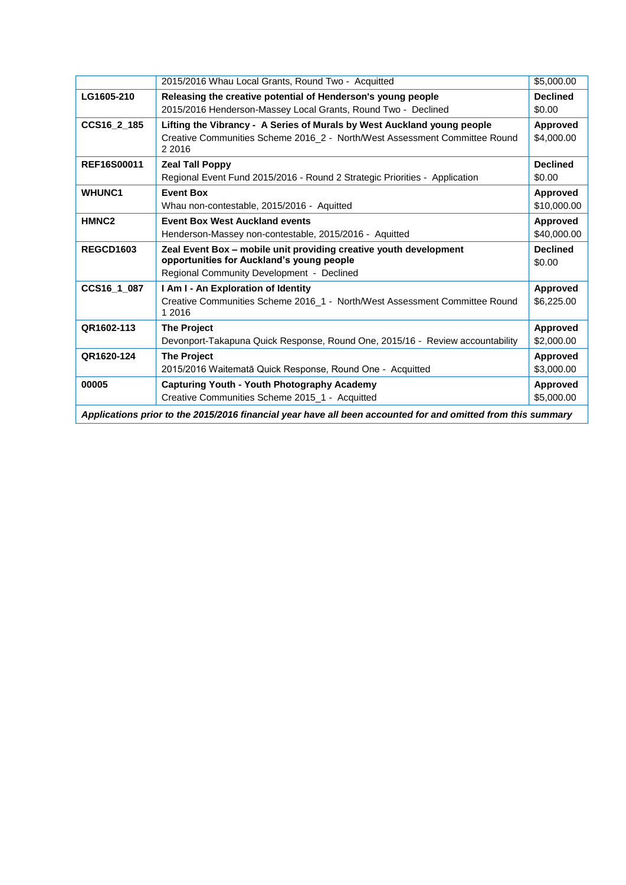|                    | 2015/2016 Whau Local Grants, Round Two - Acquitted                                                           | \$5,000.00      |
|--------------------|--------------------------------------------------------------------------------------------------------------|-----------------|
| LG1605-210         | Releasing the creative potential of Henderson's young people                                                 | <b>Declined</b> |
|                    | 2015/2016 Henderson-Massey Local Grants, Round Two - Declined                                                | \$0.00          |
| CCS16 2 185        | Lifting the Vibrancy - A Series of Murals by West Auckland young people                                      | Approved        |
|                    | Creative Communities Scheme 2016 2 - North/West Assessment Committee Round<br>2 2 0 1 6                      | \$4,000.00      |
| <b>REF16S00011</b> | <b>Zeal Tall Poppy</b>                                                                                       | <b>Declined</b> |
|                    | Regional Event Fund 2015/2016 - Round 2 Strategic Priorities - Application                                   | \$0.00          |
| <b>WHUNC1</b>      | <b>Event Box</b>                                                                                             | <b>Approved</b> |
|                    | Whau non-contestable, 2015/2016 - Aquitted                                                                   | \$10,000.00     |
| HMNC <sub>2</sub>  | <b>Event Box West Auckland events</b>                                                                        | Approved        |
|                    | Henderson-Massey non-contestable, 2015/2016 - Aquitted                                                       | \$40,000.00     |
| <b>REGCD1603</b>   | Zeal Event Box - mobile unit providing creative youth development                                            | <b>Declined</b> |
|                    | opportunities for Auckland's young people                                                                    | \$0.00          |
|                    | Regional Community Development - Declined                                                                    |                 |
| CCS16 1 087        | I Am I - An Exploration of Identity                                                                          | Approved        |
|                    | Creative Communities Scheme 2016_1 - North/West Assessment Committee Round<br>1 2016                         | \$6,225.00      |
| QR1602-113         | <b>The Project</b>                                                                                           | Approved        |
|                    | Devonport-Takapuna Quick Response, Round One, 2015/16 - Review accountability                                | \$2,000.00      |
| QR1620-124         | <b>The Project</b>                                                                                           | <b>Approved</b> |
|                    | 2015/2016 Waitematā Quick Response, Round One - Acquitted                                                    | \$3,000.00      |
| 00005              | <b>Capturing Youth - Youth Photography Academy</b>                                                           | <b>Approved</b> |
|                    | Creative Communities Scheme 2015_1 - Acquitted                                                               | \$5,000.00      |
|                    | Applications prior to the 2015/2016 financial year have all been accounted for and omitted from this summary |                 |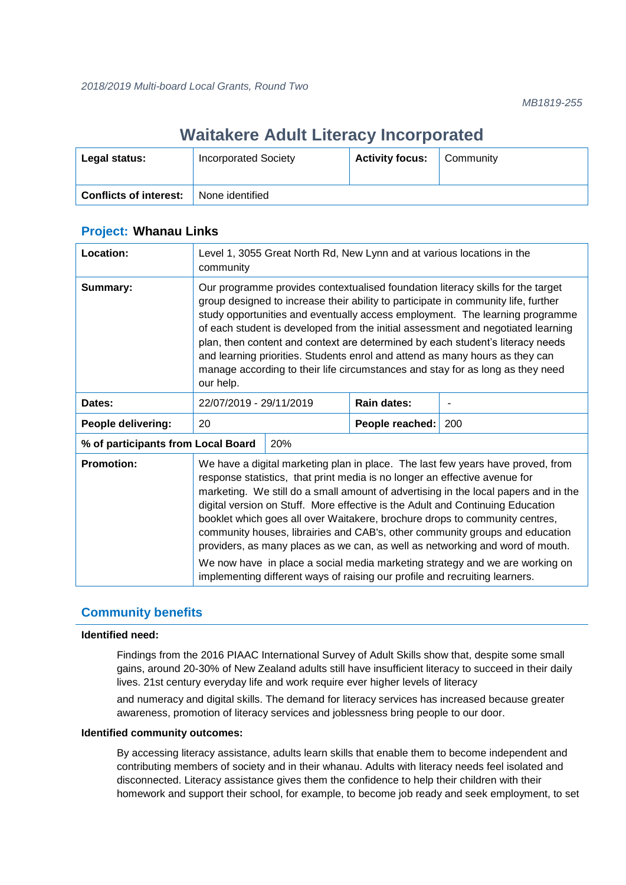# **Waitakere Adult Literacy Incorporated**

| Legal status:                 | <b>Incorporated Society</b> | <b>Activity focus:</b> | Community |
|-------------------------------|-----------------------------|------------------------|-----------|
| <b>Conflicts of interest:</b> | None identified             |                        |           |

| Location:          | Level 1, 3055 Great North Rd, New Lynn and at various locations in the<br>community                                                                                                                                                                                                                                                                                                                                                                                                                                                                                                                                                                                                                                                                   |  |                 |     |
|--------------------|-------------------------------------------------------------------------------------------------------------------------------------------------------------------------------------------------------------------------------------------------------------------------------------------------------------------------------------------------------------------------------------------------------------------------------------------------------------------------------------------------------------------------------------------------------------------------------------------------------------------------------------------------------------------------------------------------------------------------------------------------------|--|-----------------|-----|
| Summary:           | Our programme provides contextualised foundation literacy skills for the target<br>group designed to increase their ability to participate in community life, further<br>study opportunities and eventually access employment. The learning programme<br>of each student is developed from the initial assessment and negotiated learning<br>plan, then content and context are determined by each student's literacy needs<br>and learning priorities. Students enrol and attend as many hours as they can<br>manage according to their life circumstances and stay for as long as they need<br>our help.                                                                                                                                            |  |                 |     |
| Dates:             | 22/07/2019 - 29/11/2019                                                                                                                                                                                                                                                                                                                                                                                                                                                                                                                                                                                                                                                                                                                               |  | Rain dates:     |     |
| People delivering: | 20                                                                                                                                                                                                                                                                                                                                                                                                                                                                                                                                                                                                                                                                                                                                                    |  | People reached: | 200 |
|                    | % of participants from Local Board<br>20%                                                                                                                                                                                                                                                                                                                                                                                                                                                                                                                                                                                                                                                                                                             |  |                 |     |
| <b>Promotion:</b>  | We have a digital marketing plan in place. The last few years have proved, from<br>response statistics, that print media is no longer an effective avenue for<br>marketing. We still do a small amount of advertising in the local papers and in the<br>digital version on Stuff. More effective is the Adult and Continuing Education<br>booklet which goes all over Waitakere, brochure drops to community centres,<br>community houses, librairies and CAB's, other community groups and education<br>providers, as many places as we can, as well as networking and word of mouth.<br>We now have in place a social media marketing strategy and we are working on<br>implementing different ways of raising our profile and recruiting learners. |  |                 |     |

### **Project: Whanau Links**

# **Community benefits**

#### **Identified need:**

Findings from the 2016 PIAAC International Survey of Adult Skills show that, despite some small gains, around 20-30% of New Zealand adults still have insufficient literacy to succeed in their daily lives. 21st century everyday life and work require ever higher levels of literacy

and numeracy and digital skills. The demand for literacy services has increased because greater awareness, promotion of literacy services and joblessness bring people to our door.

#### **Identified community outcomes:**

By accessing literacy assistance, adults learn skills that enable them to become independent and contributing members of society and in their whanau. Adults with literacy needs feel isolated and disconnected. Literacy assistance gives them the confidence to help their children with their homework and support their school, for example, to become job ready and seek employment, to set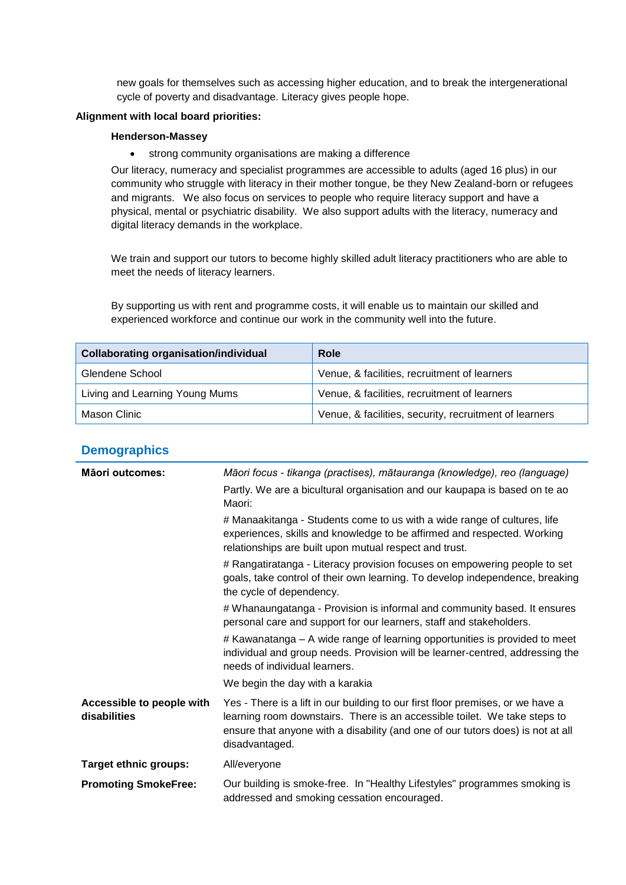new goals for themselves such as accessing higher education, and to break the intergenerational cycle of poverty and disadvantage. Literacy gives people hope.

#### **Alignment with local board priorities:**

#### **Henderson-Massey**

strong community organisations are making a difference

Our literacy, numeracy and specialist programmes are accessible to adults (aged 16 plus) in our community who struggle with literacy in their mother tongue, be they New Zealand-born or refugees and migrants. We also focus on services to people who require literacy support and have a physical, mental or psychiatric disability. We also support adults with the literacy, numeracy and digital literacy demands in the workplace.

We train and support our tutors to become highly skilled adult literacy practitioners who are able to meet the needs of literacy learners.

By supporting us with rent and programme costs, it will enable us to maintain our skilled and experienced workforce and continue our work in the community well into the future.

| <b>Collaborating organisation/individual</b> | Role                                                   |
|----------------------------------------------|--------------------------------------------------------|
| Glendene School                              | Venue, & facilities, recruitment of learners           |
| Living and Learning Young Mums               | Venue, & facilities, recruitment of learners           |
| Mason Clinic                                 | Venue, & facilities, security, recruitment of learners |

# **Demographics**

| <b>Māori outcomes:</b>                    | Māori focus - tikanga (practises), mātauranga (knowledge), reo (language)                                                                                                                                                                                         |
|-------------------------------------------|-------------------------------------------------------------------------------------------------------------------------------------------------------------------------------------------------------------------------------------------------------------------|
|                                           | Partly. We are a bicultural organisation and our kaupapa is based on te ao<br>Maori:                                                                                                                                                                              |
|                                           | # Manaakitanga - Students come to us with a wide range of cultures, life<br>experiences, skills and knowledge to be affirmed and respected. Working<br>relationships are built upon mutual respect and trust.                                                     |
|                                           | # Rangatiratanga - Literacy provision focuses on empowering people to set<br>goals, take control of their own learning. To develop independence, breaking<br>the cycle of dependency.                                                                             |
|                                           | # Whanaungatanga - Provision is informal and community based. It ensures<br>personal care and support for our learners, staff and stakeholders.                                                                                                                   |
|                                           | # Kawanatanga – A wide range of learning opportunities is provided to meet<br>individual and group needs. Provision will be learner-centred, addressing the<br>needs of individual learners.                                                                      |
|                                           | We begin the day with a karakia                                                                                                                                                                                                                                   |
| Accessible to people with<br>disabilities | Yes - There is a lift in our building to our first floor premises, or we have a<br>learning room downstairs. There is an accessible toilet. We take steps to<br>ensure that anyone with a disability (and one of our tutors does) is not at all<br>disadvantaged. |
| <b>Target ethnic groups:</b>              | All/everyone                                                                                                                                                                                                                                                      |
| <b>Promoting SmokeFree:</b>               | Our building is smoke-free. In "Healthy Lifestyles" programmes smoking is<br>addressed and smoking cessation encouraged.                                                                                                                                          |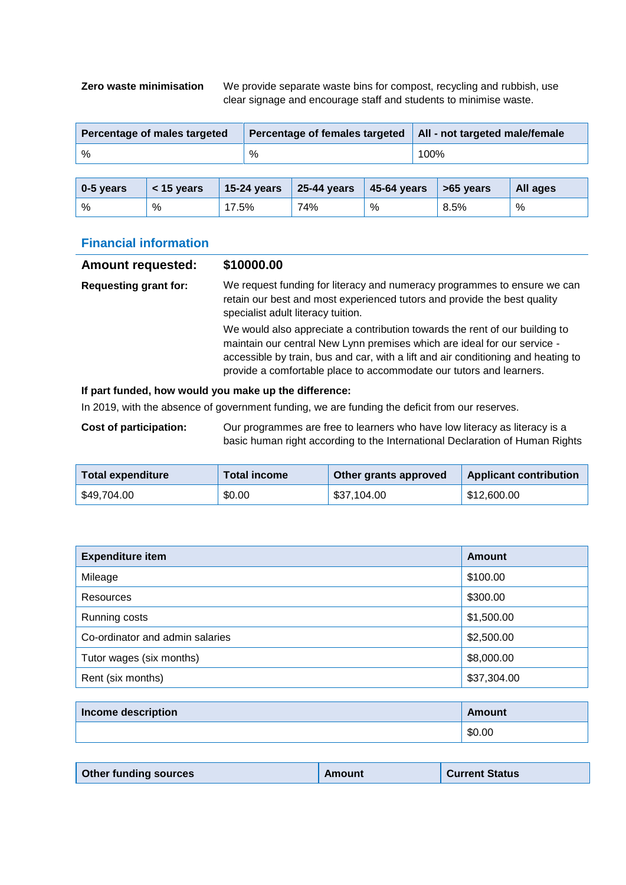**Zero waste minimisation** We provide separate waste bins for compost, recycling and rubbish, use clear signage and encourage staff and students to minimise waste.

| Percentage of males targeted | Percentage of females targeted | All - not targeted male/female |
|------------------------------|--------------------------------|--------------------------------|
| %                            | %                              | 100%                           |
|                              |                                |                                |

| $\vert$ 0-5 years | $<$ 15 years | 15-24 years | $\vert$ 25-44 years | $\vert$ 45-64 years | $\vert$ >65 years | All ages |
|-------------------|--------------|-------------|---------------------|---------------------|-------------------|----------|
| $\%$              | %            | 17.5%       | 74%                 | %                   | 8.5%              | %        |

### **Financial information**

| <b>Amount requested:</b>     | \$10000.00                                                                                                                                                                                                                                                                                                          |
|------------------------------|---------------------------------------------------------------------------------------------------------------------------------------------------------------------------------------------------------------------------------------------------------------------------------------------------------------------|
| <b>Requesting grant for:</b> | We request funding for literacy and numeracy programmes to ensure we can<br>retain our best and most experienced tutors and provide the best quality<br>specialist adult literacy tuition.                                                                                                                          |
|                              | We would also appreciate a contribution towards the rent of our building to<br>maintain our central New Lynn premises which are ideal for our service -<br>accessible by train, bus and car, with a lift and air conditioning and heating to<br>provide a comfortable place to accommodate our tutors and learners. |

### **If part funded, how would you make up the difference:**

In 2019, with the absence of government funding, we are funding the deficit from our reserves.

**Cost of participation:** Our programmes are free to learners who have low literacy as literacy is a basic human right according to the International Declaration of Human Rights

| Total income<br><b>Total expenditure</b> |        | Other grants approved | <b>Applicant contribution</b> |  |
|------------------------------------------|--------|-----------------------|-------------------------------|--|
| \$49,704.00                              | \$0.00 | \$37,104.00           | \$12,600.00                   |  |

| <b>Expenditure item</b>         | <b>Amount</b> |
|---------------------------------|---------------|
| Mileage                         | \$100.00      |
| <b>Resources</b>                | \$300.00      |
| Running costs                   | \$1,500.00    |
| Co-ordinator and admin salaries | \$2,500.00    |
| Tutor wages (six months)        | \$8,000.00    |
| Rent (six months)               | \$37,304.00   |

| <b>Income description</b> | Amount |
|---------------------------|--------|
|                           | \$0.00 |

| Other funding sources | Amount | <b>Current Status</b> |
|-----------------------|--------|-----------------------|
|-----------------------|--------|-----------------------|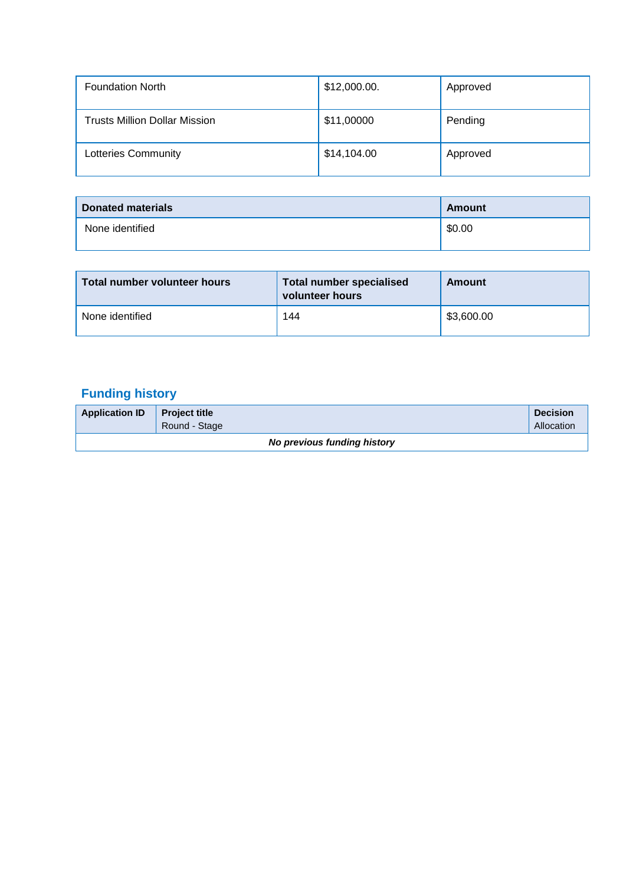| <b>Foundation North</b>       | \$12,000.00. | Approved |
|-------------------------------|--------------|----------|
| Trusts Million Dollar Mission | \$11,00000   | Pending  |
| Lotteries Community           | \$14,104.00  | Approved |

| <b>Donated materials</b> | Amount |
|--------------------------|--------|
| None identified          | \$0.00 |

| Total number volunteer hours | <b>Total number specialised</b><br>volunteer hours | <b>Amount</b> |
|------------------------------|----------------------------------------------------|---------------|
| None identified              | 144                                                | \$3,600.00    |

| <b>Application ID</b>       | <b>Project title</b><br>Round - Stage | <b>Decision</b><br>Allocation |
|-----------------------------|---------------------------------------|-------------------------------|
| No previous funding history |                                       |                               |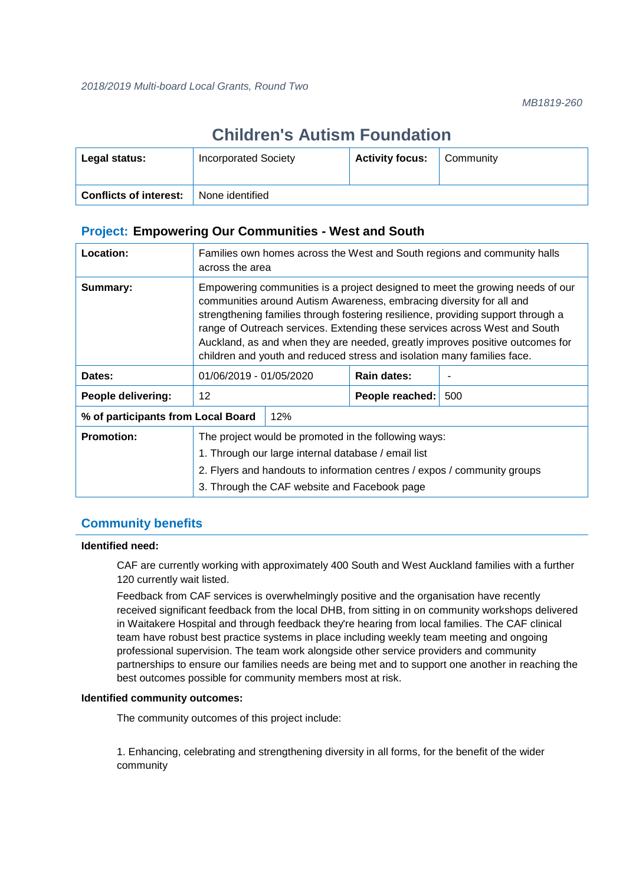# **Children's Autism Foundation**

| Legal status:                 | <b>Incorporated Society</b> | <b>Activity focus:</b> | Community |
|-------------------------------|-----------------------------|------------------------|-----------|
| <b>Conflicts of interest:</b> | None identified             |                        |           |

### **Project: Empowering Our Communities - West and South**

| Location:                          | Families own homes across the West and South regions and community halls<br>across the area                                                                                                                                                                                                                                                                                                                                                                                         |                                              |                 |     |
|------------------------------------|-------------------------------------------------------------------------------------------------------------------------------------------------------------------------------------------------------------------------------------------------------------------------------------------------------------------------------------------------------------------------------------------------------------------------------------------------------------------------------------|----------------------------------------------|-----------------|-----|
| Summary:                           | Empowering communities is a project designed to meet the growing needs of our<br>communities around Autism Awareness, embracing diversity for all and<br>strengthening families through fostering resilience, providing support through a<br>range of Outreach services. Extending these services across West and South<br>Auckland, as and when they are needed, greatly improves positive outcomes for<br>children and youth and reduced stress and isolation many families face. |                                              |                 |     |
| Dates:                             | 01/06/2019 - 01/05/2020                                                                                                                                                                                                                                                                                                                                                                                                                                                             |                                              | Rain dates:     |     |
| People delivering:                 | 12                                                                                                                                                                                                                                                                                                                                                                                                                                                                                  |                                              | People reached: | 500 |
| % of participants from Local Board | 12%                                                                                                                                                                                                                                                                                                                                                                                                                                                                                 |                                              |                 |     |
| <b>Promotion:</b>                  | The project would be promoted in the following ways:                                                                                                                                                                                                                                                                                                                                                                                                                                |                                              |                 |     |
|                                    | 1. Through our large internal database / email list                                                                                                                                                                                                                                                                                                                                                                                                                                 |                                              |                 |     |
|                                    | 2. Flyers and handouts to information centres / expos / community groups                                                                                                                                                                                                                                                                                                                                                                                                            |                                              |                 |     |
|                                    |                                                                                                                                                                                                                                                                                                                                                                                                                                                                                     | 3. Through the CAF website and Facebook page |                 |     |

# **Community benefits**

#### **Identified need:**

CAF are currently working with approximately 400 South and West Auckland families with a further 120 currently wait listed.

Feedback from CAF services is overwhelmingly positive and the organisation have recently received significant feedback from the local DHB, from sitting in on community workshops delivered in Waitakere Hospital and through feedback they're hearing from local families. The CAF clinical team have robust best practice systems in place including weekly team meeting and ongoing professional supervision. The team work alongside other service providers and community partnerships to ensure our families needs are being met and to support one another in reaching the best outcomes possible for community members most at risk.

#### **Identified community outcomes:**

The community outcomes of this project include:

1. Enhancing, celebrating and strengthening diversity in all forms, for the benefit of the wider community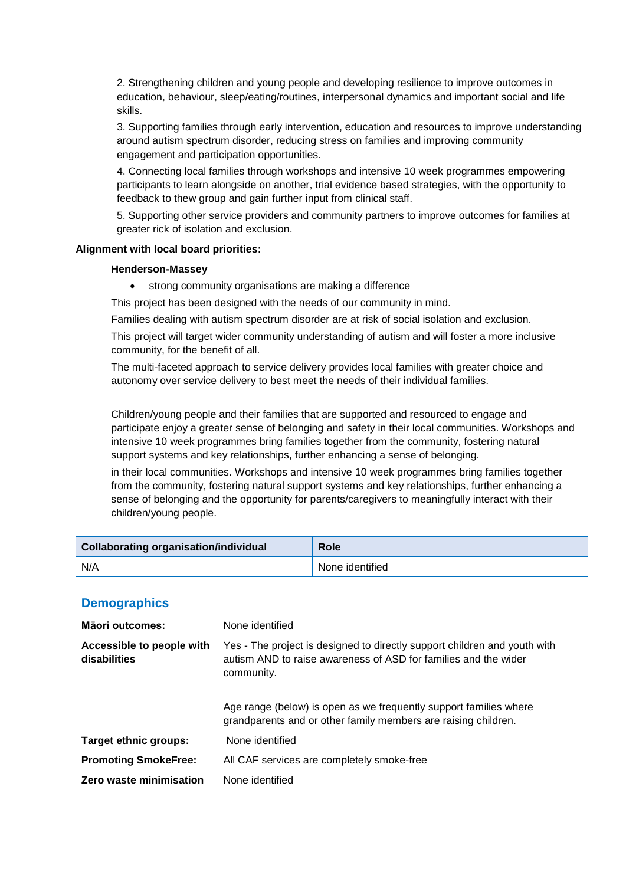2. Strengthening children and young people and developing resilience to improve outcomes in education, behaviour, sleep/eating/routines, interpersonal dynamics and important social and life skills.

3. Supporting families through early intervention, education and resources to improve understanding around autism spectrum disorder, reducing stress on families and improving community engagement and participation opportunities.

4. Connecting local families through workshops and intensive 10 week programmes empowering participants to learn alongside on another, trial evidence based strategies, with the opportunity to feedback to thew group and gain further input from clinical staff.

5. Supporting other service providers and community partners to improve outcomes for families at greater rick of isolation and exclusion.

#### **Alignment with local board priorities:**

#### **Henderson-Massey**

• strong community organisations are making a difference

This project has been designed with the needs of our community in mind.

Families dealing with autism spectrum disorder are at risk of social isolation and exclusion.

This project will target wider community understanding of autism and will foster a more inclusive community, for the benefit of all.

The multi-faceted approach to service delivery provides local families with greater choice and autonomy over service delivery to best meet the needs of their individual families.

Children/young people and their families that are supported and resourced to engage and participate enjoy a greater sense of belonging and safety in their local communities. Workshops and intensive 10 week programmes bring families together from the community, fostering natural support systems and key relationships, further enhancing a sense of belonging.

in their local communities. Workshops and intensive 10 week programmes bring families together from the community, fostering natural support systems and key relationships, further enhancing a sense of belonging and the opportunity for parents/caregivers to meaningfully interact with their children/young people.

| <b>Collaborating organisation/individual</b> | <b>Role</b>     |
|----------------------------------------------|-----------------|
| N/A                                          | None identified |

### **Demographics**

| Māori outcomes:                           | None identified                                                                                                                                            |
|-------------------------------------------|------------------------------------------------------------------------------------------------------------------------------------------------------------|
| Accessible to people with<br>disabilities | Yes - The project is designed to directly support children and youth with<br>autism AND to raise awareness of ASD for families and the wider<br>community. |
|                                           | Age range (below) is open as we frequently support families where<br>grandparents and or other family members are raising children.                        |
| Target ethnic groups:                     | None identified                                                                                                                                            |
| <b>Promoting SmokeFree:</b>               | All CAF services are completely smoke-free                                                                                                                 |
| Zero waste minimisation                   | None identified                                                                                                                                            |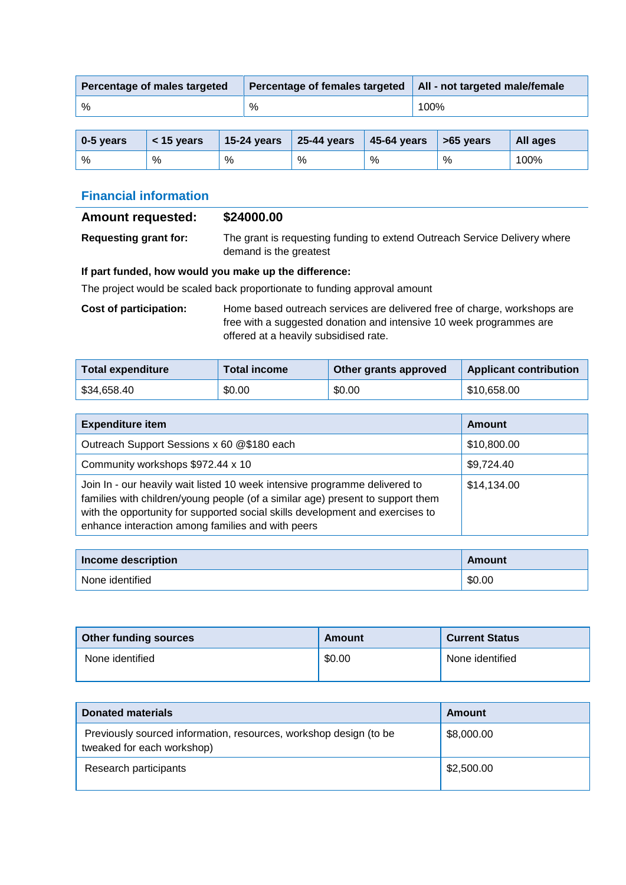| Percentage of males targeted | Percentage of females targeted   All - not targeted male/female |      |
|------------------------------|-----------------------------------------------------------------|------|
| %                            | %                                                               | 100% |

| 0-5 years | $<$ 15 vears | <b>15-24 years</b> | $\vert$ 25-44 years | $\vert$ 45-64 years $\vert$ >65 years |   | All ages |
|-----------|--------------|--------------------|---------------------|---------------------------------------|---|----------|
| %         | %            | %                  | %                   | %                                     | % | 100%     |

# **Financial information**

| <b>Amount requested:</b>     | \$24000.00                                                                                          |
|------------------------------|-----------------------------------------------------------------------------------------------------|
| <b>Requesting grant for:</b> | The grant is requesting funding to extend Outreach Service Delivery where<br>demand is the greatest |

**If part funded, how would you make up the difference:**

The project would be scaled back proportionate to funding approval amount

**Cost of participation:** Home based outreach services are delivered free of charge, workshops are free with a suggested donation and intensive 10 week programmes are offered at a heavily subsidised rate.

| <b>Total expenditure</b> | Total income | Other grants approved | <b>Applicant contribution</b> |
|--------------------------|--------------|-----------------------|-------------------------------|
| \$34,658.40              | \$0.00       | \$0.00                | \$10,658.00                   |

| <b>Expenditure item</b>                                                                                                                                                                                                                                                                            | Amount      |
|----------------------------------------------------------------------------------------------------------------------------------------------------------------------------------------------------------------------------------------------------------------------------------------------------|-------------|
| Outreach Support Sessions x 60 @\$180 each                                                                                                                                                                                                                                                         | \$10,800.00 |
| Community workshops \$972.44 x 10                                                                                                                                                                                                                                                                  | \$9,724.40  |
| Join In - our heavily wait listed 10 week intensive programme delivered to<br>families with children/young people (of a similar age) present to support them<br>with the opportunity for supported social skills development and exercises to<br>enhance interaction among families and with peers | \$14,134.00 |

| Income description | Amount |
|--------------------|--------|
| None identified    | \$0.00 |

| Other funding sources | Amount | <b>Current Status</b> |
|-----------------------|--------|-----------------------|
| None identified       | \$0.00 | None identified       |

| <b>Donated materials</b>                                                                        | Amount     |
|-------------------------------------------------------------------------------------------------|------------|
| Previously sourced information, resources, workshop design (to be<br>tweaked for each workshop) | \$8,000.00 |
| Research participants                                                                           | \$2,500.00 |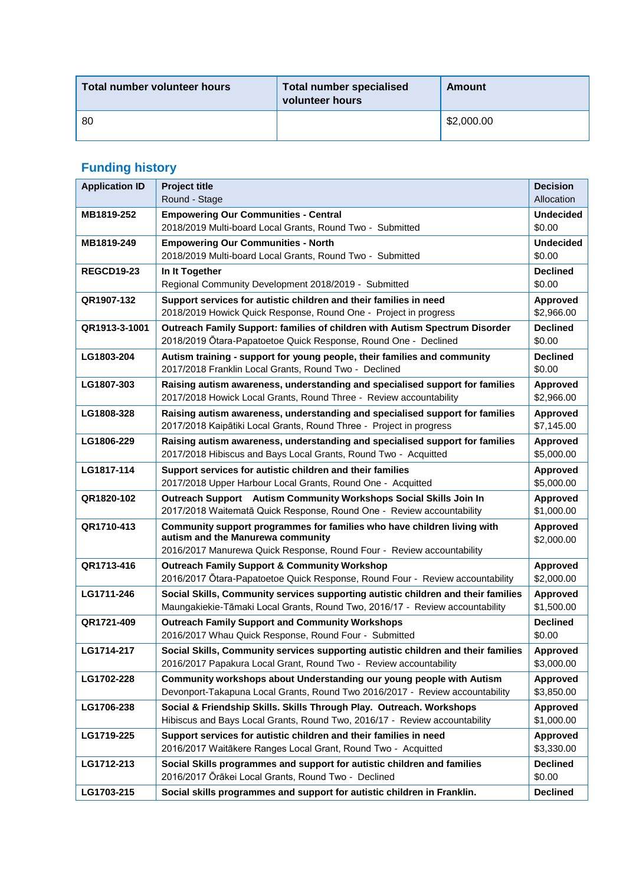| Total number volunteer hours | <b>Total number specialised</b><br>volunteer hours | <b>Amount</b> |
|------------------------------|----------------------------------------------------|---------------|
| -80                          |                                                    | \$2,000.00    |

| <b>Application ID</b> | <b>Project title</b><br>Round - Stage                                                                                                                             | <b>Decision</b><br>Allocation |
|-----------------------|-------------------------------------------------------------------------------------------------------------------------------------------------------------------|-------------------------------|
| MB1819-252            | <b>Empowering Our Communities - Central</b>                                                                                                                       | <b>Undecided</b>              |
|                       | 2018/2019 Multi-board Local Grants, Round Two - Submitted                                                                                                         | \$0.00                        |
| MB1819-249            | <b>Empowering Our Communities - North</b><br>2018/2019 Multi-board Local Grants, Round Two - Submitted                                                            | <b>Undecided</b><br>\$0.00    |
| <b>REGCD19-23</b>     | In It Together<br>Regional Community Development 2018/2019 - Submitted                                                                                            | <b>Declined</b><br>\$0.00     |
| QR1907-132            | Support services for autistic children and their families in need<br>2018/2019 Howick Quick Response, Round One - Project in progress                             | <b>Approved</b><br>\$2,966.00 |
| QR1913-3-1001         | Outreach Family Support: families of children with Autism Spectrum Disorder                                                                                       | <b>Declined</b>               |
|                       | 2018/2019 Otara-Papatoetoe Quick Response, Round One - Declined                                                                                                   | \$0.00                        |
| LG1803-204            | Autism training - support for young people, their families and community<br>2017/2018 Franklin Local Grants, Round Two - Declined                                 | <b>Declined</b><br>\$0.00     |
| LG1807-303            | Raising autism awareness, understanding and specialised support for families                                                                                      | <b>Approved</b>               |
|                       | 2017/2018 Howick Local Grants, Round Three - Review accountability                                                                                                | \$2,966.00                    |
| LG1808-328            | Raising autism awareness, understanding and specialised support for families                                                                                      | Approved                      |
|                       | 2017/2018 Kaipātiki Local Grants, Round Three - Project in progress                                                                                               | \$7,145.00                    |
| LG1806-229            | Raising autism awareness, understanding and specialised support for families<br>2017/2018 Hibiscus and Bays Local Grants, Round Two - Acquitted                   | <b>Approved</b><br>\$5,000.00 |
| LG1817-114            | Support services for autistic children and their families                                                                                                         | <b>Approved</b>               |
|                       | 2017/2018 Upper Harbour Local Grants, Round One - Acquitted                                                                                                       | \$5,000.00                    |
| QR1820-102            | Outreach Support Autism Community Workshops Social Skills Join In<br>2017/2018 Waitematā Quick Response, Round One - Review accountability                        | <b>Approved</b><br>\$1,000.00 |
| QR1710-413            | Community support programmes for families who have children living with<br>autism and the Manurewa community                                                      | <b>Approved</b><br>\$2,000.00 |
|                       | 2016/2017 Manurewa Quick Response, Round Four - Review accountability                                                                                             |                               |
| QR1713-416            | <b>Outreach Family Support &amp; Community Workshop</b>                                                                                                           | Approved                      |
|                       | 2016/2017 Otara-Papatoetoe Quick Response, Round Four - Review accountability                                                                                     | \$2,000.00                    |
| LG1711-246            | Social Skills, Community services supporting autistic children and their families<br>Maungakiekie-Tāmaki Local Grants, Round Two, 2016/17 - Review accountability | <b>Approved</b><br>\$1,500.00 |
| QR1721-409            | <b>Outreach Family Support and Community Workshops</b><br>2016/2017 Whau Quick Response, Round Four - Submitted                                                   | <b>Declined</b><br>\$0.00     |
| LG1714-217            | Social Skills, Community services supporting autistic children and their families<br>2016/2017 Papakura Local Grant, Round Two - Review accountability            | <b>Approved</b><br>\$3,000.00 |
| LG1702-228            | Community workshops about Understanding our young people with Autism                                                                                              | Approved                      |
|                       | Devonport-Takapuna Local Grants, Round Two 2016/2017 - Review accountability                                                                                      | \$3,850.00                    |
| LG1706-238            | Social & Friendship Skills. Skills Through Play. Outreach. Workshops<br>Hibiscus and Bays Local Grants, Round Two, 2016/17 - Review accountability                | Approved<br>\$1,000.00        |
| LG1719-225            | Support services for autistic children and their families in need<br>2016/2017 Waitākere Ranges Local Grant, Round Two - Acquitted                                | <b>Approved</b><br>\$3,330.00 |
| LG1712-213            | Social Skills programmes and support for autistic children and families<br>2016/2017 Ōrākei Local Grants, Round Two - Declined                                    | <b>Declined</b><br>\$0.00     |
| LG1703-215            | Social skills programmes and support for autistic children in Franklin.                                                                                           | <b>Declined</b>               |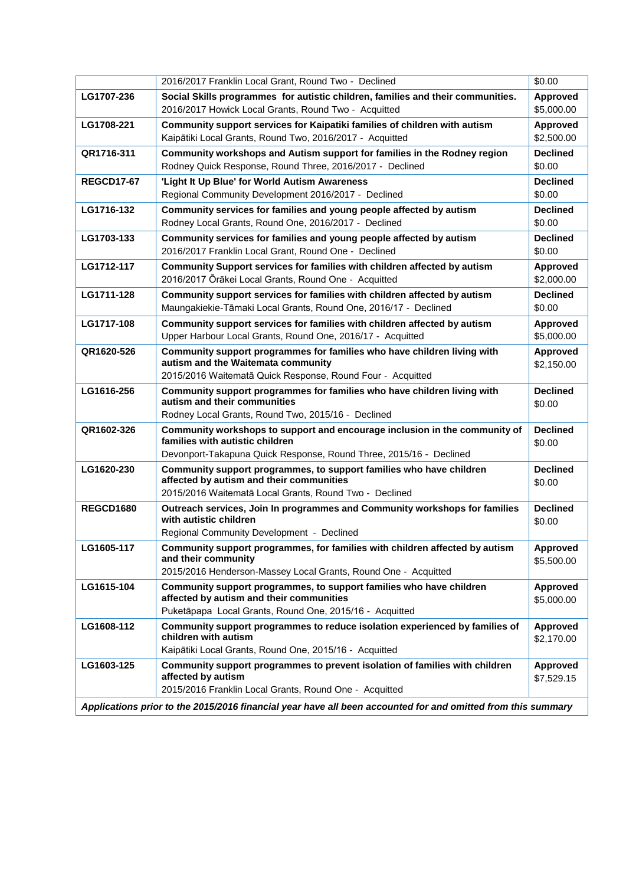|                                                                                                              | 2016/2017 Franklin Local Grant, Round Two - Declined                                                                                                                                | \$0.00                        |
|--------------------------------------------------------------------------------------------------------------|-------------------------------------------------------------------------------------------------------------------------------------------------------------------------------------|-------------------------------|
| LG1707-236                                                                                                   | Social Skills programmes for autistic children, families and their communities.                                                                                                     | <b>Approved</b>               |
|                                                                                                              | 2016/2017 Howick Local Grants, Round Two - Acquitted                                                                                                                                | \$5,000.00                    |
| LG1708-221                                                                                                   | Community support services for Kaipatiki families of children with autism<br>Kaipātiki Local Grants, Round Two, 2016/2017 - Acquitted                                               | Approved<br>\$2,500.00        |
| QR1716-311                                                                                                   | Community workshops and Autism support for families in the Rodney region<br>Rodney Quick Response, Round Three, 2016/2017 - Declined                                                | <b>Declined</b><br>\$0.00     |
| <b>REGCD17-67</b>                                                                                            | 'Light It Up Blue' for World Autism Awareness<br>Regional Community Development 2016/2017 - Declined                                                                                | <b>Declined</b><br>\$0.00     |
| LG1716-132                                                                                                   | Community services for families and young people affected by autism<br>Rodney Local Grants, Round One, 2016/2017 - Declined                                                         | <b>Declined</b><br>\$0.00     |
| LG1703-133                                                                                                   | Community services for families and young people affected by autism<br>2016/2017 Franklin Local Grant, Round One - Declined                                                         | <b>Declined</b><br>\$0.00     |
| LG1712-117                                                                                                   | Community Support services for families with children affected by autism<br>2016/2017 Ōrākei Local Grants, Round One - Acquitted                                                    | <b>Approved</b><br>\$2,000.00 |
| LG1711-128                                                                                                   | Community support services for families with children affected by autism<br>Maungakiekie-Tāmaki Local Grants, Round One, 2016/17 - Declined                                         | <b>Declined</b><br>\$0.00     |
| LG1717-108                                                                                                   | Community support services for families with children affected by autism<br>Upper Harbour Local Grants, Round One, 2016/17 - Acquitted                                              | <b>Approved</b><br>\$5,000.00 |
| QR1620-526                                                                                                   | Community support programmes for families who have children living with<br>autism and the Waitemata community<br>2015/2016 Waitematā Quick Response, Round Four - Acquitted         | Approved<br>\$2,150.00        |
| LG1616-256                                                                                                   | Community support programmes for families who have children living with<br>autism and their communities<br>Rodney Local Grants, Round Two, 2015/16 - Declined                       | <b>Declined</b><br>\$0.00     |
| QR1602-326                                                                                                   | Community workshops to support and encourage inclusion in the community of<br>families with autistic children<br>Devonport-Takapuna Quick Response, Round Three, 2015/16 - Declined | <b>Declined</b><br>\$0.00     |
| LG1620-230                                                                                                   | Community support programmes, to support families who have children<br>affected by autism and their communities<br>2015/2016 Waitematā Local Grants, Round Two - Declined           | <b>Declined</b><br>\$0.00     |
| <b>REGCD1680</b>                                                                                             | Outreach services, Join In programmes and Community workshops for families<br>with autistic children<br>Regional Community Development - Declined                                   | <b>Declined</b><br>\$0.00     |
| LG1605-117                                                                                                   | Community support programmes, for families with children affected by autism<br>and their community<br>2015/2016 Henderson-Massey Local Grants, Round One - Acquitted                | <b>Approved</b><br>\$5,500.00 |
| LG1615-104                                                                                                   | Community support programmes, to support families who have children<br>affected by autism and their communities<br>Puketāpapa Local Grants, Round One, 2015/16 - Acquitted          | <b>Approved</b><br>\$5,000.00 |
| LG1608-112                                                                                                   | Community support programmes to reduce isolation experienced by families of<br>children with autism<br>Kaipātiki Local Grants, Round One, 2015/16 - Acquitted                       | <b>Approved</b><br>\$2,170.00 |
| LG1603-125                                                                                                   | Community support programmes to prevent isolation of families with children<br>affected by autism<br>2015/2016 Franklin Local Grants, Round One - Acquitted                         | Approved<br>\$7,529.15        |
| Applications prior to the 2015/2016 financial year have all been accounted for and omitted from this summary |                                                                                                                                                                                     |                               |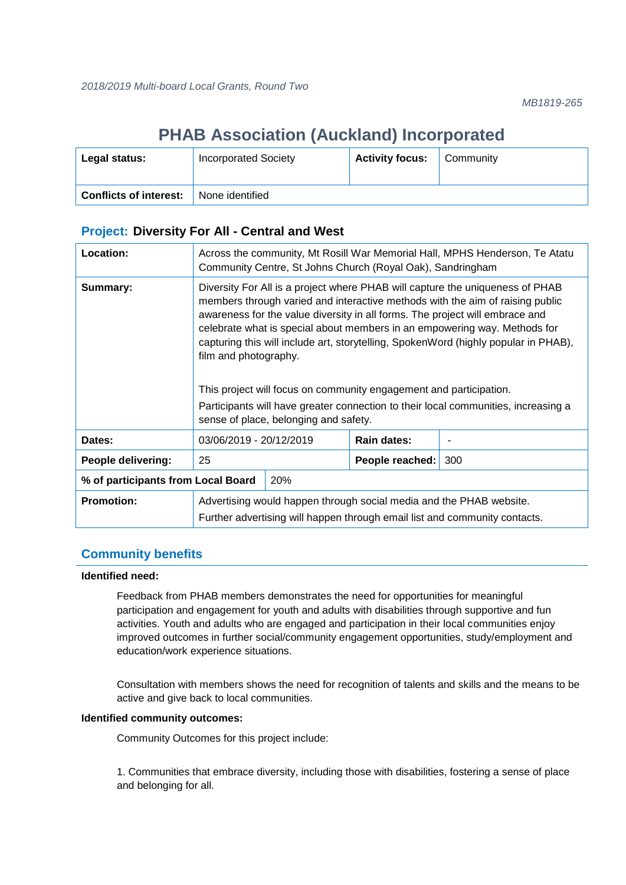# **PHAB Association (Auckland) Incorporated**

| Legal status:                 | <b>Incorporated Society</b> | <b>Activity focus:</b> | Community |
|-------------------------------|-----------------------------|------------------------|-----------|
| <b>Conflicts of interest:</b> | None identified             |                        |           |

### **Project: Diversity For All - Central and West**

| Location:                          |                         | Across the community, Mt Rosill War Memorial Hall, MPHS Henderson, Te Atatu<br>Community Centre, St Johns Church (Royal Oak), Sandringham                                                                                                                                                                                                                                                                                                                                                                                                                                                                                                        |  |  |
|------------------------------------|-------------------------|--------------------------------------------------------------------------------------------------------------------------------------------------------------------------------------------------------------------------------------------------------------------------------------------------------------------------------------------------------------------------------------------------------------------------------------------------------------------------------------------------------------------------------------------------------------------------------------------------------------------------------------------------|--|--|
| Summary:                           |                         | Diversity For All is a project where PHAB will capture the uniqueness of PHAB<br>members through varied and interactive methods with the aim of raising public<br>awareness for the value diversity in all forms. The project will embrace and<br>celebrate what is special about members in an empowering way. Methods for<br>capturing this will include art, storytelling, SpokenWord (highly popular in PHAB),<br>film and photography.<br>This project will focus on community engagement and participation.<br>Participants will have greater connection to their local communities, increasing a<br>sense of place, belonging and safety. |  |  |
| Dates:                             | 03/06/2019 - 20/12/2019 | Rain dates:                                                                                                                                                                                                                                                                                                                                                                                                                                                                                                                                                                                                                                      |  |  |
| People delivering:                 | 25                      | 300<br>People reached:                                                                                                                                                                                                                                                                                                                                                                                                                                                                                                                                                                                                                           |  |  |
| % of participants from Local Board | 20%                     |                                                                                                                                                                                                                                                                                                                                                                                                                                                                                                                                                                                                                                                  |  |  |
| <b>Promotion:</b>                  |                         | Advertising would happen through social media and the PHAB website.<br>Further advertising will happen through email list and community contacts.                                                                                                                                                                                                                                                                                                                                                                                                                                                                                                |  |  |

### **Community benefits**

### **Identified need:**

Feedback from PHAB members demonstrates the need for opportunities for meaningful participation and engagement for youth and adults with disabilities through supportive and fun activities. Youth and adults who are engaged and participation in their local communities enjoy improved outcomes in further social/community engagement opportunities, study/employment and education/work experience situations.

Consultation with members shows the need for recognition of talents and skills and the means to be active and give back to local communities.

#### **Identified community outcomes:**

Community Outcomes for this project include:

1. Communities that embrace diversity, including those with disabilities, fostering a sense of place and belonging for all.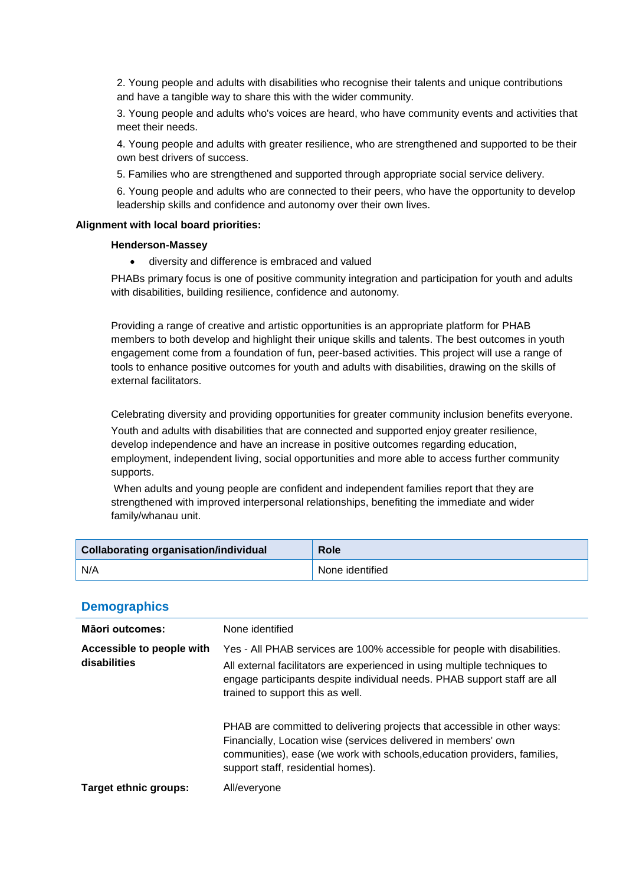2. Young people and adults with disabilities who recognise their talents and unique contributions and have a tangible way to share this with the wider community.

3. Young people and adults who's voices are heard, who have community events and activities that meet their needs.

4. Young people and adults with greater resilience, who are strengthened and supported to be their own best drivers of success.

5. Families who are strengthened and supported through appropriate social service delivery.

6. Young people and adults who are connected to their peers, who have the opportunity to develop leadership skills and confidence and autonomy over their own lives.

#### **Alignment with local board priorities:**

#### **Henderson-Massey**

• diversity and difference is embraced and valued

PHABs primary focus is one of positive community integration and participation for youth and adults with disabilities, building resilience, confidence and autonomy.

Providing a range of creative and artistic opportunities is an appropriate platform for PHAB members to both develop and highlight their unique skills and talents. The best outcomes in youth engagement come from a foundation of fun, peer-based activities. This project will use a range of tools to enhance positive outcomes for youth and adults with disabilities, drawing on the skills of external facilitators.

Celebrating diversity and providing opportunities for greater community inclusion benefits everyone.

Youth and adults with disabilities that are connected and supported enjoy greater resilience, develop independence and have an increase in positive outcomes regarding education, employment, independent living, social opportunities and more able to access further community supports.

When adults and young people are confident and independent families report that they are strengthened with improved interpersonal relationships, benefiting the immediate and wider family/whanau unit.

| <b>Collaborating organisation/individual</b> | <b>Role</b>     |
|----------------------------------------------|-----------------|
| N/A                                          | None identified |

### **Demographics**

| <b>Māori outcomes:</b>                    | None identified                                                                                                                                                                                                                                                        |
|-------------------------------------------|------------------------------------------------------------------------------------------------------------------------------------------------------------------------------------------------------------------------------------------------------------------------|
| Accessible to people with<br>disabilities | Yes - All PHAB services are 100% accessible for people with disabilities.<br>All external facilitators are experienced in using multiple techniques to<br>engage participants despite individual needs. PHAB support staff are all<br>trained to support this as well. |
|                                           | PHAB are committed to delivering projects that accessible in other ways:<br>Financially, Location wise (services delivered in members' own<br>communities), ease (we work with schools, education providers, families,<br>support staff, residential homes).           |
| Target ethnic groups:                     | All/everyone                                                                                                                                                                                                                                                           |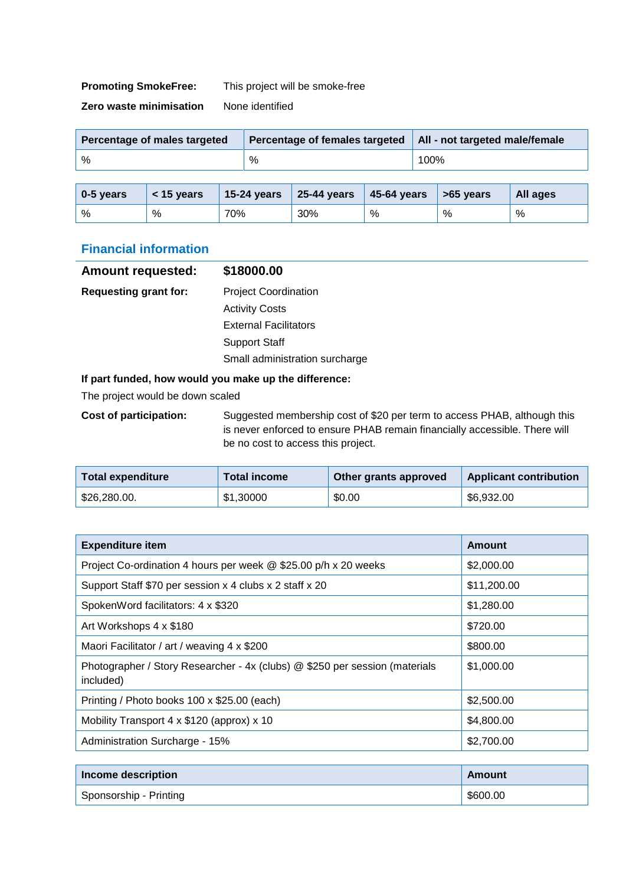**Promoting SmokeFree:** This project will be smoke-free

**Zero waste minimisation** None identified

| Percentage of males targeted | Percentage of females targeted | All - not targeted male/female |
|------------------------------|--------------------------------|--------------------------------|
| $\%$                         | %                              | 100%                           |

| 0-5 years | $<$ 15 years | $15-24$ years | $\vert$ 25-44 years | $\vert$ 45-64 years | $\sim$ 55 years | All ages |
|-----------|--------------|---------------|---------------------|---------------------|-----------------|----------|
| %         | %            | 70%           | 30%                 | %                   | %               | %        |

### **Financial information**

| <b>Amount requested:</b>     | \$18000.00                     |
|------------------------------|--------------------------------|
| <b>Requesting grant for:</b> | <b>Project Coordination</b>    |
|                              | <b>Activity Costs</b>          |
|                              | <b>External Facilitators</b>   |
|                              | <b>Support Staff</b>           |
|                              | Small administration surcharge |
|                              |                                |

### **If part funded, how would you make up the difference:**

The project would be down scaled

**Cost of participation:** Suggested membership cost of \$20 per term to access PHAB, although this is never enforced to ensure PHAB remain financially accessible. There will be no cost to access this project.

| <b>Total expenditure</b> | Total income | Other grants approved | <b>Applicant contribution</b> |
|--------------------------|--------------|-----------------------|-------------------------------|
| \$26,280.00.             | \$1,30000    | \$0.00                | \$6,932.00                    |

| <b>Expenditure item</b>                                                                  | Amount      |
|------------------------------------------------------------------------------------------|-------------|
| Project Co-ordination 4 hours per week @ \$25.00 p/h x 20 weeks                          | \$2,000.00  |
| Support Staff \$70 per session x 4 clubs x 2 staff x 20                                  | \$11,200.00 |
| SpokenWord facilitators: 4 x \$320                                                       | \$1,280.00  |
| Art Workshops 4 x \$180                                                                  | \$720.00    |
| Maori Facilitator / art / weaving 4 x \$200                                              | \$800.00    |
| Photographer / Story Researcher - 4x (clubs) @ \$250 per session (materials<br>included) | \$1,000.00  |
| Printing / Photo books 100 x \$25.00 (each)                                              | \$2,500.00  |
| Mobility Transport 4 x \$120 (approx) x 10                                               | \$4,800.00  |
| Administration Surcharge - 15%                                                           | \$2,700.00  |

| Income description     | Amount   |
|------------------------|----------|
| Sponsorship - Printing | \$600.00 |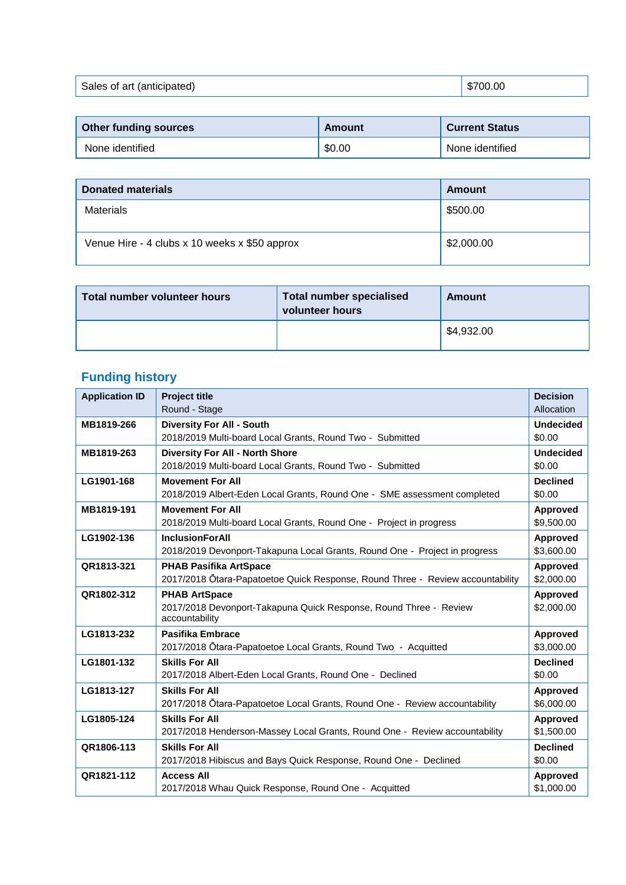| Sales of art (anticipated) | \$700.00 |
|----------------------------|----------|
|----------------------------|----------|

| <b>Other funding sources</b> | Amount | <b>Current Status</b> |
|------------------------------|--------|-----------------------|
| None identified              | \$0.00 | None identified       |

| <b>Donated materials</b>                      | Amount     |
|-----------------------------------------------|------------|
| <b>Materials</b>                              | \$500.00   |
| Venue Hire - 4 clubs x 10 weeks x \$50 approx | \$2,000.00 |

| Total number volunteer hours | <b>Total number specialised</b><br>volunteer hours | <b>Amount</b> |
|------------------------------|----------------------------------------------------|---------------|
|                              |                                                    | \$4,932.00    |

| <b>Application ID</b> | <b>Project title</b>                                                                | <b>Decision</b>  |
|-----------------------|-------------------------------------------------------------------------------------|------------------|
|                       | Round - Stage                                                                       | Allocation       |
| MB1819-266            | <b>Diversity For All - South</b>                                                    | <b>Undecided</b> |
|                       | 2018/2019 Multi-board Local Grants, Round Two - Submitted                           | \$0.00           |
| MB1819-263            | <b>Diversity For All - North Shore</b>                                              | <b>Undecided</b> |
|                       | 2018/2019 Multi-board Local Grants, Round Two - Submitted                           | \$0.00           |
| LG1901-168            | <b>Movement For All</b>                                                             | <b>Declined</b>  |
|                       | 2018/2019 Albert-Eden Local Grants, Round One - SME assessment completed            | \$0.00           |
| MB1819-191            | <b>Movement For All</b>                                                             | <b>Approved</b>  |
|                       | 2018/2019 Multi-board Local Grants, Round One - Project in progress                 | \$9,500.00       |
| LG1902-136            | <b>InclusionForAll</b>                                                              | <b>Approved</b>  |
|                       | 2018/2019 Devonport-Takapuna Local Grants, Round One - Project in progress          | \$3,600.00       |
| QR1813-321            | <b>PHAB Pasifika ArtSpace</b>                                                       | <b>Approved</b>  |
|                       | 2017/2018 Otara-Papatoetoe Quick Response, Round Three - Review accountability      | \$2,000.00       |
| QR1802-312            | <b>PHAB ArtSpace</b>                                                                | <b>Approved</b>  |
|                       | 2017/2018 Devonport-Takapuna Quick Response, Round Three - Review<br>accountability | \$2,000.00       |
| LG1813-232            | Pasifika Embrace                                                                    | <b>Approved</b>  |
|                       | 2017/2018 Ōtara-Papatoetoe Local Grants, Round Two - Acquitted                      | \$3,000.00       |
| LG1801-132            | <b>Skills For All</b>                                                               | <b>Declined</b>  |
|                       | 2017/2018 Albert-Eden Local Grants, Round One - Declined                            | \$0.00           |
| LG1813-127            | <b>Skills For All</b>                                                               | Approved         |
|                       | 2017/2018 Otara-Papatoetoe Local Grants, Round One - Review accountability          | \$6,000.00       |
| LG1805-124            | <b>Skills For All</b>                                                               | Approved         |
|                       | 2017/2018 Henderson-Massey Local Grants, Round One - Review accountability          | \$1,500.00       |
| QR1806-113            | <b>Skills For All</b>                                                               | <b>Declined</b>  |
|                       | 2017/2018 Hibiscus and Bays Quick Response, Round One - Declined                    | \$0.00           |
| QR1821-112            | <b>Access All</b>                                                                   | Approved         |
|                       | 2017/2018 Whau Quick Response, Round One - Acquitted                                | \$1,000.00       |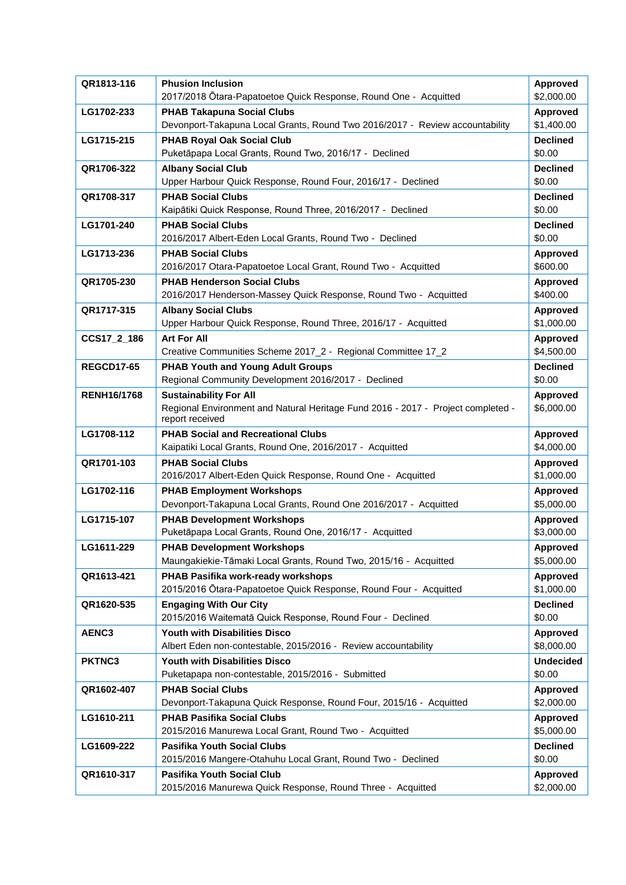| QR1813-116         | <b>Phusion Inclusion</b><br>2017/2018 Ōtara-Papatoetoe Quick Response, Round One - Acquitted                                         | <b>Approved</b><br>\$2,000.00 |
|--------------------|--------------------------------------------------------------------------------------------------------------------------------------|-------------------------------|
| LG1702-233         | <b>PHAB Takapuna Social Clubs</b>                                                                                                    | <b>Approved</b>               |
|                    | Devonport-Takapuna Local Grants, Round Two 2016/2017 - Review accountability                                                         | \$1,400.00                    |
| LG1715-215         | PHAB Royal Oak Social Club<br>Puketāpapa Local Grants, Round Two, 2016/17 - Declined                                                 | <b>Declined</b><br>\$0.00     |
| QR1706-322         | <b>Albany Social Club</b><br>Upper Harbour Quick Response, Round Four, 2016/17 - Declined                                            | <b>Declined</b><br>\$0.00     |
| QR1708-317         | <b>PHAB Social Clubs</b><br>Kaipātiki Quick Response, Round Three, 2016/2017 - Declined                                              | <b>Declined</b><br>\$0.00     |
| LG1701-240         | <b>PHAB Social Clubs</b><br>2016/2017 Albert-Eden Local Grants, Round Two - Declined                                                 | <b>Declined</b><br>\$0.00     |
| LG1713-236         | <b>PHAB Social Clubs</b><br>2016/2017 Otara-Papatoetoe Local Grant, Round Two - Acquitted                                            | <b>Approved</b><br>\$600.00   |
| QR1705-230         | <b>PHAB Henderson Social Clubs</b>                                                                                                   |                               |
|                    | 2016/2017 Henderson-Massey Quick Response, Round Two - Acquitted                                                                     | <b>Approved</b><br>\$400.00   |
| QR1717-315         | <b>Albany Social Clubs</b>                                                                                                           | <b>Approved</b>               |
|                    | Upper Harbour Quick Response, Round Three, 2016/17 - Acquitted                                                                       | \$1,000.00                    |
| CCS17 2 186        | <b>Art For All</b><br>Creative Communities Scheme 2017_2 - Regional Committee 17_2                                                   | Approved<br>\$4,500.00        |
| <b>REGCD17-65</b>  | <b>PHAB Youth and Young Adult Groups</b>                                                                                             | <b>Declined</b>               |
|                    | Regional Community Development 2016/2017 - Declined                                                                                  | \$0.00                        |
| <b>RENH16/1768</b> | <b>Sustainability For All</b><br>Regional Environment and Natural Heritage Fund 2016 - 2017 - Project completed -<br>report received | Approved<br>\$6,000.00        |
| LG1708-112         | <b>PHAB Social and Recreational Clubs</b>                                                                                            | <b>Approved</b>               |
|                    | Kaipatiki Local Grants, Round One, 2016/2017 - Acquitted                                                                             | \$4,000.00                    |
| QR1701-103         | <b>PHAB Social Clubs</b>                                                                                                             | <b>Approved</b>               |
|                    | 2016/2017 Albert-Eden Quick Response, Round One - Acquitted                                                                          | \$1,000.00                    |
| LG1702-116         | <b>PHAB Employment Workshops</b>                                                                                                     | Approved                      |
|                    | Devonport-Takapuna Local Grants, Round One 2016/2017 - Acquitted                                                                     | \$5,000.00                    |
| LG1715-107         | <b>PHAB Development Workshops</b><br>Puketāpapa Local Grants, Round One, 2016/17 - Acquitted                                         | Approved<br>\$3,000.00        |
| LG1611-229         | <b>PHAB Development Workshops</b>                                                                                                    | Approved                      |
|                    | Maungakiekie-Tāmaki Local Grants, Round Two, 2015/16 - Acquitted                                                                     | \$5,000.00                    |
| QR1613-421         | PHAB Pasifika work-ready workshops<br>2015/2016 Ōtara-Papatoetoe Quick Response, Round Four - Acquitted                              | Approved<br>\$1,000.00        |
| QR1620-535         | <b>Engaging With Our City</b><br>2015/2016 Waitematā Quick Response, Round Four - Declined                                           | <b>Declined</b><br>\$0.00     |
| AENC3              | Youth with Disabilities Disco<br>Albert Eden non-contestable, 2015/2016 - Review accountability                                      | Approved<br>\$8,000.00        |
| <b>PKTNC3</b>      | <b>Youth with Disabilities Disco</b><br>Puketapapa non-contestable, 2015/2016 - Submitted                                            | <b>Undecided</b><br>\$0.00    |
| QR1602-407         | <b>PHAB Social Clubs</b>                                                                                                             | Approved                      |
|                    | Devonport-Takapuna Quick Response, Round Four, 2015/16 - Acquitted                                                                   | \$2,000.00                    |
| LG1610-211         | <b>PHAB Pasifika Social Clubs</b>                                                                                                    | Approved                      |
|                    | 2015/2016 Manurewa Local Grant, Round Two - Acquitted                                                                                | \$5,000.00                    |
| LG1609-222         | <b>Pasifika Youth Social Clubs</b>                                                                                                   | <b>Declined</b>               |
|                    | 2015/2016 Mangere-Otahuhu Local Grant, Round Two - Declined                                                                          | \$0.00                        |
| QR1610-317         | <b>Pasifika Youth Social Club</b><br>2015/2016 Manurewa Quick Response, Round Three - Acquitted                                      | Approved<br>\$2,000.00        |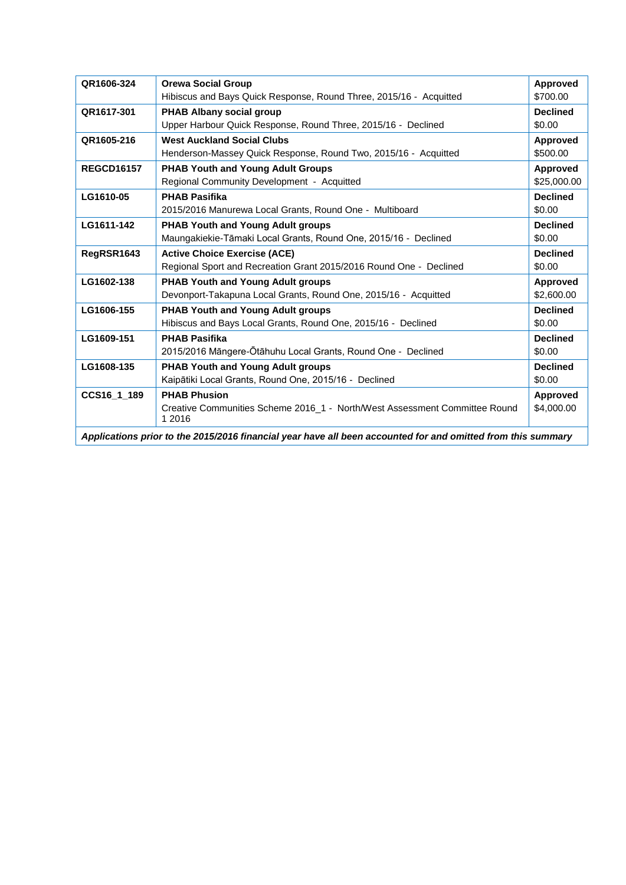| QR1606-324        | <b>Orewa Social Group</b><br>Hibiscus and Bays Quick Response, Round Three, 2015/16 - Acquitted              | Approved<br>\$700.00           |
|-------------------|--------------------------------------------------------------------------------------------------------------|--------------------------------|
| QR1617-301        | PHAB Albany social group<br>Upper Harbour Quick Response, Round Three, 2015/16 - Declined                    | <b>Declined</b><br>\$0.00      |
| QR1605-216        | <b>West Auckland Social Clubs</b><br>Henderson-Massey Quick Response, Round Two, 2015/16 - Acquitted         | <b>Approved</b><br>\$500.00    |
| <b>REGCD16157</b> | <b>PHAB Youth and Young Adult Groups</b><br>Regional Community Development - Acquitted                       | <b>Approved</b><br>\$25,000.00 |
| LG1610-05         | <b>PHAB Pasifika</b><br>2015/2016 Manurewa Local Grants, Round One - Multiboard                              | <b>Declined</b><br>\$0.00      |
| LG1611-142        | PHAB Youth and Young Adult groups<br>Maungakiekie-Tāmaki Local Grants, Round One, 2015/16 - Declined         | <b>Declined</b><br>\$0.00      |
| RegRSR1643        | <b>Active Choice Exercise (ACE)</b><br>Regional Sport and Recreation Grant 2015/2016 Round One - Declined    | <b>Declined</b><br>\$0.00      |
| LG1602-138        | <b>PHAB Youth and Young Adult groups</b><br>Devonport-Takapuna Local Grants, Round One, 2015/16 - Acquitted  | <b>Approved</b><br>\$2,600.00  |
| LG1606-155        | <b>PHAB Youth and Young Adult groups</b><br>Hibiscus and Bays Local Grants, Round One, 2015/16 - Declined    | <b>Declined</b><br>\$0.00      |
| LG1609-151        | <b>PHAB Pasifika</b><br>2015/2016 Mängere-Ōtāhuhu Local Grants, Round One - Declined                         | <b>Declined</b><br>\$0.00      |
| LG1608-135        | <b>PHAB Youth and Young Adult groups</b><br>Kaipātiki Local Grants, Round One, 2015/16 - Declined            | <b>Declined</b><br>\$0.00      |
| CCS16_1_189       | <b>PHAB Phusion</b><br>Creative Communities Scheme 2016_1 - North/West Assessment Committee Round<br>1 2016  | Approved<br>\$4,000.00         |
|                   | Applications prior to the 2015/2016 financial year have all been accounted for and omitted from this summary |                                |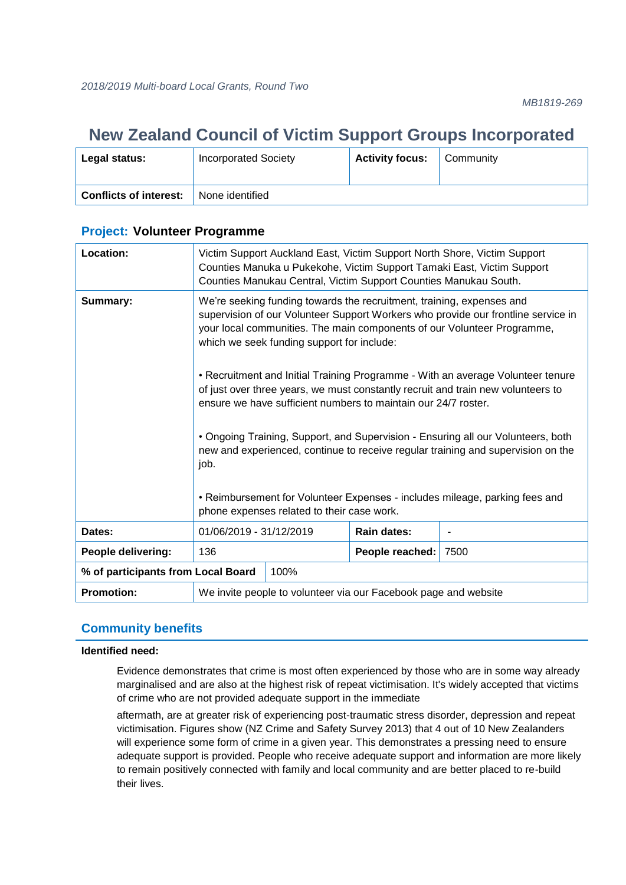# **New Zealand Council of Victim Support Groups Incorporated**

| Legal status:                 | <b>Incorporated Society</b> | <b>Activity focus:</b> | Community |
|-------------------------------|-----------------------------|------------------------|-----------|
| <b>Conflicts of interest:</b> | None identified             |                        |           |

| Location:                          | Victim Support Auckland East, Victim Support North Shore, Victim Support<br>Counties Manuka u Pukekohe, Victim Support Tamaki East, Victim Support<br>Counties Manukau Central, Victim Support Counties Manukau South.                                                              |      |                 |      |
|------------------------------------|-------------------------------------------------------------------------------------------------------------------------------------------------------------------------------------------------------------------------------------------------------------------------------------|------|-----------------|------|
| Summary:                           | We're seeking funding towards the recruitment, training, expenses and<br>supervision of our Volunteer Support Workers who provide our frontline service in<br>your local communities. The main components of our Volunteer Programme,<br>which we seek funding support for include: |      |                 |      |
|                                    | • Recruitment and Initial Training Programme - With an average Volunteer tenure<br>of just over three years, we must constantly recruit and train new volunteers to<br>ensure we have sufficient numbers to maintain our 24/7 roster.                                               |      |                 |      |
|                                    | • Ongoing Training, Support, and Supervision - Ensuring all our Volunteers, both<br>new and experienced, continue to receive regular training and supervision on the<br>job.                                                                                                        |      |                 |      |
|                                    | • Reimbursement for Volunteer Expenses - includes mileage, parking fees and<br>phone expenses related to their case work.                                                                                                                                                           |      |                 |      |
| Dates:                             | 01/06/2019 - 31/12/2019<br>Rain dates:                                                                                                                                                                                                                                              |      |                 |      |
| People delivering:                 | 136                                                                                                                                                                                                                                                                                 |      | People reached: | 7500 |
| % of participants from Local Board |                                                                                                                                                                                                                                                                                     | 100% |                 |      |
| <b>Promotion:</b>                  | We invite people to volunteer via our Facebook page and website                                                                                                                                                                                                                     |      |                 |      |

### **Project: Volunteer Programme**

### **Community benefits**

### **Identified need:**

Evidence demonstrates that crime is most often experienced by those who are in some way already marginalised and are also at the highest risk of repeat victimisation. It's widely accepted that victims of crime who are not provided adequate support in the immediate

aftermath, are at greater risk of experiencing post-traumatic stress disorder, depression and repeat victimisation. Figures show (NZ Crime and Safety Survey 2013) that 4 out of 10 New Zealanders will experience some form of crime in a given year. This demonstrates a pressing need to ensure adequate support is provided. People who receive adequate support and information are more likely to remain positively connected with family and local community and are better placed to re-build their lives.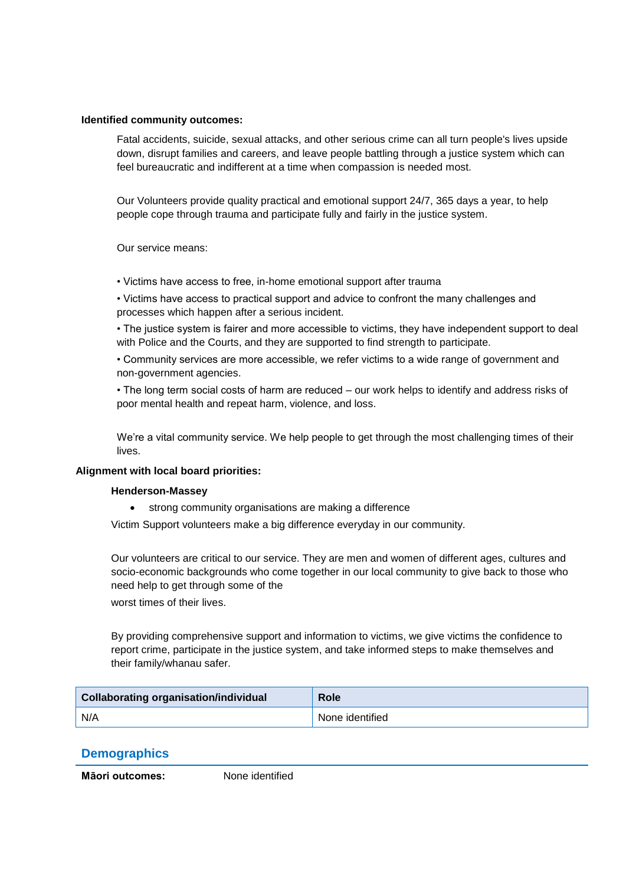#### **Identified community outcomes:**

Fatal accidents, suicide, sexual attacks, and other serious crime can all turn people's lives upside down, disrupt families and careers, and leave people battling through a justice system which can feel bureaucratic and indifferent at a time when compassion is needed most.

Our Volunteers provide quality practical and emotional support 24/7, 365 days a year, to help people cope through trauma and participate fully and fairly in the justice system.

Our service means:

• Victims have access to free, in-home emotional support after trauma

• Victims have access to practical support and advice to confront the many challenges and processes which happen after a serious incident.

• The justice system is fairer and more accessible to victims, they have independent support to deal with Police and the Courts, and they are supported to find strength to participate.

• Community services are more accessible, we refer victims to a wide range of government and non-government agencies.

• The long term social costs of harm are reduced – our work helps to identify and address risks of poor mental health and repeat harm, violence, and loss.

We're a vital community service. We help people to get through the most challenging times of their lives.

### **Alignment with local board priorities:**

#### **Henderson-Massey**

strong community organisations are making a difference

Victim Support volunteers make a big difference everyday in our community.

Our volunteers are critical to our service. They are men and women of different ages, cultures and socio-economic backgrounds who come together in our local community to give back to those who need help to get through some of the

worst times of their lives.

By providing comprehensive support and information to victims, we give victims the confidence to report crime, participate in the justice system, and take informed steps to make themselves and their family/whanau safer.

| <b>Collaborating organisation/individual</b> | <b>Role</b>     |
|----------------------------------------------|-----------------|
| N/A                                          | None identified |

### **Demographics**

**Māori outcomes:** None identified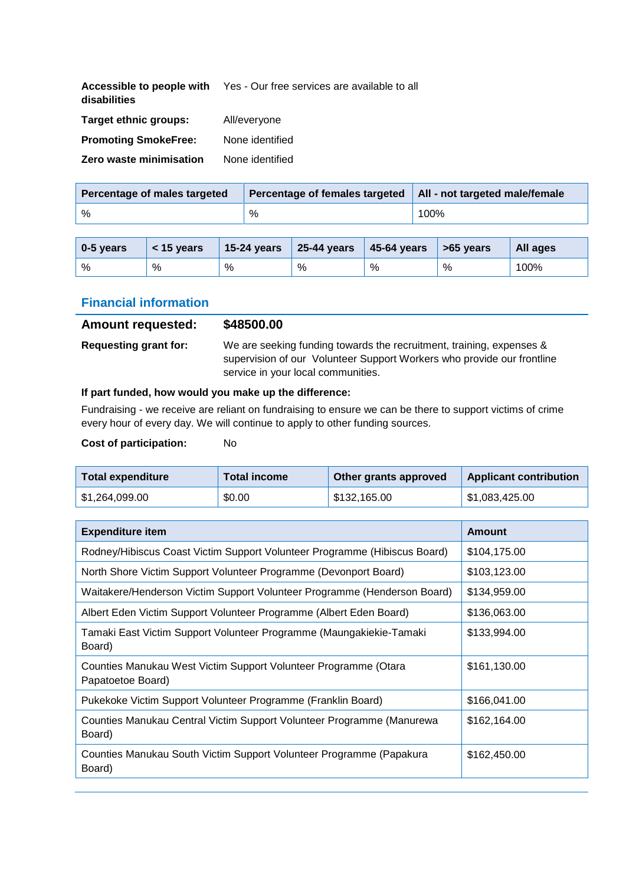| disabilities                | Accessible to people with Yes - Our free services are available to all |
|-----------------------------|------------------------------------------------------------------------|
| Target ethnic groups:       | All/everyone                                                           |
| <b>Promoting SmokeFree:</b> | None identified                                                        |
| Zero waste minimisation     | None identified                                                        |

| Percentage of males targeted | Percentage of females targeted   All - not targeted male/female |      |
|------------------------------|-----------------------------------------------------------------|------|
| %                            | %                                                               | 100% |

| 0-5 years | $<$ 15 years | $15-24$ years |   | 25-44 years   45-64 years   >65 years |   | All ages |
|-----------|--------------|---------------|---|---------------------------------------|---|----------|
| %         | %            | %             | % | %                                     | % | 100%     |

### **Financial information**

| <b>Amount requested:</b> | \$48500.00                                                                                                                                                                           |
|--------------------------|--------------------------------------------------------------------------------------------------------------------------------------------------------------------------------------|
| Requesting grant for:    | We are seeking funding towards the recruitment, training, expenses &<br>supervision of our Volunteer Support Workers who provide our frontline<br>service in your local communities. |

### **If part funded, how would you make up the difference:**

Fundraising - we receive are reliant on fundraising to ensure we can be there to support victims of crime every hour of every day. We will continue to apply to other funding sources.

### **Cost of participation:** No

| <b>Total expenditure</b> | Total income | Other grants approved | <b>Applicant contribution</b> |
|--------------------------|--------------|-----------------------|-------------------------------|
| \$1,264,099.00           | \$0.00       | \$132,165.00          | \$1,083,425.00                |

| <b>Expenditure item</b>                                                              | <b>Amount</b> |
|--------------------------------------------------------------------------------------|---------------|
| Rodney/Hibiscus Coast Victim Support Volunteer Programme (Hibiscus Board)            | \$104,175.00  |
| North Shore Victim Support Volunteer Programme (Devonport Board)                     | \$103,123.00  |
| Waitakere/Henderson Victim Support Volunteer Programme (Henderson Board)             | \$134,959.00  |
| Albert Eden Victim Support Volunteer Programme (Albert Eden Board)                   | \$136,063.00  |
| Tamaki East Victim Support Volunteer Programme (Maungakiekie-Tamaki<br>Board)        | \$133,994.00  |
| Counties Manukau West Victim Support Volunteer Programme (Otara<br>Papatoetoe Board) | \$161,130.00  |
| Pukekoke Victim Support Volunteer Programme (Franklin Board)                         | \$166,041.00  |
| Counties Manukau Central Victim Support Volunteer Programme (Manurewa<br>Board)      | \$162,164.00  |
| Counties Manukau South Victim Support Volunteer Programme (Papakura<br>Board)        | \$162,450.00  |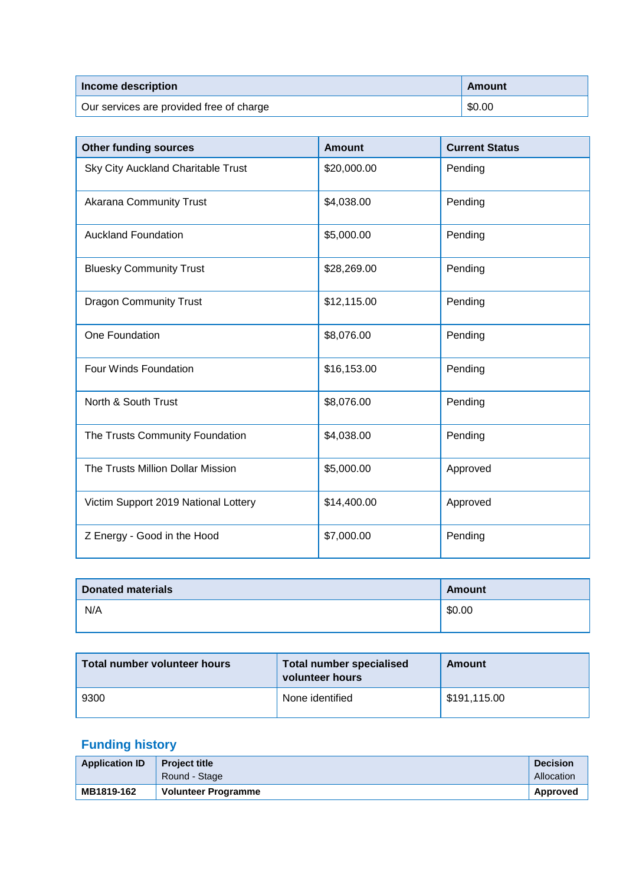| Income description                       | Amount |
|------------------------------------------|--------|
| Our services are provided free of charge | \$0.00 |

| <b>Other funding sources</b>         | <b>Amount</b> | <b>Current Status</b> |
|--------------------------------------|---------------|-----------------------|
| Sky City Auckland Charitable Trust   | \$20,000.00   | Pending               |
| <b>Akarana Community Trust</b>       | \$4,038.00    | Pending               |
| <b>Auckland Foundation</b>           | \$5,000.00    | Pending               |
| <b>Bluesky Community Trust</b>       | \$28,269.00   | Pending               |
| <b>Dragon Community Trust</b>        | \$12,115.00   | Pending               |
| One Foundation                       | \$8,076.00    | Pending               |
| Four Winds Foundation                | \$16,153.00   | Pending               |
| North & South Trust                  | \$8,076.00    | Pending               |
| The Trusts Community Foundation      | \$4,038.00    | Pending               |
| The Trusts Million Dollar Mission    | \$5,000.00    | Approved              |
| Victim Support 2019 National Lottery | \$14,400.00   | Approved              |
| Z Energy - Good in the Hood          | \$7,000.00    | Pending               |

| Donated materials | Amount |
|-------------------|--------|
| N/A               | \$0.00 |

| Total number volunteer hours | <b>Total number specialised</b><br>volunteer hours | Amount       |
|------------------------------|----------------------------------------------------|--------------|
| 9300                         | None identified                                    | \$191,115.00 |

| <b>Application ID</b> | <b>Project title</b>       | <b>Decision</b> |
|-----------------------|----------------------------|-----------------|
|                       | Round - Stage              | Allocation      |
| MB1819-162            | <b>Volunteer Programme</b> | Approved        |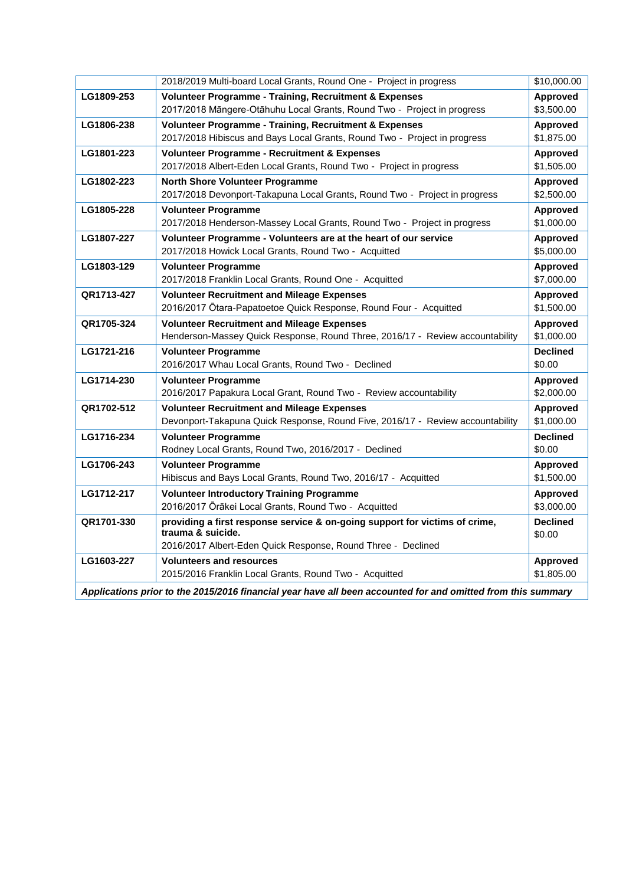|                                                                                                              | 2018/2019 Multi-board Local Grants, Round One - Project in progress                                                                            | \$10,000.00            |  |
|--------------------------------------------------------------------------------------------------------------|------------------------------------------------------------------------------------------------------------------------------------------------|------------------------|--|
| LG1809-253                                                                                                   | Volunteer Programme - Training, Recruitment & Expenses<br>2017/2018 Mängere-Otähuhu Local Grants, Round Two - Project in progress              | Approved<br>\$3,500.00 |  |
|                                                                                                              |                                                                                                                                                |                        |  |
| LG1806-238                                                                                                   | <b>Volunteer Programme - Training, Recruitment &amp; Expenses</b><br>2017/2018 Hibiscus and Bays Local Grants, Round Two - Project in progress | Approved<br>\$1,875.00 |  |
| LG1801-223                                                                                                   | Volunteer Programme - Recruitment & Expenses                                                                                                   | <b>Approved</b>        |  |
|                                                                                                              | 2017/2018 Albert-Eden Local Grants, Round Two - Project in progress                                                                            | \$1,505.00             |  |
| LG1802-223                                                                                                   | <b>North Shore Volunteer Programme</b>                                                                                                         | <b>Approved</b>        |  |
|                                                                                                              | 2017/2018 Devonport-Takapuna Local Grants, Round Two - Project in progress                                                                     | \$2,500.00             |  |
| LG1805-228                                                                                                   | <b>Volunteer Programme</b>                                                                                                                     | Approved               |  |
|                                                                                                              | 2017/2018 Henderson-Massey Local Grants, Round Two - Project in progress                                                                       | \$1,000.00             |  |
| LG1807-227                                                                                                   | Volunteer Programme - Volunteers are at the heart of our service                                                                               | <b>Approved</b>        |  |
|                                                                                                              | 2017/2018 Howick Local Grants, Round Two - Acquitted                                                                                           | \$5,000.00             |  |
| LG1803-129                                                                                                   | <b>Volunteer Programme</b>                                                                                                                     | Approved               |  |
|                                                                                                              | 2017/2018 Franklin Local Grants, Round One - Acquitted                                                                                         | \$7,000.00             |  |
| QR1713-427                                                                                                   | <b>Volunteer Recruitment and Mileage Expenses</b>                                                                                              | <b>Approved</b>        |  |
|                                                                                                              | 2016/2017 Ōtara-Papatoetoe Quick Response, Round Four - Acquitted                                                                              | \$1,500.00             |  |
| QR1705-324                                                                                                   | <b>Volunteer Recruitment and Mileage Expenses</b><br>Henderson-Massey Quick Response, Round Three, 2016/17 - Review accountability             | Approved<br>\$1,000.00 |  |
| LG1721-216                                                                                                   | <b>Volunteer Programme</b>                                                                                                                     | <b>Declined</b>        |  |
|                                                                                                              | 2016/2017 Whau Local Grants, Round Two - Declined                                                                                              | \$0.00                 |  |
| LG1714-230                                                                                                   | <b>Volunteer Programme</b>                                                                                                                     | Approved               |  |
|                                                                                                              | 2016/2017 Papakura Local Grant, Round Two - Review accountability                                                                              | \$2,000.00             |  |
| QR1702-512                                                                                                   | <b>Volunteer Recruitment and Mileage Expenses</b>                                                                                              | <b>Approved</b>        |  |
|                                                                                                              | Devonport-Takapuna Quick Response, Round Five, 2016/17 - Review accountability                                                                 | \$1,000.00             |  |
| LG1716-234                                                                                                   | <b>Volunteer Programme</b>                                                                                                                     | <b>Declined</b>        |  |
|                                                                                                              | Rodney Local Grants, Round Two, 2016/2017 - Declined                                                                                           | \$0.00                 |  |
| LG1706-243                                                                                                   | <b>Volunteer Programme</b>                                                                                                                     | Approved               |  |
|                                                                                                              | Hibiscus and Bays Local Grants, Round Two, 2016/17 - Acquitted                                                                                 | \$1,500.00             |  |
| LG1712-217                                                                                                   | <b>Volunteer Introductory Training Programme</b>                                                                                               | Approved               |  |
|                                                                                                              | 2016/2017 Ōrākei Local Grants, Round Two - Acquitted                                                                                           | \$3,000.00             |  |
| QR1701-330                                                                                                   | providing a first response service & on-going support for victims of crime,<br>trauma & suicide.                                               | <b>Declined</b>        |  |
|                                                                                                              | 2016/2017 Albert-Eden Quick Response, Round Three - Declined                                                                                   | \$0.00                 |  |
| LG1603-227                                                                                                   | <b>Volunteers and resources</b>                                                                                                                | <b>Approved</b>        |  |
|                                                                                                              | 2015/2016 Franklin Local Grants, Round Two - Acquitted                                                                                         | \$1,805.00             |  |
|                                                                                                              |                                                                                                                                                |                        |  |
| Applications prior to the 2015/2016 financial year have all been accounted for and omitted from this summary |                                                                                                                                                |                        |  |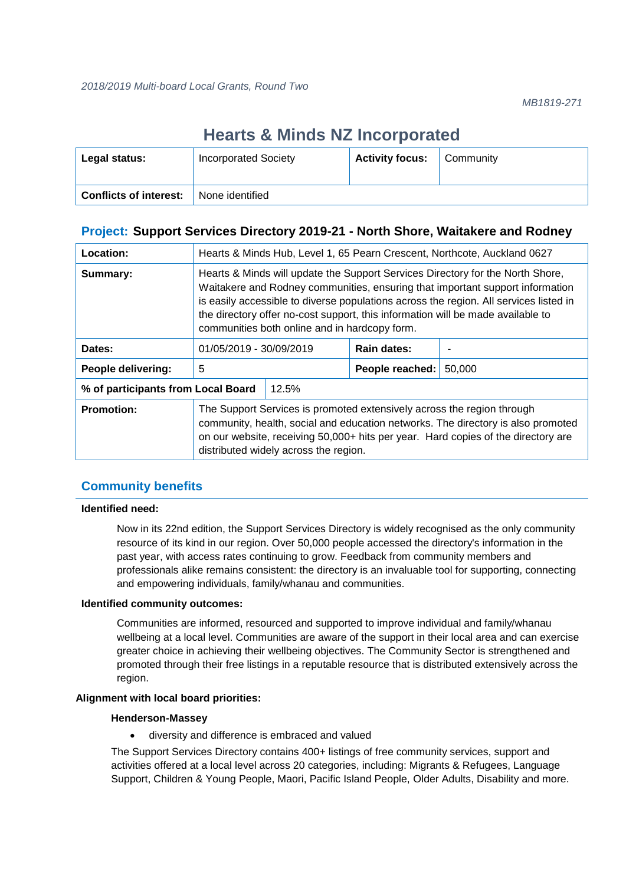# **Hearts & Minds NZ Incorporated**

| Legal status:                 | <b>Incorporated Society</b> | <b>Activity focus:</b> | Community |
|-------------------------------|-----------------------------|------------------------|-----------|
| <b>Conflicts of interest:</b> | None identified             |                        |           |

### **Project: Support Services Directory 2019-21 - North Shore, Waitakere and Rodney**

| Location:                          | Hearts & Minds Hub, Level 1, 65 Pearn Crescent, Northcote, Auckland 0627                                                                                                                                                                                                                                                                                                                     |       |                 |        |
|------------------------------------|----------------------------------------------------------------------------------------------------------------------------------------------------------------------------------------------------------------------------------------------------------------------------------------------------------------------------------------------------------------------------------------------|-------|-----------------|--------|
| Summary:                           | Hearts & Minds will update the Support Services Directory for the North Shore,<br>Waitakere and Rodney communities, ensuring that important support information<br>is easily accessible to diverse populations across the region. All services listed in<br>the directory offer no-cost support, this information will be made available to<br>communities both online and in hardcopy form. |       |                 |        |
| Dates:                             | 01/05/2019 - 30/09/2019                                                                                                                                                                                                                                                                                                                                                                      |       | Rain dates:     |        |
| People delivering:                 | 5                                                                                                                                                                                                                                                                                                                                                                                            |       | People reached: | 50,000 |
| % of participants from Local Board |                                                                                                                                                                                                                                                                                                                                                                                              | 12.5% |                 |        |
| <b>Promotion:</b>                  | The Support Services is promoted extensively across the region through<br>community, health, social and education networks. The directory is also promoted<br>on our website, receiving 50,000+ hits per year. Hard copies of the directory are<br>distributed widely across the region.                                                                                                     |       |                 |        |

### **Community benefits**

#### **Identified need:**

Now in its 22nd edition, the Support Services Directory is widely recognised as the only community resource of its kind in our region. Over 50,000 people accessed the directory's information in the past year, with access rates continuing to grow. Feedback from community members and professionals alike remains consistent: the directory is an invaluable tool for supporting, connecting and empowering individuals, family/whanau and communities.

### **Identified community outcomes:**

Communities are informed, resourced and supported to improve individual and family/whanau wellbeing at a local level. Communities are aware of the support in their local area and can exercise greater choice in achieving their wellbeing objectives. The Community Sector is strengthened and promoted through their free listings in a reputable resource that is distributed extensively across the region.

#### **Alignment with local board priorities:**

#### **Henderson-Massey**

• diversity and difference is embraced and valued

The Support Services Directory contains 400+ listings of free community services, support and activities offered at a local level across 20 categories, including: Migrants & Refugees, Language Support, Children & Young People, Maori, Pacific Island People, Older Adults, Disability and more.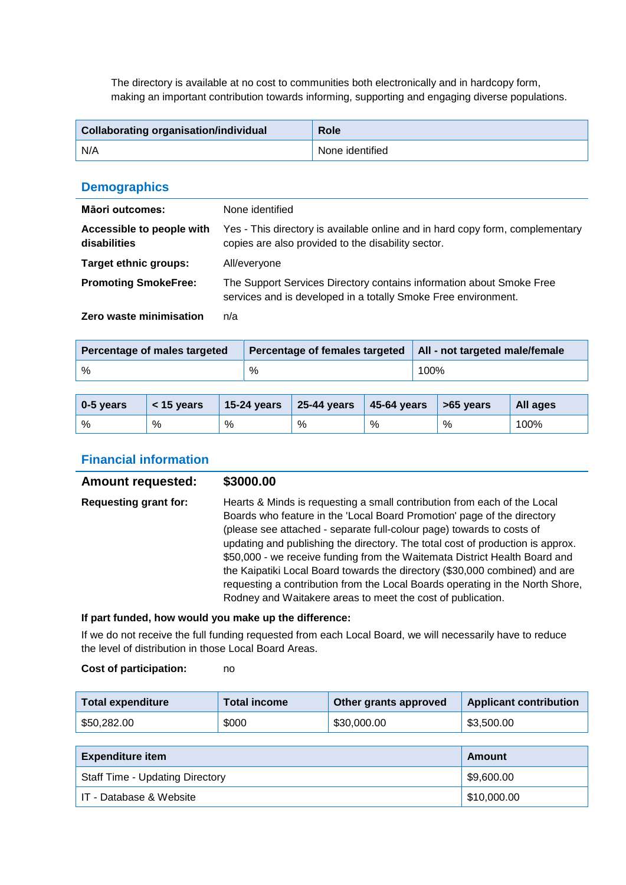The directory is available at no cost to communities both electronically and in hardcopy form, making an important contribution towards informing, supporting and engaging diverse populations.

| <b>Collaborating organisation/individual</b> | <b>Role</b>     |
|----------------------------------------------|-----------------|
| N/A                                          | None identified |

### **Demographics**

| Māori outcomes:                           | None identified                                                                                                                        |
|-------------------------------------------|----------------------------------------------------------------------------------------------------------------------------------------|
| Accessible to people with<br>disabilities | Yes - This directory is available online and in hard copy form, complementary<br>copies are also provided to the disability sector.    |
| <b>Target ethnic groups:</b>              | All/everyone                                                                                                                           |
| <b>Promoting SmokeFree:</b>               | The Support Services Directory contains information about Smoke Free<br>services and is developed in a totally Smoke Free environment. |
| Zero waste minimisation                   | n/a                                                                                                                                    |

| Percentage of males targeted | Percentage of females targeted   All - not targeted male/female |      |
|------------------------------|-----------------------------------------------------------------|------|
| %                            | %                                                               | 100% |

| 0-5 years | $<$ 15 vears | $15-24$ years | $\vert$ 25-44 years | 45-64 years | $\sim$ 55 years | All ages |
|-----------|--------------|---------------|---------------------|-------------|-----------------|----------|
| %         | %            | %             | %                   | %           | %               | 100%     |

### **Financial information**

| <b>Amount requested:</b>     | \$3000.00                                                                                                                                                                                                                                                                                                                                                                                                                                                                                                                                                                                                                   |
|------------------------------|-----------------------------------------------------------------------------------------------------------------------------------------------------------------------------------------------------------------------------------------------------------------------------------------------------------------------------------------------------------------------------------------------------------------------------------------------------------------------------------------------------------------------------------------------------------------------------------------------------------------------------|
| <b>Requesting grant for:</b> | Hearts & Minds is requesting a small contribution from each of the Local<br>Boards who feature in the 'Local Board Promotion' page of the directory<br>(please see attached - separate full-colour page) towards to costs of<br>updating and publishing the directory. The total cost of production is approx.<br>\$50,000 - we receive funding from the Waitemata District Health Board and<br>the Kaipatiki Local Board towards the directory (\$30,000 combined) and are<br>requesting a contribution from the Local Boards operating in the North Shore,<br>Rodney and Waitakere areas to meet the cost of publication. |

### **If part funded, how would you make up the difference:**

If we do not receive the full funding requested from each Local Board, we will necessarily have to reduce the level of distribution in those Local Board Areas.

#### **Cost of participation:** no

| <b>Total expenditure</b> | Total income | Other grants approved | <b>Applicant contribution</b> |
|--------------------------|--------------|-----------------------|-------------------------------|
| \$50,282.00              | \$000        | \$30,000.00           | \$3,500.00                    |

| <b>Expenditure item</b>                | Amount      |
|----------------------------------------|-------------|
| <b>Staff Time - Updating Directory</b> | \$9,600.00  |
| IT - Database & Website                | \$10,000.00 |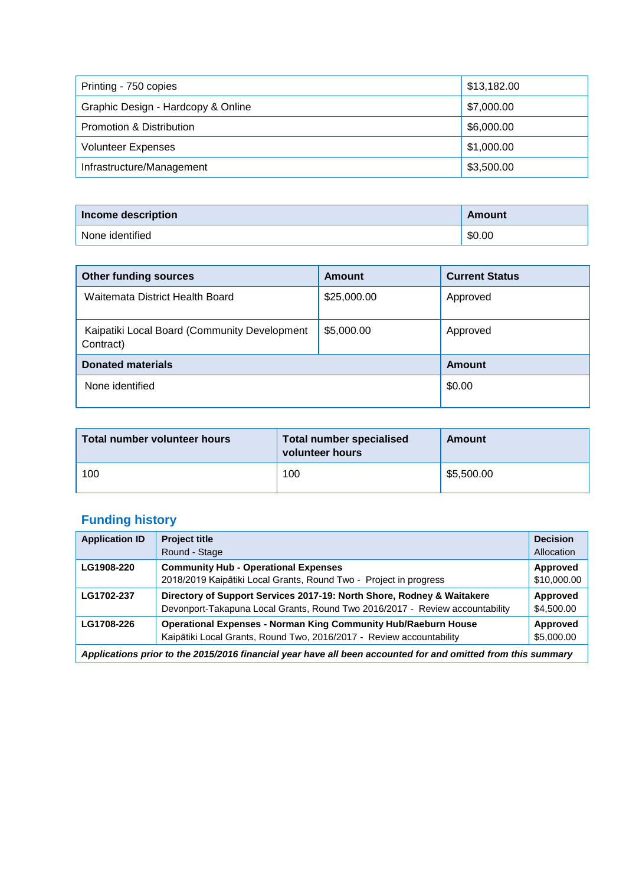| Printing - 750 copies              | \$13,182.00 |
|------------------------------------|-------------|
| Graphic Design - Hardcopy & Online | \$7,000.00  |
| Promotion & Distribution           | \$6,000.00  |
| <b>Volunteer Expenses</b>          | \$1,000.00  |
| Infrastructure/Management          | \$3,500.00  |

| Income description | Amount |
|--------------------|--------|
| None identified    | \$0.00 |

| <b>Other funding sources</b>                              | Amount        | <b>Current Status</b> |
|-----------------------------------------------------------|---------------|-----------------------|
| Waitemata District Health Board                           | \$25,000.00   | Approved              |
| Kaipatiki Local Board (Community Development<br>Contract) | \$5,000.00    | Approved              |
| <b>Donated materials</b>                                  | <b>Amount</b> |                       |
| None identified                                           | \$0.00        |                       |

| <b>Total number specialised</b><br>Total number volunteer hours<br>volunteer hours |     | Amount     |
|------------------------------------------------------------------------------------|-----|------------|
| 100                                                                                | 100 | \$5,500.00 |

| <b>Application ID</b>                                                                                        | <b>Project title</b>                                                         | <b>Decision</b> |  |
|--------------------------------------------------------------------------------------------------------------|------------------------------------------------------------------------------|-----------------|--|
|                                                                                                              | Round - Stage                                                                | Allocation      |  |
| LG1908-220                                                                                                   | <b>Community Hub - Operational Expenses</b>                                  | Approved        |  |
|                                                                                                              | 2018/2019 Kaipātiki Local Grants, Round Two - Project in progress            | \$10,000.00     |  |
| LG1702-237                                                                                                   | Directory of Support Services 2017-19: North Shore, Rodney & Waitakere       | Approved        |  |
|                                                                                                              | Devonport-Takapuna Local Grants, Round Two 2016/2017 - Review accountability | \$4,500.00      |  |
| LG1708-226                                                                                                   | <b>Operational Expenses - Norman King Community Hub/Raeburn House</b>        | <b>Approved</b> |  |
|                                                                                                              | Kaipātiki Local Grants, Round Two, 2016/2017 - Review accountability         | \$5,000.00      |  |
| Applications prior to the 2015/2016 financial year have all been accounted for and omitted from this summary |                                                                              |                 |  |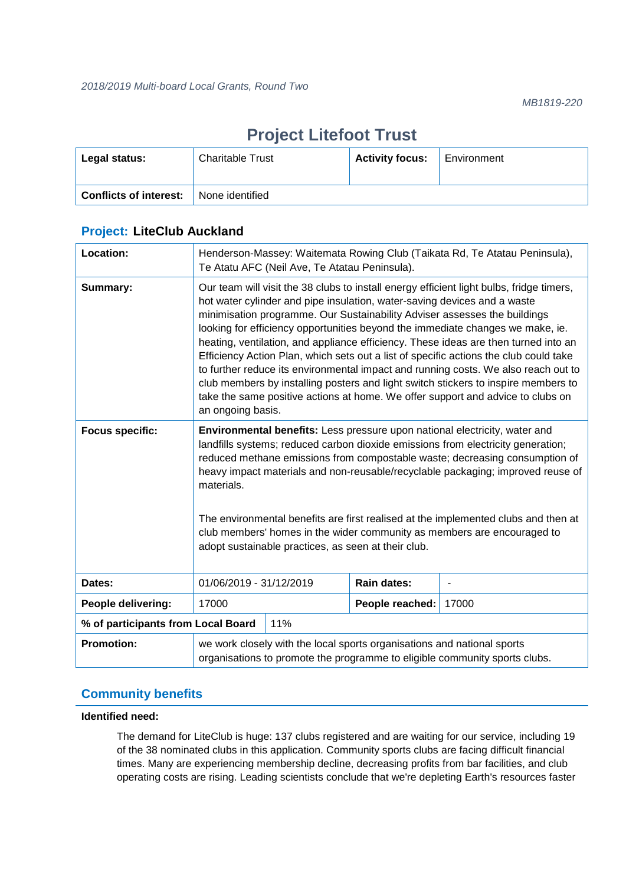# **Project Litefoot Trust**

| Legal status:                 | <b>Charitable Trust</b> | <b>Activity focus:</b> | Environment |
|-------------------------------|-------------------------|------------------------|-------------|
| <b>Conflicts of interest:</b> | None identified         |                        |             |

| Location:                          | Henderson-Massey: Waitemata Rowing Club (Taikata Rd, Te Atatau Peninsula),<br>Te Atatu AFC (Neil Ave, Te Atatau Peninsula).                                                                                                                                                                                                                                                                                                                                                                                                                                                                                                                                                                                                                                                                             |  |  |  |
|------------------------------------|---------------------------------------------------------------------------------------------------------------------------------------------------------------------------------------------------------------------------------------------------------------------------------------------------------------------------------------------------------------------------------------------------------------------------------------------------------------------------------------------------------------------------------------------------------------------------------------------------------------------------------------------------------------------------------------------------------------------------------------------------------------------------------------------------------|--|--|--|
| Summary:                           | Our team will visit the 38 clubs to install energy efficient light bulbs, fridge timers,<br>hot water cylinder and pipe insulation, water-saving devices and a waste<br>minimisation programme. Our Sustainability Adviser assesses the buildings<br>looking for efficiency opportunities beyond the immediate changes we make, ie.<br>heating, ventilation, and appliance efficiency. These ideas are then turned into an<br>Efficiency Action Plan, which sets out a list of specific actions the club could take<br>to further reduce its environmental impact and running costs. We also reach out to<br>club members by installing posters and light switch stickers to inspire members to<br>take the same positive actions at home. We offer support and advice to clubs on<br>an ongoing basis. |  |  |  |
| <b>Focus specific:</b>             | Environmental benefits: Less pressure upon national electricity, water and<br>landfills systems; reduced carbon dioxide emissions from electricity generation;<br>reduced methane emissions from compostable waste; decreasing consumption of<br>heavy impact materials and non-reusable/recyclable packaging; improved reuse of<br>materials.<br>The environmental benefits are first realised at the implemented clubs and then at<br>club members' homes in the wider community as members are encouraged to<br>adopt sustainable practices, as seen at their club.                                                                                                                                                                                                                                  |  |  |  |
| Dates:                             | Rain dates:<br>01/06/2019 - 31/12/2019                                                                                                                                                                                                                                                                                                                                                                                                                                                                                                                                                                                                                                                                                                                                                                  |  |  |  |
| People delivering:                 | 17000<br>People reached:<br>17000                                                                                                                                                                                                                                                                                                                                                                                                                                                                                                                                                                                                                                                                                                                                                                       |  |  |  |
| % of participants from Local Board | 11%                                                                                                                                                                                                                                                                                                                                                                                                                                                                                                                                                                                                                                                                                                                                                                                                     |  |  |  |
| <b>Promotion:</b>                  | we work closely with the local sports organisations and national sports<br>organisations to promote the programme to eligible community sports clubs.                                                                                                                                                                                                                                                                                                                                                                                                                                                                                                                                                                                                                                                   |  |  |  |

### **Project: LiteClub Auckland**

### **Community benefits**

### **Identified need:**

The demand for LiteClub is huge: 137 clubs registered and are waiting for our service, including 19 of the 38 nominated clubs in this application. Community sports clubs are facing difficult financial times. Many are experiencing membership decline, decreasing profits from bar facilities, and club operating costs are rising. Leading scientists conclude that we're depleting Earth's resources faster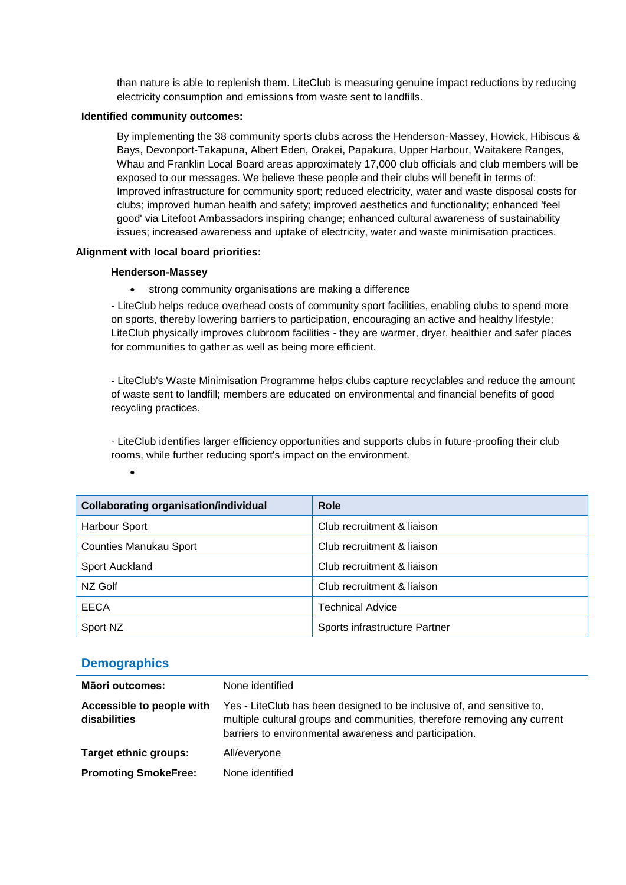than nature is able to replenish them. LiteClub is measuring genuine impact reductions by reducing electricity consumption and emissions from waste sent to landfills.

### **Identified community outcomes:**

By implementing the 38 community sports clubs across the Henderson-Massey, Howick, Hibiscus & Bays, Devonport-Takapuna, Albert Eden, Orakei, Papakura, Upper Harbour, Waitakere Ranges, Whau and Franklin Local Board areas approximately 17,000 club officials and club members will be exposed to our messages. We believe these people and their clubs will benefit in terms of: Improved infrastructure for community sport; reduced electricity, water and waste disposal costs for clubs; improved human health and safety; improved aesthetics and functionality; enhanced 'feel good' via Litefoot Ambassadors inspiring change; enhanced cultural awareness of sustainability issues; increased awareness and uptake of electricity, water and waste minimisation practices.

#### **Alignment with local board priorities:**

#### **Henderson-Massey**

• strong community organisations are making a difference

- LiteClub helps reduce overhead costs of community sport facilities, enabling clubs to spend more on sports, thereby lowering barriers to participation, encouraging an active and healthy lifestyle; LiteClub physically improves clubroom facilities - they are warmer, dryer, healthier and safer places for communities to gather as well as being more efficient.

- LiteClub's Waste Minimisation Programme helps clubs capture recyclables and reduce the amount of waste sent to landfill; members are educated on environmental and financial benefits of good recycling practices.

- LiteClub identifies larger efficiency opportunities and supports clubs in future-proofing their club rooms, while further reducing sport's impact on the environment.

•

| <b>Collaborating organisation/individual</b> | <b>Role</b>                   |
|----------------------------------------------|-------------------------------|
| Harbour Sport                                | Club recruitment & liaison    |
| <b>Counties Manukau Sport</b>                | Club recruitment & liaison    |
| Sport Auckland                               | Club recruitment & liaison    |
| NZ Golf                                      | Club recruitment & liaison    |
| <b>EECA</b>                                  | <b>Technical Advice</b>       |
| Sport NZ                                     | Sports infrastructure Partner |

### **Demographics**

| <b>Māori outcomes:</b>                    | None identified                                                                                                                                                                                              |
|-------------------------------------------|--------------------------------------------------------------------------------------------------------------------------------------------------------------------------------------------------------------|
| Accessible to people with<br>disabilities | Yes - LiteClub has been designed to be inclusive of, and sensitive to,<br>multiple cultural groups and communities, therefore removing any current<br>barriers to environmental awareness and participation. |
| <b>Target ethnic groups:</b>              | All/everyone                                                                                                                                                                                                 |
| <b>Promoting SmokeFree:</b>               | None identified                                                                                                                                                                                              |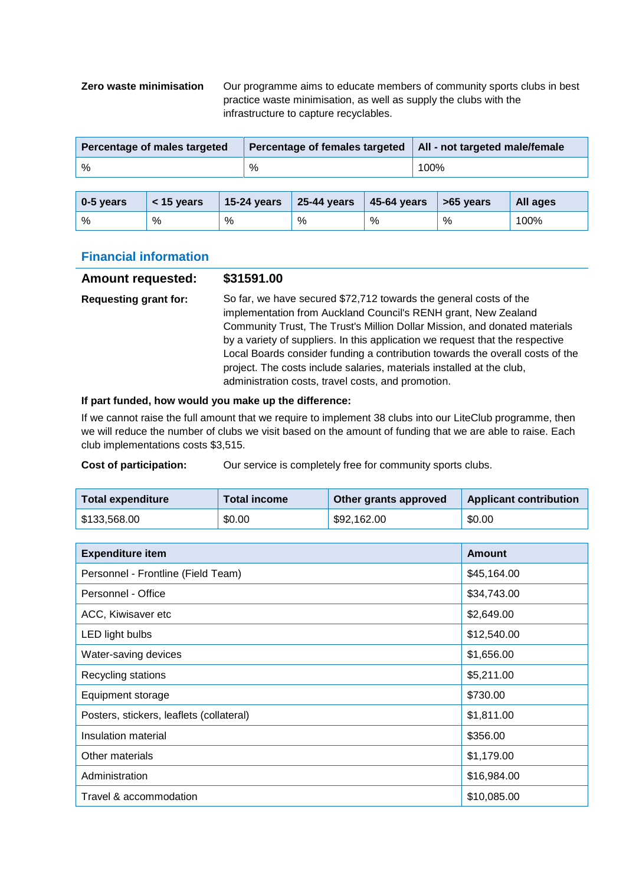**Zero waste minimisation** Our programme aims to educate members of community sports clubs in best practice waste minimisation, as well as supply the clubs with the infrastructure to capture recyclables.

| Percentage of males targeted | Percentage of females targeted   All - not targeted male/female |      |
|------------------------------|-----------------------------------------------------------------|------|
| %                            | %                                                               | 100% |

| $\overline{0.5}$ years | $\sim$ 15 vears |      | 15-24 years 25-44 years 45-64 years $>65$ years |   |   | All ages |
|------------------------|-----------------|------|-------------------------------------------------|---|---|----------|
| %                      | %               | $\%$ | %                                               | % | % | 100%     |

### **Financial information**

| <b>Amount requested:</b>     | \$31591.00                                                                                                                                                                                                                                                                                                                                                                                                                                                                                                         |
|------------------------------|--------------------------------------------------------------------------------------------------------------------------------------------------------------------------------------------------------------------------------------------------------------------------------------------------------------------------------------------------------------------------------------------------------------------------------------------------------------------------------------------------------------------|
| <b>Requesting grant for:</b> | So far, we have secured \$72,712 towards the general costs of the<br>implementation from Auckland Council's RENH grant, New Zealand<br>Community Trust, The Trust's Million Dollar Mission, and donated materials<br>by a variety of suppliers. In this application we request that the respective<br>Local Boards consider funding a contribution towards the overall costs of the<br>project. The costs include salaries, materials installed at the club,<br>administration costs, travel costs, and promotion. |

### **If part funded, how would you make up the difference:**

If we cannot raise the full amount that we require to implement 38 clubs into our LiteClub programme, then we will reduce the number of clubs we visit based on the amount of funding that we are able to raise. Each club implementations costs \$3,515.

**Cost of participation:** Our service is completely free for community sports clubs.

| Total expenditure | Total income | Other grants approved | <b>Applicant contribution</b> |
|-------------------|--------------|-----------------------|-------------------------------|
| \$133,568.00      | \$0.00       | \$92,162.00           | \$0.00                        |

| <b>Expenditure item</b>                  | <b>Amount</b> |
|------------------------------------------|---------------|
| Personnel - Frontline (Field Team)       | \$45,164.00   |
| Personnel - Office                       | \$34,743.00   |
| ACC, Kiwisaver etc                       | \$2,649.00    |
| LED light bulbs                          | \$12,540.00   |
| Water-saving devices                     | \$1,656.00    |
| Recycling stations                       | \$5,211.00    |
| Equipment storage                        | \$730.00      |
| Posters, stickers, leaflets (collateral) | \$1,811.00    |
| Insulation material                      | \$356.00      |
| Other materials                          | \$1,179.00    |
| Administration                           | \$16,984.00   |
| Travel & accommodation                   | \$10,085.00   |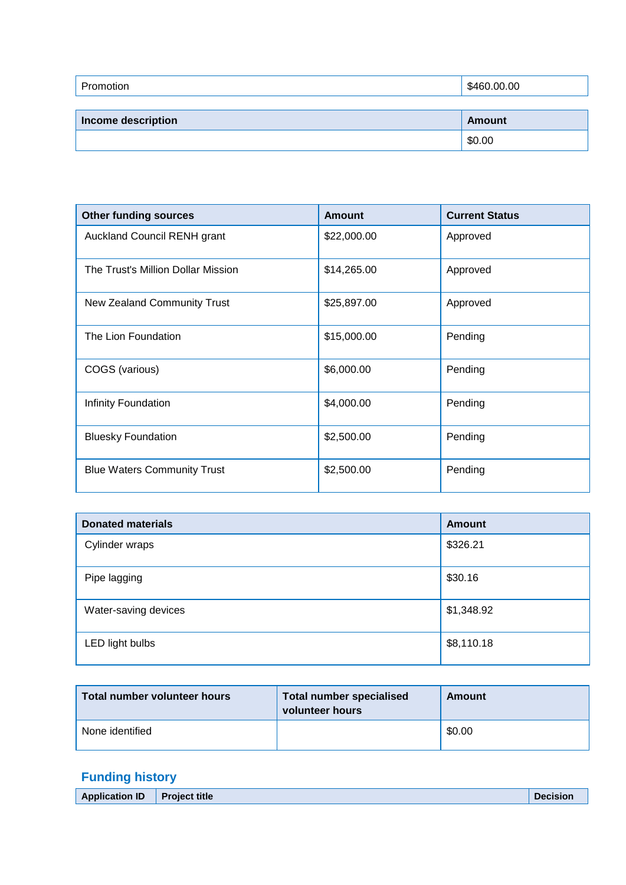| Promotion          | \$460.00.00   |
|--------------------|---------------|
|                    |               |
| Income description | <b>Amount</b> |
|                    | \$0.00        |

| <b>Other funding sources</b>       | <b>Amount</b> | <b>Current Status</b> |
|------------------------------------|---------------|-----------------------|
| Auckland Council RENH grant        | \$22,000.00   | Approved              |
| The Trust's Million Dollar Mission | \$14,265.00   | Approved              |
| <b>New Zealand Community Trust</b> | \$25,897.00   | Approved              |
| The Lion Foundation                | \$15,000.00   | Pending               |
| COGS (various)                     | \$6,000.00    | Pending               |
| Infinity Foundation                | \$4,000.00    | Pending               |
| <b>Bluesky Foundation</b>          | \$2,500.00    | Pending               |
| <b>Blue Waters Community Trust</b> | \$2,500.00    | Pending               |

| <b>Donated materials</b> | <b>Amount</b> |
|--------------------------|---------------|
| Cylinder wraps           | \$326.21      |
| Pipe lagging             | \$30.16       |
| Water-saving devices     | \$1,348.92    |
| LED light bulbs          | \$8,110.18    |

| Total number volunteer hours | <b>Total number specialised</b><br>volunteer hours | Amount |
|------------------------------|----------------------------------------------------|--------|
| None identified              |                                                    | \$0.00 |

| <b>Application ID</b> | Proi<br><b>iect title</b> | лыон |
|-----------------------|---------------------------|------|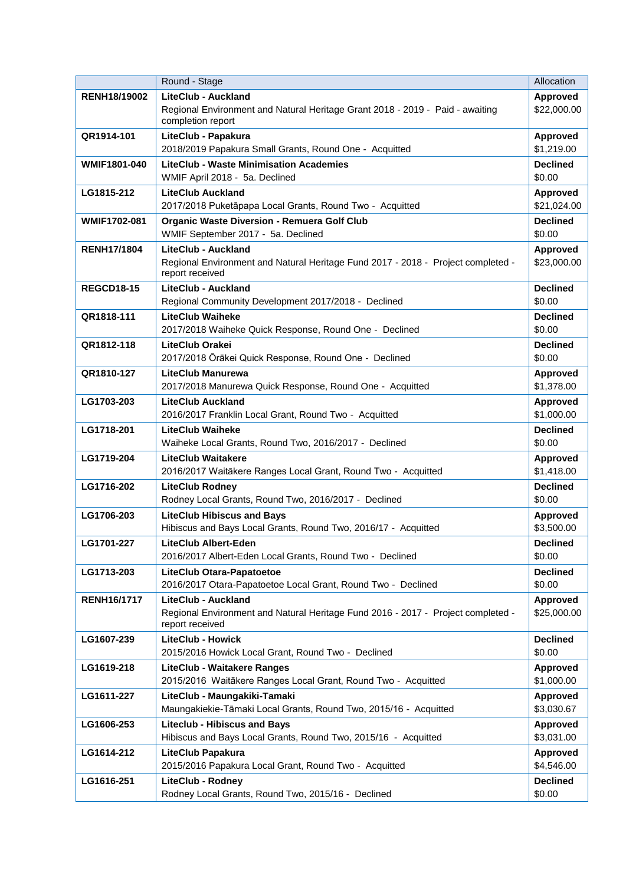|                     | Round - Stage                                                                                                                     | Allocation                     |
|---------------------|-----------------------------------------------------------------------------------------------------------------------------------|--------------------------------|
| <b>RENH18/19002</b> | <b>LiteClub - Auckland</b><br>Regional Environment and Natural Heritage Grant 2018 - 2019 - Paid - awaiting<br>completion report  | <b>Approved</b><br>\$22,000.00 |
| QR1914-101          | LiteClub - Papakura<br>2018/2019 Papakura Small Grants, Round One - Acquitted                                                     | <b>Approved</b><br>\$1,219.00  |
| <b>WMIF1801-040</b> | <b>LiteClub - Waste Minimisation Academies</b><br>WMIF April 2018 - 5a. Declined                                                  | <b>Declined</b><br>\$0.00      |
| LG1815-212          | <b>LiteClub Auckland</b><br>2017/2018 Puketāpapa Local Grants, Round Two - Acquitted                                              | <b>Approved</b><br>\$21,024.00 |
| <b>WMIF1702-081</b> | <b>Organic Waste Diversion - Remuera Golf Club</b><br>WMIF September 2017 - 5a. Declined                                          | <b>Declined</b><br>\$0.00      |
| <b>RENH17/1804</b>  | <b>LiteClub - Auckland</b><br>Regional Environment and Natural Heritage Fund 2017 - 2018 - Project completed -<br>report received | <b>Approved</b><br>\$23,000.00 |
| <b>REGCD18-15</b>   | <b>LiteClub - Auckland</b><br>Regional Community Development 2017/2018 - Declined                                                 | <b>Declined</b><br>\$0.00      |
| QR1818-111          | <b>LiteClub Waiheke</b><br>2017/2018 Waiheke Quick Response, Round One - Declined                                                 | <b>Declined</b><br>\$0.00      |
| QR1812-118          | <b>LiteClub Orakei</b><br>2017/2018 Öräkei Quick Response, Round One - Declined                                                   | <b>Declined</b><br>\$0.00      |
| QR1810-127          | <b>LiteClub Manurewa</b><br>2017/2018 Manurewa Quick Response, Round One - Acquitted                                              | <b>Approved</b><br>\$1,378.00  |
| LG1703-203          | <b>LiteClub Auckland</b><br>2016/2017 Franklin Local Grant, Round Two - Acquitted                                                 | <b>Approved</b><br>\$1,000.00  |
| LG1718-201          | <b>LiteClub Waiheke</b><br>Waiheke Local Grants, Round Two, 2016/2017 - Declined                                                  | <b>Declined</b><br>\$0.00      |
| LG1719-204          | <b>LiteClub Waitakere</b><br>2016/2017 Waitākere Ranges Local Grant, Round Two - Acquitted                                        | <b>Approved</b><br>\$1,418.00  |
| LG1716-202          | <b>LiteClub Rodney</b><br>Rodney Local Grants, Round Two, 2016/2017 - Declined                                                    | <b>Declined</b><br>\$0.00      |
| LG1706-203          | <b>LiteClub Hibiscus and Bays</b><br>Hibiscus and Bays Local Grants, Round Two, 2016/17 - Acquitted                               | <b>Approved</b><br>\$3,500.00  |
| LG1701-227          | LiteClub Albert-Eden<br>2016/2017 Albert-Eden Local Grants, Round Two - Declined                                                  | <b>Declined</b><br>\$0.00      |
| LG1713-203          | LiteClub Otara-Papatoetoe<br>2016/2017 Otara-Papatoetoe Local Grant, Round Two - Declined                                         | <b>Declined</b><br>\$0.00      |
| <b>RENH16/1717</b>  | <b>LiteClub - Auckland</b><br>Regional Environment and Natural Heritage Fund 2016 - 2017 - Project completed -<br>report received | Approved<br>\$25,000.00        |
| LG1607-239          | <b>LiteClub - Howick</b><br>2015/2016 Howick Local Grant, Round Two - Declined                                                    | <b>Declined</b><br>\$0.00      |
| LG1619-218          | <b>LiteClub - Waitakere Ranges</b><br>2015/2016 Waitākere Ranges Local Grant, Round Two - Acquitted                               | <b>Approved</b><br>\$1,000.00  |
| LG1611-227          | LiteClub - Maungakiki-Tamaki<br>Maungakiekie-Tāmaki Local Grants, Round Two, 2015/16 - Acquitted                                  | <b>Approved</b><br>\$3,030.67  |
| LG1606-253          | <b>Liteclub - Hibiscus and Bays</b><br>Hibiscus and Bays Local Grants, Round Two, 2015/16 - Acquitted                             | Approved<br>\$3,031.00         |
| LG1614-212          | LiteClub Papakura<br>2015/2016 Papakura Local Grant, Round Two - Acquitted                                                        | <b>Approved</b><br>\$4,546.00  |
| LG1616-251          | LiteClub - Rodney<br>Rodney Local Grants, Round Two, 2015/16 - Declined                                                           | <b>Declined</b><br>\$0.00      |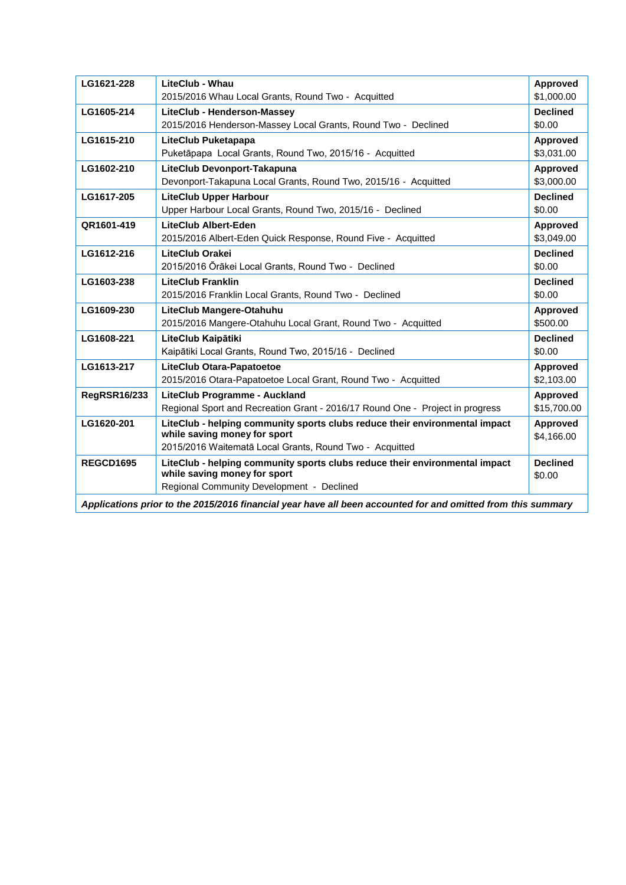| LG1621-228       | LiteClub - Whau<br>2015/2016 Whau Local Grants, Round Two - Acquitted                                        | Approved<br>\$1,000.00 |
|------------------|--------------------------------------------------------------------------------------------------------------|------------------------|
|                  |                                                                                                              |                        |
| LG1605-214       | LiteClub - Henderson-Massey                                                                                  | <b>Declined</b>        |
|                  | 2015/2016 Henderson-Massey Local Grants, Round Two - Declined                                                | \$0.00                 |
| LG1615-210       | LiteClub Puketapapa                                                                                          | Approved               |
|                  | Puketāpapa Local Grants, Round Two, 2015/16 - Acquitted                                                      | \$3,031.00             |
| LG1602-210       | LiteClub Devonport-Takapuna                                                                                  | Approved               |
|                  | Devonport-Takapuna Local Grants, Round Two, 2015/16 - Acquitted                                              | \$3,000.00             |
| LG1617-205       | <b>LiteClub Upper Harbour</b>                                                                                | <b>Declined</b>        |
|                  | Upper Harbour Local Grants, Round Two, 2015/16 - Declined                                                    | \$0.00                 |
| QR1601-419       | <b>LiteClub Albert-Eden</b>                                                                                  | Approved               |
|                  | 2015/2016 Albert-Eden Quick Response, Round Five - Acquitted                                                 | \$3.049.00             |
| LG1612-216       | <b>LiteClub Orakei</b>                                                                                       | <b>Declined</b>        |
|                  | 2015/2016 Ōrākei Local Grants, Round Two - Declined                                                          | \$0.00                 |
| LG1603-238       | <b>LiteClub Franklin</b>                                                                                     | <b>Declined</b>        |
|                  | 2015/2016 Franklin Local Grants, Round Two - Declined                                                        | \$0.00                 |
| LG1609-230       | LiteClub Mangere-Otahuhu                                                                                     | Approved               |
|                  | 2015/2016 Mangere-Otahuhu Local Grant, Round Two - Acquitted                                                 | \$500.00               |
| LG1608-221       | LiteClub Kaipātiki                                                                                           | <b>Declined</b>        |
|                  | Kaipātiki Local Grants, Round Two, 2015/16 - Declined                                                        | \$0.00                 |
| LG1613-217       | <b>LiteClub Otara-Papatoetoe</b>                                                                             | Approved               |
|                  | 2015/2016 Otara-Papatoetoe Local Grant, Round Two - Acquitted                                                | \$2,103.00             |
| RegRSR16/233     | LiteClub Programme - Auckland                                                                                | <b>Approved</b>        |
|                  | Regional Sport and Recreation Grant - 2016/17 Round One - Project in progress                                | \$15,700.00            |
| LG1620-201       | LiteClub - helping community sports clubs reduce their environmental impact                                  | Approved               |
|                  | while saving money for sport                                                                                 | \$4,166.00             |
|                  | 2015/2016 Waitematā Local Grants, Round Two - Acquitted                                                      |                        |
| <b>REGCD1695</b> | LiteClub - helping community sports clubs reduce their environmental impact                                  | <b>Declined</b>        |
|                  | while saving money for sport                                                                                 | \$0.00                 |
|                  | Regional Community Development - Declined                                                                    |                        |
|                  | Applications prior to the 2015/2016 financial year have all been accounted for and omitted from this summary |                        |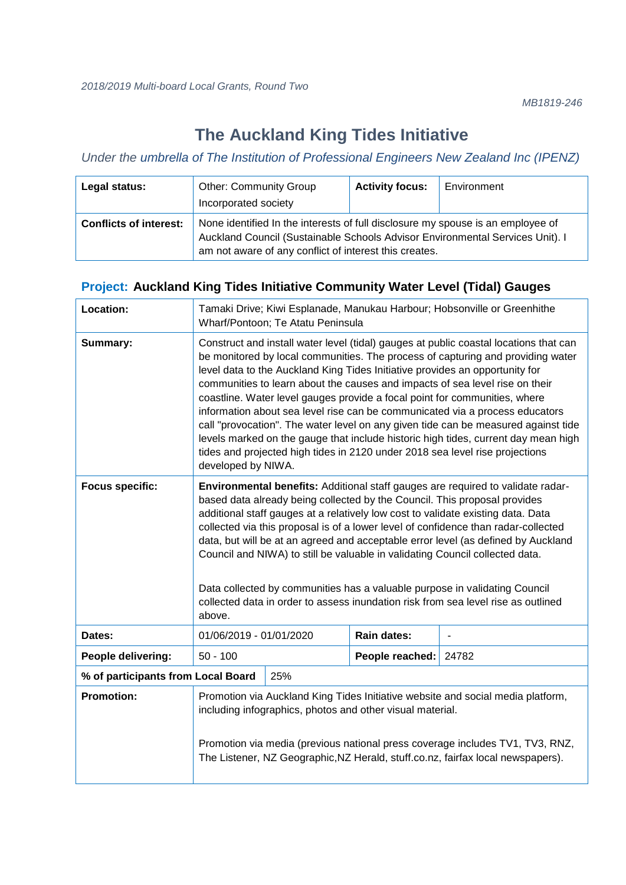# **The Auckland King Tides Initiative**

## *Under the umbrella of The Institution of Professional Engineers New Zealand Inc (IPENZ)*

| Legal status:                 | <b>Other: Community Group</b><br>Incorporated society                                                                                                                                                                      | <b>Activity focus:</b> | Environment |
|-------------------------------|----------------------------------------------------------------------------------------------------------------------------------------------------------------------------------------------------------------------------|------------------------|-------------|
| <b>Conflicts of interest:</b> | None identified In the interests of full disclosure my spouse is an employee of<br>Auckland Council (Sustainable Schools Advisor Environmental Services Unit). I<br>am not aware of any conflict of interest this creates. |                        |             |

### **Project: Auckland King Tides Initiative Community Water Level (Tidal) Gauges**

| Location:                          | Tamaki Drive; Kiwi Esplanade, Manukau Harbour; Hobsonville or Greenhithe<br>Wharf/Pontoon; Te Atatu Peninsula                                                                                                                                                                                                                                                                                                                                                                                                                                                                                                                                                                                                                                                                            |                                                                                                                                                                                                                                                                                                                  |                 |                |
|------------------------------------|------------------------------------------------------------------------------------------------------------------------------------------------------------------------------------------------------------------------------------------------------------------------------------------------------------------------------------------------------------------------------------------------------------------------------------------------------------------------------------------------------------------------------------------------------------------------------------------------------------------------------------------------------------------------------------------------------------------------------------------------------------------------------------------|------------------------------------------------------------------------------------------------------------------------------------------------------------------------------------------------------------------------------------------------------------------------------------------------------------------|-----------------|----------------|
| Summary:                           | Construct and install water level (tidal) gauges at public coastal locations that can<br>be monitored by local communities. The process of capturing and providing water<br>level data to the Auckland King Tides Initiative provides an opportunity for<br>communities to learn about the causes and impacts of sea level rise on their<br>coastline. Water level gauges provide a focal point for communities, where<br>information about sea level rise can be communicated via a process educators<br>call "provocation". The water level on any given tide can be measured against tide<br>levels marked on the gauge that include historic high tides, current day mean high<br>tides and projected high tides in 2120 under 2018 sea level rise projections<br>developed by NIWA. |                                                                                                                                                                                                                                                                                                                  |                 |                |
| <b>Focus specific:</b>             | Environmental benefits: Additional staff gauges are required to validate radar-<br>based data already being collected by the Council. This proposal provides<br>additional staff gauges at a relatively low cost to validate existing data. Data<br>collected via this proposal is of a lower level of confidence than radar-collected<br>data, but will be at an agreed and acceptable error level (as defined by Auckland<br>Council and NIWA) to still be valuable in validating Council collected data.<br>Data collected by communities has a valuable purpose in validating Council<br>collected data in order to assess inundation risk from sea level rise as outlined<br>above.                                                                                                 |                                                                                                                                                                                                                                                                                                                  |                 |                |
| Dates:                             | 01/06/2019 - 01/01/2020                                                                                                                                                                                                                                                                                                                                                                                                                                                                                                                                                                                                                                                                                                                                                                  |                                                                                                                                                                                                                                                                                                                  | Rain dates:     | $\blacksquare$ |
| People delivering:                 | $50 - 100$                                                                                                                                                                                                                                                                                                                                                                                                                                                                                                                                                                                                                                                                                                                                                                               |                                                                                                                                                                                                                                                                                                                  | People reached: | 24782          |
| % of participants from Local Board |                                                                                                                                                                                                                                                                                                                                                                                                                                                                                                                                                                                                                                                                                                                                                                                          | 25%                                                                                                                                                                                                                                                                                                              |                 |                |
| <b>Promotion:</b>                  |                                                                                                                                                                                                                                                                                                                                                                                                                                                                                                                                                                                                                                                                                                                                                                                          | Promotion via Auckland King Tides Initiative website and social media platform,<br>including infographics, photos and other visual material.<br>Promotion via media (previous national press coverage includes TV1, TV3, RNZ,<br>The Listener, NZ Geographic, NZ Herald, stuff.co.nz, fairfax local newspapers). |                 |                |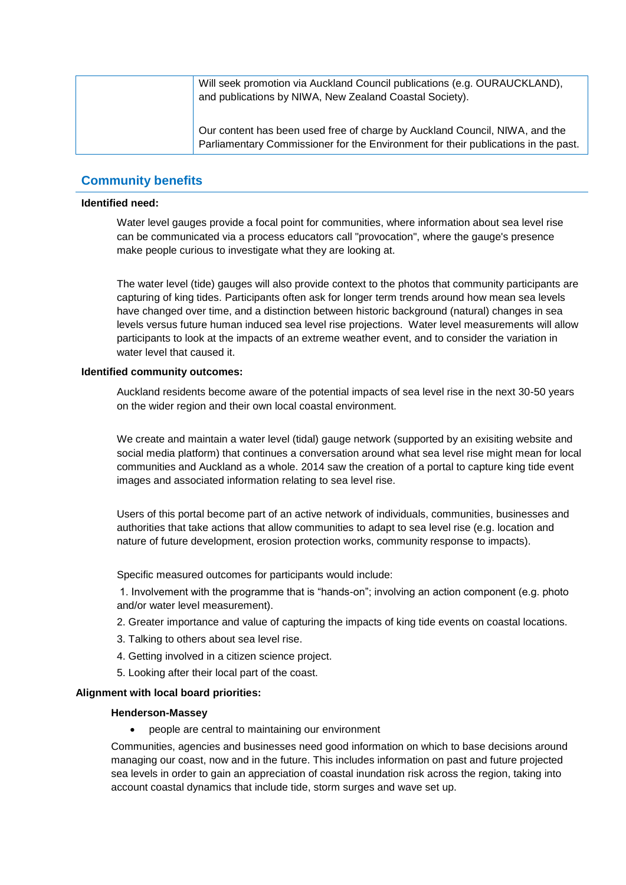| Will seek promotion via Auckland Council publications (e.g. OURAUCKLAND),<br>and publications by NIWA, New Zealand Coastal Society).                              |
|-------------------------------------------------------------------------------------------------------------------------------------------------------------------|
| Our content has been used free of charge by Auckland Council, NIWA, and the<br>Parliamentary Commissioner for the Environment for their publications in the past. |

### **Community benefits**

#### **Identified need:**

Water level gauges provide a focal point for communities, where information about sea level rise can be communicated via a process educators call "provocation", where the gauge's presence make people curious to investigate what they are looking at.

The water level (tide) gauges will also provide context to the photos that community participants are capturing of king tides. Participants often ask for longer term trends around how mean sea levels have changed over time, and a distinction between historic background (natural) changes in sea levels versus future human induced sea level rise projections. Water level measurements will allow participants to look at the impacts of an extreme weather event, and to consider the variation in water level that caused it.

#### **Identified community outcomes:**

Auckland residents become aware of the potential impacts of sea level rise in the next 30-50 years on the wider region and their own local coastal environment.

We create and maintain a water level (tidal) gauge network (supported by an exisiting website and social media platform) that continues a conversation around what sea level rise might mean for local communities and Auckland as a whole. 2014 saw the creation of a portal to capture king tide event images and associated information relating to sea level rise.

Users of this portal become part of an active network of individuals, communities, businesses and authorities that take actions that allow communities to adapt to sea level rise (e.g. location and nature of future development, erosion protection works, community response to impacts).

Specific measured outcomes for participants would include:

1. Involvement with the programme that is "hands-on"; involving an action component (e.g. photo and/or water level measurement).

- 2. Greater importance and value of capturing the impacts of king tide events on coastal locations.
- 3. Talking to others about sea level rise.
- 4. Getting involved in a citizen science project.
- 5. Looking after their local part of the coast.

#### **Alignment with local board priorities:**

#### **Henderson-Massey**

• people are central to maintaining our environment

Communities, agencies and businesses need good information on which to base decisions around managing our coast, now and in the future. This includes information on past and future projected sea levels in order to gain an appreciation of coastal inundation risk across the region, taking into account coastal dynamics that include tide, storm surges and wave set up.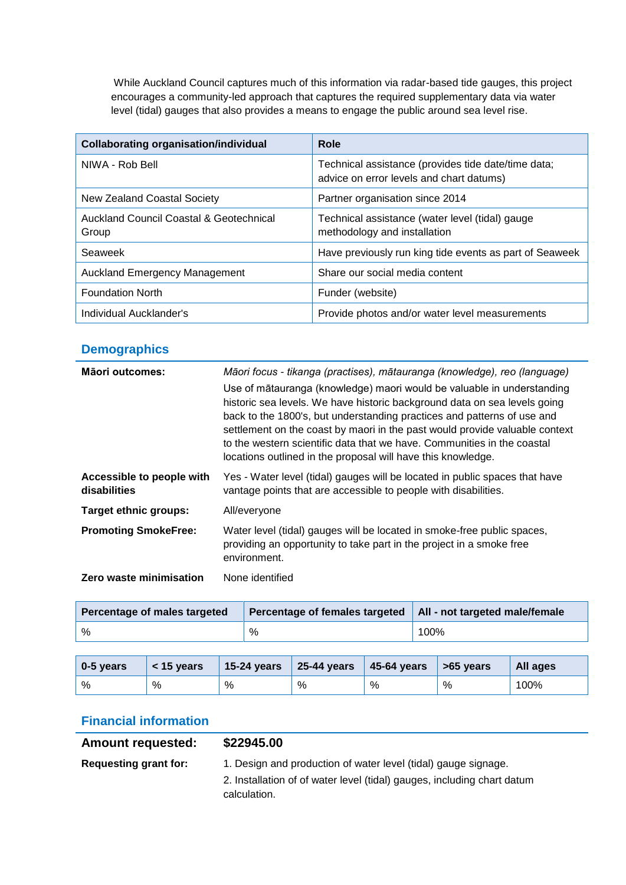While Auckland Council captures much of this information via radar-based tide gauges, this project encourages a community-led approach that captures the required supplementary data via water level (tidal) gauges that also provides a means to engage the public around sea level rise.

| <b>Collaborating organisation/individual</b>     | Role                                                                                            |
|--------------------------------------------------|-------------------------------------------------------------------------------------------------|
| NIWA - Rob Bell                                  | Technical assistance (provides tide date/time data;<br>advice on error levels and chart datums) |
| New Zealand Coastal Society                      | Partner organisation since 2014                                                                 |
| Auckland Council Coastal & Geotechnical<br>Group | Technical assistance (water level (tidal) gauge<br>methodology and installation                 |
| Seaweek                                          | Have previously run king tide events as part of Seaweek                                         |
| <b>Auckland Emergency Management</b>             | Share our social media content                                                                  |
| <b>Foundation North</b>                          | Funder (website)                                                                                |
| Individual Aucklander's                          | Provide photos and/or water level measurements                                                  |

### **Demographics**

| <b>Māori outcomes:</b>                    | Māori focus - tikanga (practises), mātauranga (knowledge), reo (language)<br>Use of mātauranga (knowledge) maori would be valuable in understanding<br>historic sea levels. We have historic background data on sea levels going<br>back to the 1800's, but understanding practices and patterns of use and<br>settlement on the coast by maori in the past would provide valuable context<br>to the western scientific data that we have. Communities in the coastal<br>locations outlined in the proposal will have this knowledge. |
|-------------------------------------------|---------------------------------------------------------------------------------------------------------------------------------------------------------------------------------------------------------------------------------------------------------------------------------------------------------------------------------------------------------------------------------------------------------------------------------------------------------------------------------------------------------------------------------------|
| Accessible to people with<br>disabilities | Yes - Water level (tidal) gauges will be located in public spaces that have<br>vantage points that are accessible to people with disabilities.                                                                                                                                                                                                                                                                                                                                                                                        |
| Target ethnic groups:                     | All/everyone                                                                                                                                                                                                                                                                                                                                                                                                                                                                                                                          |
| <b>Promoting SmokeFree:</b>               | Water level (tidal) gauges will be located in smoke-free public spaces,<br>providing an opportunity to take part in the project in a smoke free<br>environment.                                                                                                                                                                                                                                                                                                                                                                       |
| Zero waste minimisation                   | None identified                                                                                                                                                                                                                                                                                                                                                                                                                                                                                                                       |

| Percentage of males targeted | Percentage of females targeted | All - not targeted male/female |
|------------------------------|--------------------------------|--------------------------------|
| %                            | %                              | 100%                           |

| 0-5 years | $<$ 15 years | 15-24 years | $\vert$ 25-44 years | $\vert$ 45-64 years | $\vert$ >65 years | All ages |
|-----------|--------------|-------------|---------------------|---------------------|-------------------|----------|
| %         | %            | %           | %                   | %                   | %                 | 100%     |

### **Financial information**

### **Amount requested: \$22945.00**

**Requesting grant for:** 1. Design and production of water level (tidal) gauge signage.

2. Installation of of water level (tidal) gauges, including chart datum calculation.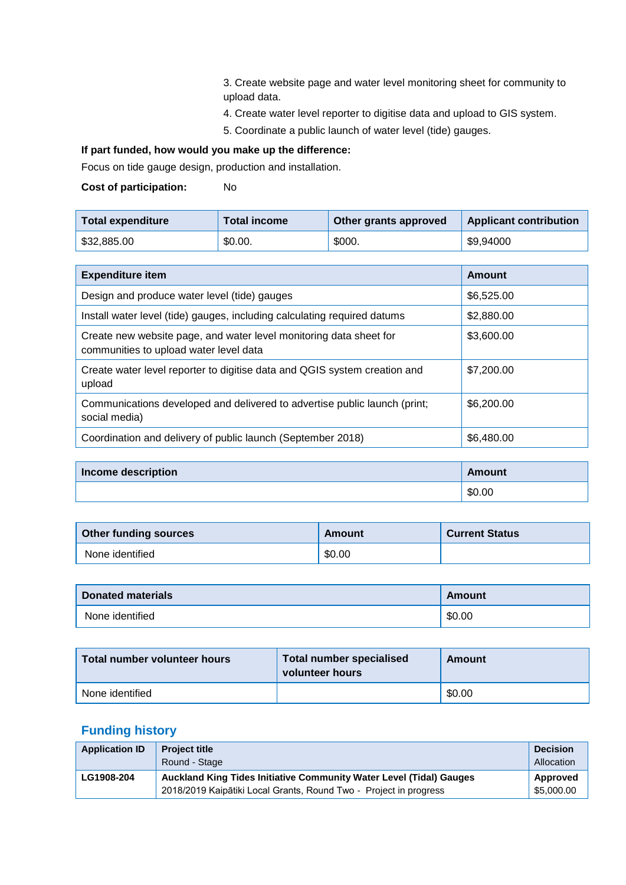3. Create website page and water level monitoring sheet for community to upload data.

4. Create water level reporter to digitise data and upload to GIS system.

5. Coordinate a public launch of water level (tide) gauges.

### **If part funded, how would you make up the difference:**

Focus on tide gauge design, production and installation.

#### **Cost of participation:** No

| <b>Total expenditure</b> | Total income | Other grants approved | <b>Applicant contribution</b> |
|--------------------------|--------------|-----------------------|-------------------------------|
| \$32,885.00              | \$0.00.      | \$000.                | \$9,94000                     |

| <b>Expenditure item</b>                                                                                      | Amount     |
|--------------------------------------------------------------------------------------------------------------|------------|
| Design and produce water level (tide) gauges                                                                 | \$6,525.00 |
| Install water level (tide) gauges, including calculating required datums                                     | \$2,880,00 |
| Create new website page, and water level monitoring data sheet for<br>communities to upload water level data | \$3,600.00 |
| Create water level reporter to digitise data and QGIS system creation and<br>upload                          | \$7,200.00 |
| Communications developed and delivered to advertise public launch (print;<br>social media)                   | \$6,200.00 |
| Coordination and delivery of public launch (September 2018)                                                  | \$6,480.00 |

| Income description | Amount |
|--------------------|--------|
|                    | \$0.00 |

| <b>Other funding sources</b> | Amount | Current Status |  |
|------------------------------|--------|----------------|--|
| None identified              | \$0.00 |                |  |

| <b>Donated materials</b> | Amount |
|--------------------------|--------|
| None identified          | \$0.00 |

| Total number volunteer hours | <b>Total number specialised</b><br>volunteer hours | Amount |
|------------------------------|----------------------------------------------------|--------|
| None identified              |                                                    | \$0.00 |

| <b>Application ID</b> | <b>Project title</b><br>Round - Stage                                                                                                    | <b>Decision</b><br>Allocation |
|-----------------------|------------------------------------------------------------------------------------------------------------------------------------------|-------------------------------|
| LG1908-204            | Auckland King Tides Initiative Community Water Level (Tidal) Gauges<br>2018/2019 Kaipātiki Local Grants, Round Two - Project in progress | Approved<br>\$5,000.00        |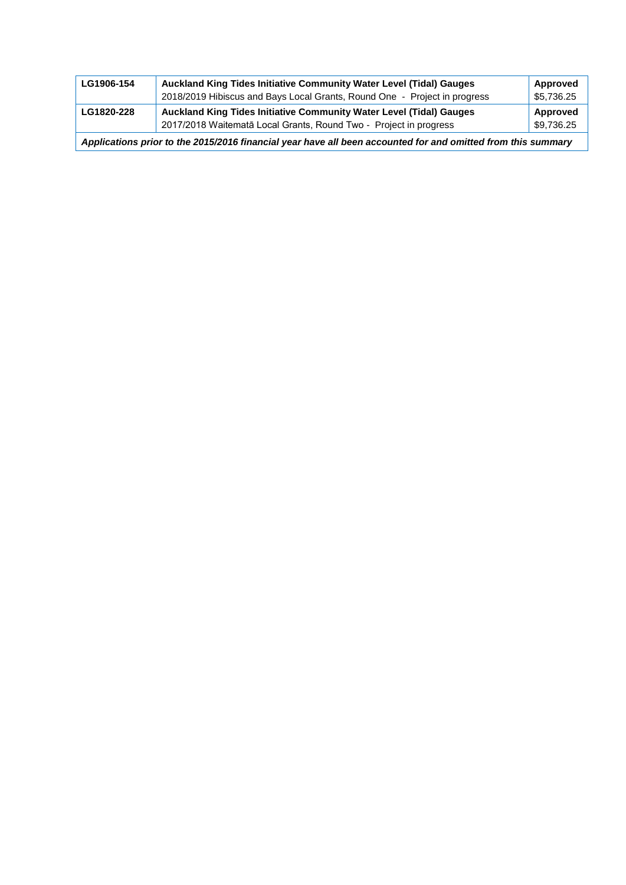| LG1906-154 | Auckland King Tides Initiative Community Water Level (Tidal) Gauges<br>2018/2019 Hibiscus and Bays Local Grants, Round One - Project in progress | Approved<br>\$5,736.25 |
|------------|--------------------------------------------------------------------------------------------------------------------------------------------------|------------------------|
| LG1820-228 | Auckland King Tides Initiative Community Water Level (Tidal) Gauges<br>2017/2018 Waitematā Local Grants, Round Two - Project in progress         | Approved<br>\$9,736.25 |
|            | Applications prior to the 2015/2016 financial year have all been accounted for and omitted from this summary                                     |                        |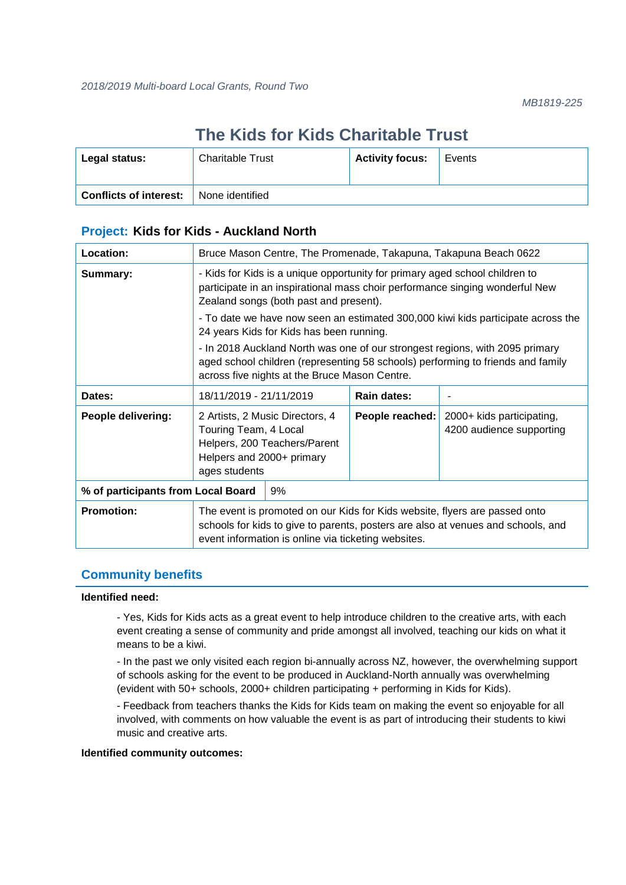# **The Kids for Kids Charitable Trust**

| Legal status:                 | <b>Charitable Trust</b> | <b>Activity focus:</b> | Events |
|-------------------------------|-------------------------|------------------------|--------|
| <b>Conflicts of interest:</b> | None identified         |                        |        |

### **Project: Kids for Kids - Auckland North**

| Location:                          | Bruce Mason Centre, The Promenade, Takapuna, Takapuna Beach 0622                                                                                                                                                      |                                          |                    |                                                                                  |
|------------------------------------|-----------------------------------------------------------------------------------------------------------------------------------------------------------------------------------------------------------------------|------------------------------------------|--------------------|----------------------------------------------------------------------------------|
| Summary:                           | - Kids for Kids is a unique opportunity for primary aged school children to<br>participate in an inspirational mass choir performance singing wonderful New<br>Zealand songs (both past and present).                 |                                          |                    |                                                                                  |
|                                    |                                                                                                                                                                                                                       | 24 years Kids for Kids has been running. |                    | - To date we have now seen an estimated 300,000 kiwi kids participate across the |
|                                    | - In 2018 Auckland North was one of our strongest regions, with 2095 primary<br>aged school children (representing 58 schools) performing to friends and family<br>across five nights at the Bruce Mason Centre.      |                                          |                    |                                                                                  |
| Dates:                             | 18/11/2019 - 21/11/2019                                                                                                                                                                                               |                                          | <b>Rain dates:</b> |                                                                                  |
| People delivering:                 | 2 Artists, 2 Music Directors, 4<br>Touring Team, 4 Local<br>Helpers, 200 Teachers/Parent<br>Helpers and 2000+ primary<br>ages students                                                                                |                                          | People reached:    | 2000+ kids participating,<br>4200 audience supporting                            |
| % of participants from Local Board |                                                                                                                                                                                                                       | 9%                                       |                    |                                                                                  |
| <b>Promotion:</b>                  | The event is promoted on our Kids for Kids website, flyers are passed onto<br>schools for kids to give to parents, posters are also at venues and schools, and<br>event information is online via ticketing websites. |                                          |                    |                                                                                  |

### **Community benefits**

### **Identified need:**

- Yes, Kids for Kids acts as a great event to help introduce children to the creative arts, with each event creating a sense of community and pride amongst all involved, teaching our kids on what it means to be a kiwi.

- In the past we only visited each region bi-annually across NZ, however, the overwhelming support of schools asking for the event to be produced in Auckland-North annually was overwhelming (evident with 50+ schools, 2000+ children participating + performing in Kids for Kids).

- Feedback from teachers thanks the Kids for Kids team on making the event so enjoyable for all involved, with comments on how valuable the event is as part of introducing their students to kiwi music and creative arts.

### **Identified community outcomes:**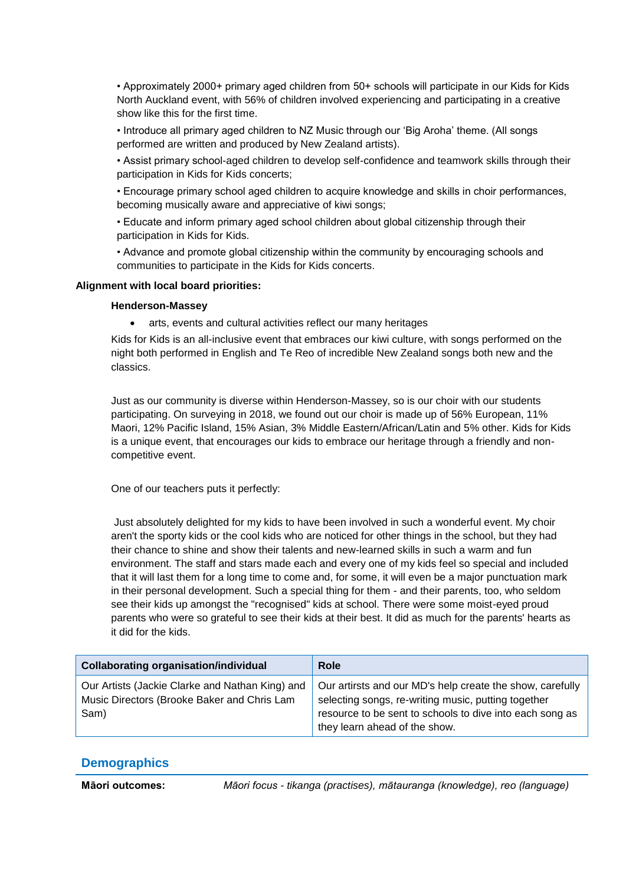• Approximately 2000+ primary aged children from 50+ schools will participate in our Kids for Kids North Auckland event, with 56% of children involved experiencing and participating in a creative show like this for the first time.

• Introduce all primary aged children to NZ Music through our 'Big Aroha' theme. (All songs performed are written and produced by New Zealand artists).

• Assist primary school-aged children to develop self-confidence and teamwork skills through their participation in Kids for Kids concerts;

• Encourage primary school aged children to acquire knowledge and skills in choir performances, becoming musically aware and appreciative of kiwi songs;

• Educate and inform primary aged school children about global citizenship through their participation in Kids for Kids.

• Advance and promote global citizenship within the community by encouraging schools and communities to participate in the Kids for Kids concerts.

#### **Alignment with local board priorities:**

#### **Henderson-Massey**

• arts, events and cultural activities reflect our many heritages

Kids for Kids is an all-inclusive event that embraces our kiwi culture, with songs performed on the night both performed in English and Te Reo of incredible New Zealand songs both new and the classics.

Just as our community is diverse within Henderson-Massey, so is our choir with our students participating. On surveying in 2018, we found out our choir is made up of 56% European, 11% Maori, 12% Pacific Island, 15% Asian, 3% Middle Eastern/African/Latin and 5% other. Kids for Kids is a unique event, that encourages our kids to embrace our heritage through a friendly and noncompetitive event.

One of our teachers puts it perfectly:

Just absolutely delighted for my kids to have been involved in such a wonderful event. My choir aren't the sporty kids or the cool kids who are noticed for other things in the school, but they had their chance to shine and show their talents and new-learned skills in such a warm and fun environment. The staff and stars made each and every one of my kids feel so special and included that it will last them for a long time to come and, for some, it will even be a major punctuation mark in their personal development. Such a special thing for them - and their parents, too, who seldom see their kids up amongst the "recognised" kids at school. There were some moist-eyed proud parents who were so grateful to see their kids at their best. It did as much for the parents' hearts as it did for the kids.

| <b>Collaborating organisation/individual</b>                                                           | <b>Role</b>                                                                                                                                                                                                   |
|--------------------------------------------------------------------------------------------------------|---------------------------------------------------------------------------------------------------------------------------------------------------------------------------------------------------------------|
| Our Artists (Jackie Clarke and Nathan King) and<br>Music Directors (Brooke Baker and Chris Lam<br>Sam) | Our artirsts and our MD's help create the show, carefully<br>selecting songs, re-writing music, putting together<br>resource to be sent to schools to dive into each song as<br>they learn ahead of the show. |

### **Demographics**

**Māori outcomes:** *Māori focus - tikanga (practises), mātauranga (knowledge), reo (language)*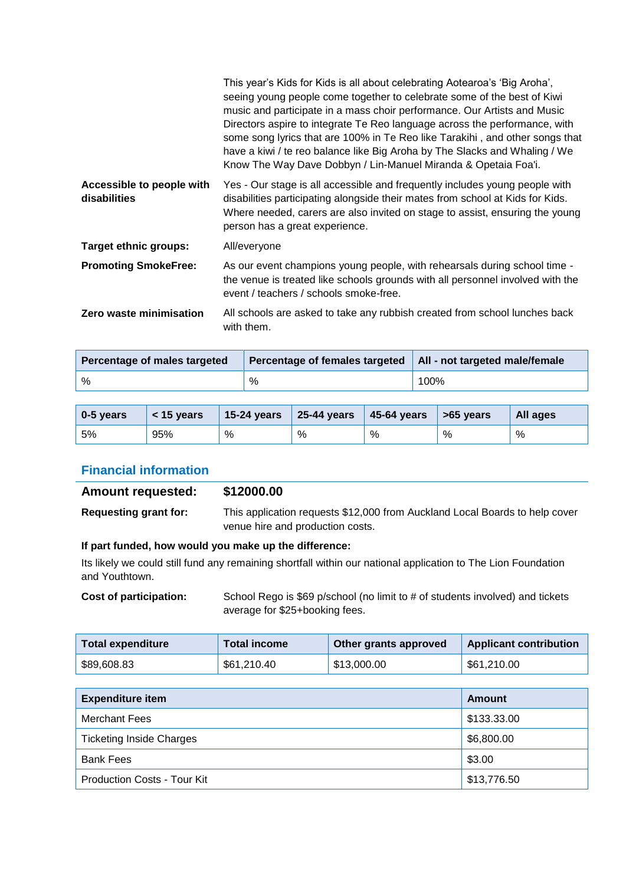|                                           | This year's Kids for Kids is all about celebrating Aotearoa's 'Big Aroha',<br>seeing young people come together to celebrate some of the best of Kiwi<br>music and participate in a mass choir performance. Our Artists and Music<br>Directors aspire to integrate Te Reo language across the performance, with<br>some song lyrics that are 100% in Te Reo like Tarakihi, and other songs that<br>have a kiwi / te reo balance like Big Aroha by The Slacks and Whaling / We<br>Know The Way Dave Dobbyn / Lin-Manuel Miranda & Opetaia Foa'i. |
|-------------------------------------------|-------------------------------------------------------------------------------------------------------------------------------------------------------------------------------------------------------------------------------------------------------------------------------------------------------------------------------------------------------------------------------------------------------------------------------------------------------------------------------------------------------------------------------------------------|
| Accessible to people with<br>disabilities | Yes - Our stage is all accessible and frequently includes young people with<br>disabilities participating alongside their mates from school at Kids for Kids.<br>Where needed, carers are also invited on stage to assist, ensuring the young<br>person has a great experience.                                                                                                                                                                                                                                                                 |
| <b>Target ethnic groups:</b>              | All/everyone                                                                                                                                                                                                                                                                                                                                                                                                                                                                                                                                    |
| <b>Promoting SmokeFree:</b>               | As our event champions young people, with rehearsals during school time -<br>the venue is treated like schools grounds with all personnel involved with the<br>event / teachers / schools smoke-free.                                                                                                                                                                                                                                                                                                                                           |
| Zero waste minimisation                   | All schools are asked to take any rubbish created from school lunches back<br>with them.                                                                                                                                                                                                                                                                                                                                                                                                                                                        |

| Percentage of males targeted | Percentage of females targeted   All - not targeted male/female |      |
|------------------------------|-----------------------------------------------------------------|------|
| %                            | %                                                               | 100% |

| 0-5 years | $<$ 15 years | 15-24 years | $\vert$ 25-44 years | $\vert$ 45-64 years $\vert$ >65 years |   | All ages |
|-----------|--------------|-------------|---------------------|---------------------------------------|---|----------|
| 5%        | 95%          | %           | %                   | %                                     | % | %        |

### **Financial information**

| <b>Amount requested:</b>     | \$12000.00                                                                  |
|------------------------------|-----------------------------------------------------------------------------|
| <b>Requesting grant for:</b> | This application requests \$12,000 from Auckland Local Boards to help cover |
|                              | venue hire and production costs.                                            |

### **If part funded, how would you make up the difference:**

Its likely we could still fund any remaining shortfall within our national application to The Lion Foundation and Youthtown.

Cost of participation: School Rego is \$69 p/school (no limit to # of students involved) and tickets average for \$25+booking fees.

| Total expenditure | <b>Total income</b> | Other grants approved | <b>Applicant contribution</b> |
|-------------------|---------------------|-----------------------|-------------------------------|
| \$89,608.83       | \$61,210.40         | \$13,000.00           | \$61,210.00                   |

| <b>Expenditure item</b>            | Amount      |
|------------------------------------|-------------|
| Merchant Fees                      | \$133.33.00 |
| <b>Ticketing Inside Charges</b>    | \$6,800.00  |
| <b>Bank Fees</b>                   | \$3.00      |
| <b>Production Costs - Tour Kit</b> | \$13,776.50 |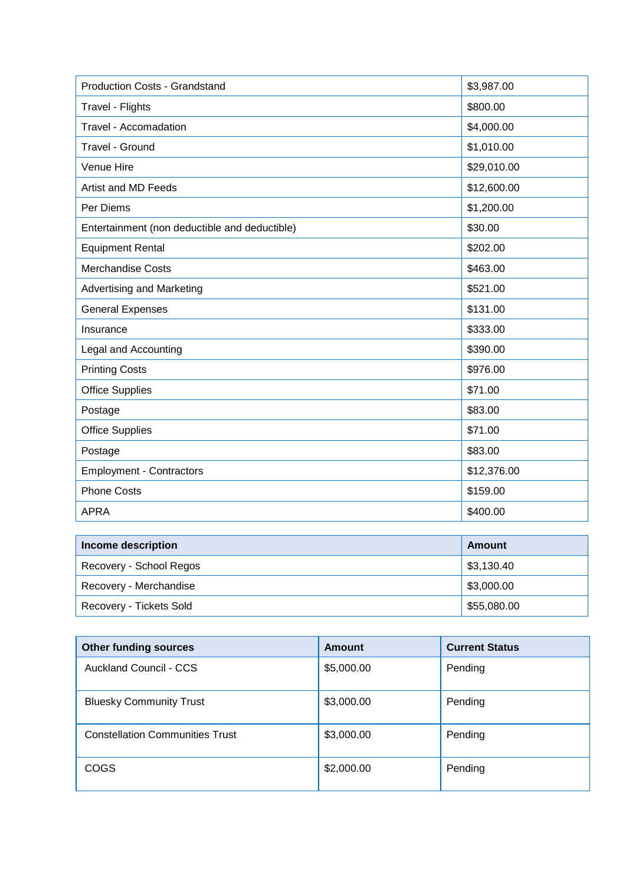| <b>Production Costs - Grandstand</b>          | \$3,987.00  |
|-----------------------------------------------|-------------|
| Travel - Flights                              | \$800.00    |
| Travel - Accomadation                         | \$4,000.00  |
| Travel - Ground                               | \$1,010.00  |
| Venue Hire                                    | \$29,010.00 |
| Artist and MD Feeds                           | \$12,600.00 |
| Per Diems                                     | \$1,200.00  |
| Entertainment (non deductible and deductible) | \$30.00     |
| <b>Equipment Rental</b>                       | \$202.00    |
| <b>Merchandise Costs</b>                      | \$463.00    |
| <b>Advertising and Marketing</b>              | \$521.00    |
| <b>General Expenses</b>                       | \$131.00    |
| Insurance                                     | \$333.00    |
| Legal and Accounting                          | \$390.00    |
| <b>Printing Costs</b>                         | \$976.00    |
| <b>Office Supplies</b>                        | \$71.00     |
| Postage                                       | \$83.00     |
| <b>Office Supplies</b>                        | \$71.00     |
| Postage                                       | \$83.00     |
| <b>Employment - Contractors</b>               | \$12,376.00 |
| <b>Phone Costs</b>                            | \$159.00    |
| <b>APRA</b>                                   | \$400.00    |
|                                               |             |

| Income description      | Amount      |
|-------------------------|-------------|
| Recovery - School Regos | \$3,130.40  |
| Recovery - Merchandise  | \$3,000.00  |
| Recovery - Tickets Sold | \$55,080.00 |

| <b>Other funding sources</b>           | Amount     | <b>Current Status</b> |
|----------------------------------------|------------|-----------------------|
| <b>Auckland Council - CCS</b>          | \$5,000.00 | Pending               |
| <b>Bluesky Community Trust</b>         | \$3,000.00 | Pending               |
| <b>Constellation Communities Trust</b> | \$3,000.00 | Pending               |
| COGS                                   | \$2,000.00 | Pending               |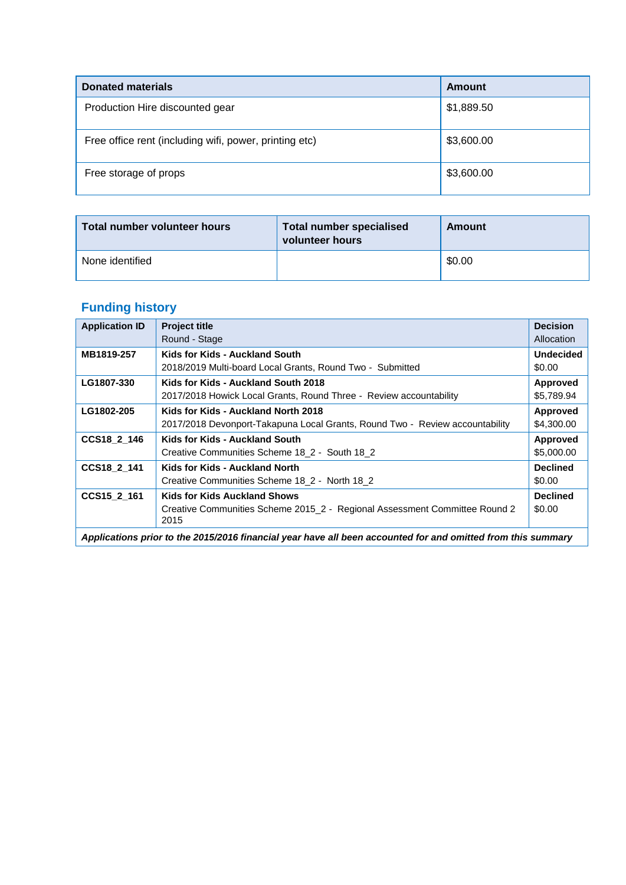| <b>Donated materials</b>                               | Amount     |
|--------------------------------------------------------|------------|
| Production Hire discounted gear                        | \$1,889.50 |
| Free office rent (including wifi, power, printing etc) | \$3,600.00 |
| Free storage of props                                  | \$3,600.00 |

| Total number volunteer hours | <b>Total number specialised</b><br>volunteer hours | Amount |
|------------------------------|----------------------------------------------------|--------|
| None identified              |                                                    | \$0.00 |

| <b>Application ID</b>                                                                                        | <b>Project title</b>                                                               | <b>Decision</b>  |
|--------------------------------------------------------------------------------------------------------------|------------------------------------------------------------------------------------|------------------|
|                                                                                                              | Round - Stage                                                                      | Allocation       |
| MB1819-257                                                                                                   | Kids for Kids - Auckland South                                                     | <b>Undecided</b> |
|                                                                                                              | 2018/2019 Multi-board Local Grants, Round Two - Submitted                          | \$0.00           |
| LG1807-330                                                                                                   | Kids for Kids - Auckland South 2018                                                | <b>Approved</b>  |
|                                                                                                              | 2017/2018 Howick Local Grants, Round Three - Review accountability                 | \$5,789.94       |
| LG1802-205                                                                                                   | Kids for Kids - Auckland North 2018                                                | Approved         |
|                                                                                                              | 2017/2018 Devonport-Takapuna Local Grants, Round Two - Review accountability       | \$4,300.00       |
| CCS18 2 146                                                                                                  | Kids for Kids - Auckland South                                                     | Approved         |
|                                                                                                              | Creative Communities Scheme 18_2 - South 18_2                                      | \$5,000.00       |
| CCS18 2 141                                                                                                  | Kids for Kids - Auckland North                                                     | <b>Declined</b>  |
|                                                                                                              | Creative Communities Scheme 18_2 - North 18_2                                      | \$0.00           |
| CCS15 2 161                                                                                                  | <b>Kids for Kids Auckland Shows</b>                                                | <b>Declined</b>  |
|                                                                                                              | Creative Communities Scheme 2015 2 - Regional Assessment Committee Round 2<br>2015 | \$0.00           |
| Applications prior to the 2015/2016 financial year have all been accounted for and omitted from this summary |                                                                                    |                  |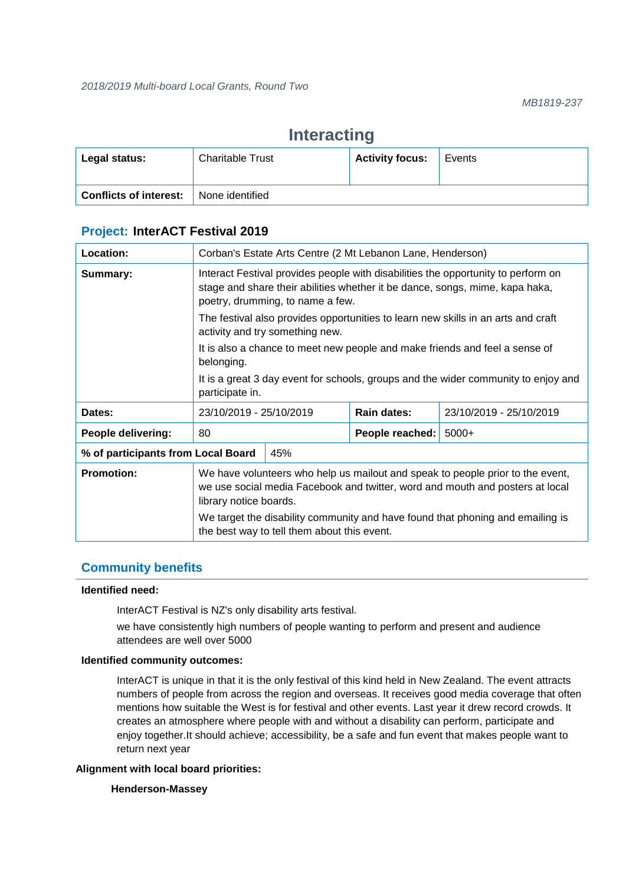# **Interacting**

| Legal status:                 | <b>Charitable Trust</b> | <b>Activity focus:</b> | Events |
|-------------------------------|-------------------------|------------------------|--------|
| <b>Conflicts of interest:</b> | None identified         |                        |        |

### **Project: InterACT Festival 2019**

| Location:                          | Corban's Estate Arts Centre (2 Mt Lebanon Lane, Henderson)                                                                                                                                                                                                                                                                 |  |                 |                                                                                    |
|------------------------------------|----------------------------------------------------------------------------------------------------------------------------------------------------------------------------------------------------------------------------------------------------------------------------------------------------------------------------|--|-----------------|------------------------------------------------------------------------------------|
| Summary:                           | Interact Festival provides people with disabilities the opportunity to perform on<br>stage and share their abilities whether it be dance, songs, mime, kapa haka,<br>poetry, drumming, to name a few.                                                                                                                      |  |                 |                                                                                    |
|                                    | The festival also provides opportunities to learn new skills in an arts and craft<br>activity and try something new.                                                                                                                                                                                                       |  |                 |                                                                                    |
|                                    | It is also a chance to meet new people and make friends and feel a sense of<br>belonging.                                                                                                                                                                                                                                  |  |                 |                                                                                    |
|                                    | participate in.                                                                                                                                                                                                                                                                                                            |  |                 | It is a great 3 day event for schools, groups and the wider community to enjoy and |
| Dates:                             | 23/10/2019 - 25/10/2019<br>Rain dates:<br>23/10/2019 - 25/10/2019                                                                                                                                                                                                                                                          |  |                 |                                                                                    |
| People delivering:                 | 80                                                                                                                                                                                                                                                                                                                         |  | People reached: | $5000+$                                                                            |
| % of participants from Local Board | 45%                                                                                                                                                                                                                                                                                                                        |  |                 |                                                                                    |
| <b>Promotion:</b>                  | We have volunteers who help us mailout and speak to people prior to the event,<br>we use social media Facebook and twitter, word and mouth and posters at local<br>library notice boards.<br>We target the disability community and have found that phoning and emailing is<br>the best way to tell them about this event. |  |                 |                                                                                    |

### **Community benefits**

### **Identified need:**

InterACT Festival is NZ's only disability arts festival.

we have consistently high numbers of people wanting to perform and present and audience attendees are well over 5000

### **Identified community outcomes:**

InterACT is unique in that it is the only festival of this kind held in New Zealand. The event attracts numbers of people from across the region and overseas. It receives good media coverage that often mentions how suitable the West is for festival and other events. Last year it drew record crowds. It creates an atmosphere where people with and without a disability can perform, participate and enjoy together.It should achieve; accessibility, be a safe and fun event that makes people want to return next year

### **Alignment with local board priorities:**

**Henderson-Massey**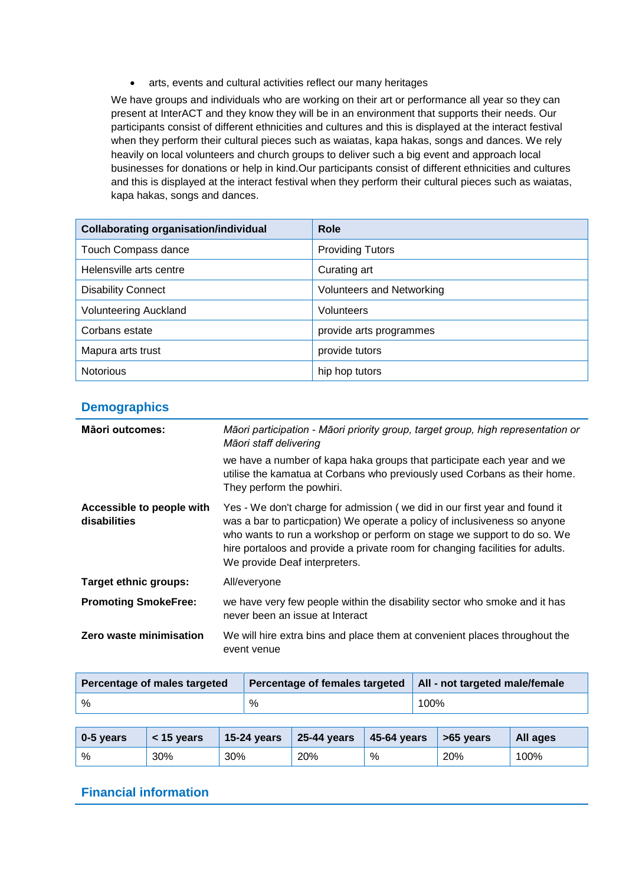• arts, events and cultural activities reflect our many heritages

We have groups and individuals who are working on their art or performance all year so they can present at InterACT and they know they will be in an environment that supports their needs. Our participants consist of different ethnicities and cultures and this is displayed at the interact festival when they perform their cultural pieces such as waiatas, kapa hakas, songs and dances. We rely heavily on local volunteers and church groups to deliver such a big event and approach local businesses for donations or help in kind.Our participants consist of different ethnicities and cultures and this is displayed at the interact festival when they perform their cultural pieces such as waiatas, kapa hakas, songs and dances.

| <b>Collaborating organisation/individual</b> | Role                             |
|----------------------------------------------|----------------------------------|
| Touch Compass dance                          | <b>Providing Tutors</b>          |
| Helensville arts centre                      | Curating art                     |
| <b>Disability Connect</b>                    | <b>Volunteers and Networking</b> |
| <b>Volunteering Auckland</b>                 | Volunteers                       |
| Corbans estate                               | provide arts programmes          |
| Mapura arts trust                            | provide tutors                   |
| <b>Notorious</b>                             | hip hop tutors                   |

### **Demographics**

| <b>Māori outcomes:</b>                    | Māori participation - Māori priority group, target group, high representation or<br>Māori staff delivering<br>we have a number of kapa haka groups that participate each year and we<br>utilise the kamatua at Corbans who previously used Corbans as their home.                                                                                    |
|-------------------------------------------|------------------------------------------------------------------------------------------------------------------------------------------------------------------------------------------------------------------------------------------------------------------------------------------------------------------------------------------------------|
|                                           | They perform the powhiri.                                                                                                                                                                                                                                                                                                                            |
| Accessible to people with<br>disabilities | Yes - We don't charge for admission (we did in our first year and found it<br>was a bar to particpation) We operate a policy of inclusiveness so anyone<br>who wants to run a workshop or perform on stage we support to do so. We<br>hire portaloos and provide a private room for changing facilities for adults.<br>We provide Deaf interpreters. |
| Target ethnic groups:                     | All/everyone                                                                                                                                                                                                                                                                                                                                         |
| <b>Promoting SmokeFree:</b>               | we have very few people within the disability sector who smoke and it has<br>never been an issue at Interact                                                                                                                                                                                                                                         |
| Zero waste minimisation                   | We will hire extra bins and place them at convenient places throughout the<br>event venue                                                                                                                                                                                                                                                            |

| Percentage of males targeted | Percentage of females targeted | All - not targeted male/female |
|------------------------------|--------------------------------|--------------------------------|
| %                            | %                              | 100%                           |

| $0-5$ years | $<$ 15 vears | 15-24 years | $\vert$ 25-44 years | $45-64$ years $\vert$ >65 years |     | All ages |
|-------------|--------------|-------------|---------------------|---------------------------------|-----|----------|
| %           | 30%          | 30%         | 20%                 | %                               | 20% | 100%     |

### **Financial information**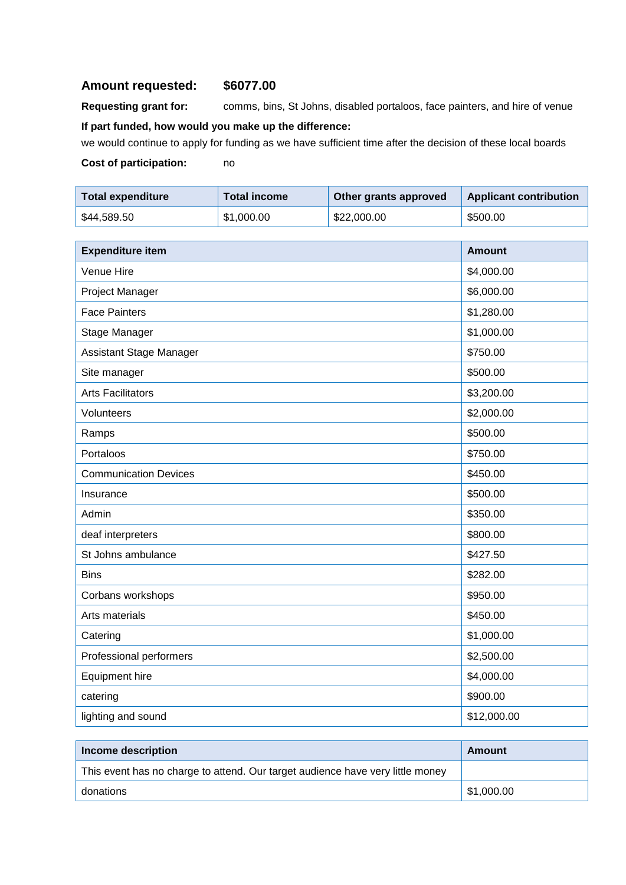### **Amount requested: \$6077.00**

**Requesting grant for:** comms, bins, St Johns, disabled portaloos, face painters, and hire of venue

### **If part funded, how would you make up the difference:**

we would continue to apply for funding as we have sufficient time after the decision of these local boards

**Cost of participation:** no

| Total expenditure | <b>Total income</b> | Other grants approved | <b>Applicant contribution</b> |
|-------------------|---------------------|-----------------------|-------------------------------|
| \$44,589.50       | \$1,000.00          | \$22,000.00           | \$500.00                      |

| <b>Expenditure item</b>      | <b>Amount</b> |
|------------------------------|---------------|
| Venue Hire                   | \$4,000.00    |
| Project Manager              | \$6,000.00    |
| <b>Face Painters</b>         | \$1,280.00    |
| Stage Manager                | \$1,000.00    |
| Assistant Stage Manager      | \$750.00      |
| Site manager                 | \$500.00      |
| <b>Arts Facilitators</b>     | \$3,200.00    |
| Volunteers                   | \$2,000.00    |
| Ramps                        | \$500.00      |
| Portaloos                    | \$750.00      |
| <b>Communication Devices</b> | \$450.00      |
| Insurance                    | \$500.00      |
| Admin                        | \$350.00      |
| deaf interpreters            | \$800.00      |
| St Johns ambulance           | \$427.50      |
| <b>Bins</b>                  | \$282.00      |
| Corbans workshops            | \$950.00      |
| Arts materials               | \$450.00      |
| Catering                     | \$1,000.00    |
| Professional performers      | \$2,500.00    |
| Equipment hire               | \$4,000.00    |
| catering                     | \$900.00      |
| lighting and sound           | \$12,000.00   |

| Income description                                                             | Amount     |
|--------------------------------------------------------------------------------|------------|
| This event has no charge to attend. Our target audience have very little money |            |
| donations                                                                      | \$1,000.00 |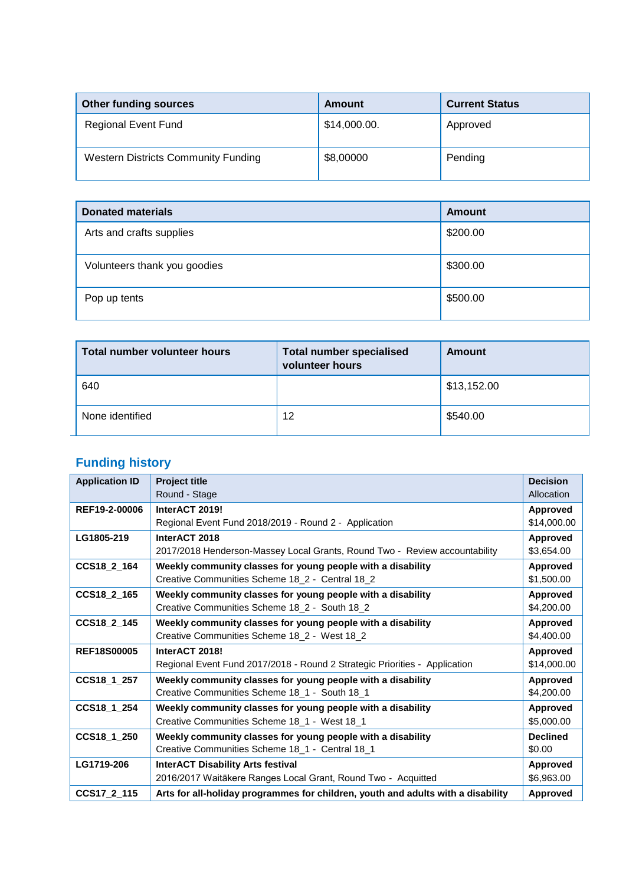| <b>Other funding sources</b>               | Amount       | <b>Current Status</b> |
|--------------------------------------------|--------------|-----------------------|
| <b>Regional Event Fund</b>                 | \$14,000.00. | Approved              |
| <b>Western Districts Community Funding</b> | \$8,00000    | Pending               |

| <b>Donated materials</b>     | <b>Amount</b> |
|------------------------------|---------------|
| Arts and crafts supplies     | \$200.00      |
| Volunteers thank you goodies | \$300.00      |
| Pop up tents                 | \$500.00      |

| Total number volunteer hours | <b>Total number specialised</b><br>volunteer hours | Amount      |
|------------------------------|----------------------------------------------------|-------------|
| 640                          |                                                    | \$13,152.00 |
| None identified              | 12                                                 | \$540.00    |

| <b>Application ID</b> | <b>Project title</b>                                                             | <b>Decision</b> |
|-----------------------|----------------------------------------------------------------------------------|-----------------|
|                       | Round - Stage                                                                    | Allocation      |
| REF19-2-00006         | InterACT 2019!                                                                   | <b>Approved</b> |
|                       | Regional Event Fund 2018/2019 - Round 2 - Application                            | \$14,000.00     |
| LG1805-219            | InterACT 2018                                                                    | Approved        |
|                       | 2017/2018 Henderson-Massey Local Grants, Round Two - Review accountability       | \$3.654.00      |
| CCS18_2_164           | Weekly community classes for young people with a disability                      | <b>Approved</b> |
|                       | Creative Communities Scheme 18_2 - Central 18_2                                  | \$1,500.00      |
| CCS18_2_165           | Weekly community classes for young people with a disability                      | <b>Approved</b> |
|                       | Creative Communities Scheme 18_2 - South 18_2                                    | \$4,200.00      |
| CCS18_2_145           | Weekly community classes for young people with a disability                      | <b>Approved</b> |
|                       | Creative Communities Scheme 18_2 - West 18_2                                     | \$4,400.00      |
| <b>REF18S00005</b>    | InterACT 2018!                                                                   | <b>Approved</b> |
|                       | Regional Event Fund 2017/2018 - Round 2 Strategic Priorities - Application       | \$14,000.00     |
| CCS18_1_257           | Weekly community classes for young people with a disability                      | <b>Approved</b> |
|                       | Creative Communities Scheme 18_1 - South 18_1                                    | \$4,200.00      |
| CCS18_1_254           | Weekly community classes for young people with a disability                      | <b>Approved</b> |
|                       | Creative Communities Scheme 18_1 - West 18_1                                     | \$5,000.00      |
| CCS18_1_250           | Weekly community classes for young people with a disability                      | <b>Declined</b> |
|                       | Creative Communities Scheme 18_1 - Central 18_1                                  | \$0.00          |
| LG1719-206            | <b>InterACT Disability Arts festival</b>                                         | <b>Approved</b> |
|                       | 2016/2017 Waitākere Ranges Local Grant, Round Two - Acquitted                    | \$6,963.00      |
| CCS17_2_115           | Arts for all-holiday programmes for children, youth and adults with a disability | <b>Approved</b> |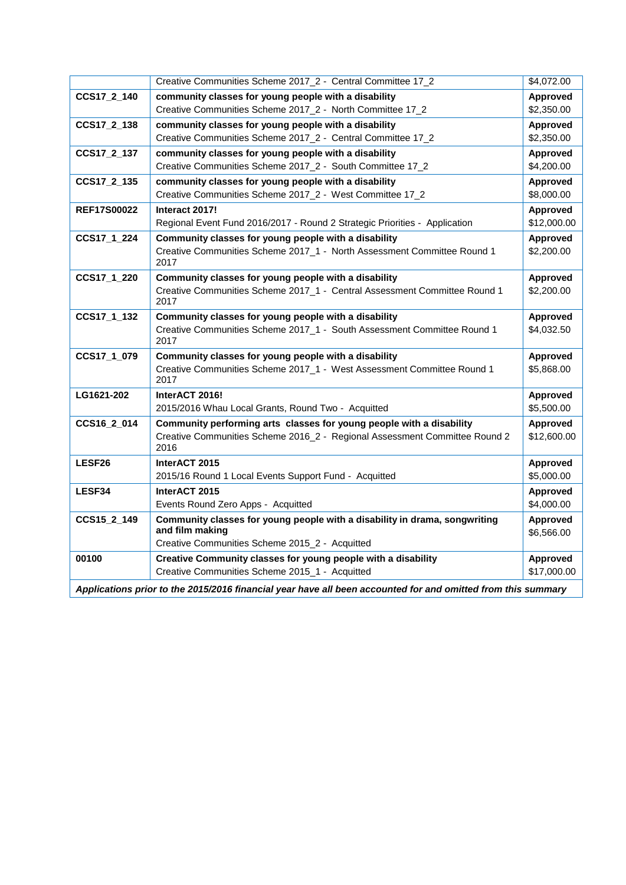|                                                                                                              | Creative Communities Scheme 2017_2 - Central Committee 17_2                        | \$4,072.00      |  |
|--------------------------------------------------------------------------------------------------------------|------------------------------------------------------------------------------------|-----------------|--|
| CCS17 2 140                                                                                                  | community classes for young people with a disability                               | <b>Approved</b> |  |
|                                                                                                              | Creative Communities Scheme 2017_2 - North Committee 17_2                          | \$2,350.00      |  |
| CCS17 2 138                                                                                                  | community classes for young people with a disability                               | <b>Approved</b> |  |
|                                                                                                              | Creative Communities Scheme 2017_2 - Central Committee 17_2                        | \$2,350.00      |  |
| CCS17_2_137                                                                                                  | community classes for young people with a disability                               | <b>Approved</b> |  |
|                                                                                                              | Creative Communities Scheme 2017_2 - South Committee 17_2                          | \$4,200.00      |  |
| CCS17_2_135                                                                                                  | community classes for young people with a disability                               | <b>Approved</b> |  |
|                                                                                                              | Creative Communities Scheme 2017_2 - West Committee 17_2                           | \$8,000.00      |  |
| <b>REF17S00022</b>                                                                                           | Interact 2017!                                                                     | <b>Approved</b> |  |
|                                                                                                              | Regional Event Fund 2016/2017 - Round 2 Strategic Priorities - Application         | \$12,000.00     |  |
| CCS17_1_224                                                                                                  | Community classes for young people with a disability                               | <b>Approved</b> |  |
|                                                                                                              | Creative Communities Scheme 2017_1 - North Assessment Committee Round 1            | \$2,200.00      |  |
|                                                                                                              | 2017                                                                               |                 |  |
| CCS17_1_220                                                                                                  | Community classes for young people with a disability                               | <b>Approved</b> |  |
|                                                                                                              | Creative Communities Scheme 2017_1 - Central Assessment Committee Round 1<br>2017  | \$2,200.00      |  |
| CCS17_1_132                                                                                                  | Community classes for young people with a disability                               | <b>Approved</b> |  |
|                                                                                                              | Creative Communities Scheme 2017_1 - South Assessment Committee Round 1<br>2017    | \$4,032.50      |  |
| CCS17_1_079                                                                                                  | Community classes for young people with a disability                               | Approved        |  |
|                                                                                                              | Creative Communities Scheme 2017_1 - West Assessment Committee Round 1<br>2017     | \$5,868.00      |  |
| LG1621-202                                                                                                   | InterACT 2016!                                                                     | <b>Approved</b> |  |
|                                                                                                              | 2015/2016 Whau Local Grants, Round Two - Acquitted                                 | \$5,500.00      |  |
| CCS16 2 014                                                                                                  | Community performing arts classes for young people with a disability               | Approved        |  |
|                                                                                                              | Creative Communities Scheme 2016_2 - Regional Assessment Committee Round 2<br>2016 | \$12,600.00     |  |
| LESF26                                                                                                       | InterACT 2015                                                                      | <b>Approved</b> |  |
|                                                                                                              | 2015/16 Round 1 Local Events Support Fund - Acquitted                              | \$5,000.00      |  |
| LESF34                                                                                                       | InterACT 2015                                                                      | Approved        |  |
|                                                                                                              | Events Round Zero Apps - Acquitted                                                 | \$4,000.00      |  |
| CCS15_2_149                                                                                                  | Community classes for young people with a disability in drama, songwriting         | Approved        |  |
|                                                                                                              | and film making                                                                    | \$6,566.00      |  |
|                                                                                                              | Creative Communities Scheme 2015_2 - Acquitted                                     |                 |  |
| 00100                                                                                                        | Creative Community classes for young people with a disability                      | Approved        |  |
|                                                                                                              | Creative Communities Scheme 2015_1 - Acquitted                                     | \$17,000.00     |  |
| Applications prior to the 2015/2016 financial year have all been accounted for and omitted from this summary |                                                                                    |                 |  |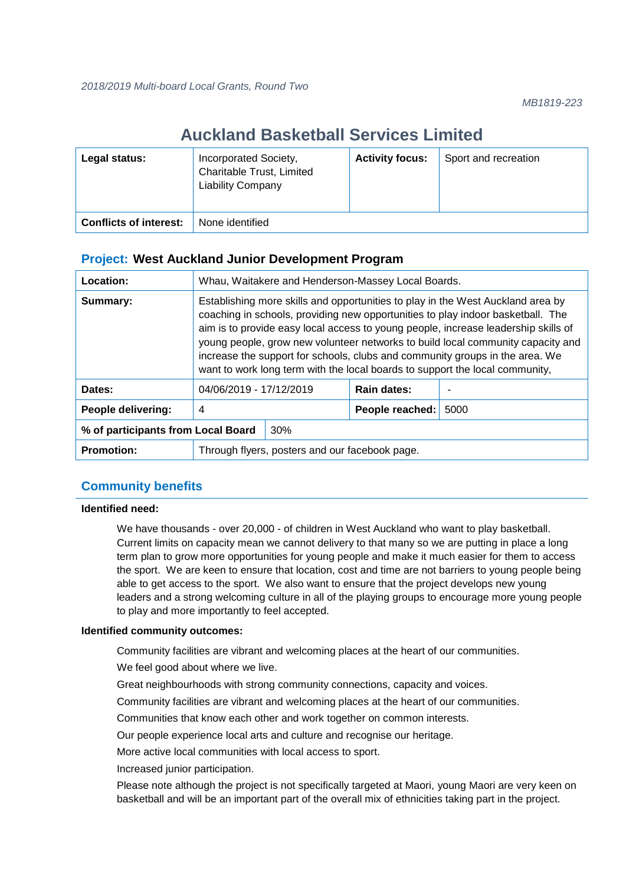# **Auckland Basketball Services Limited**

| Legal status:                 | Incorporated Society,<br>Charitable Trust, Limited<br><b>Liability Company</b> | <b>Activity focus:</b> | Sport and recreation |
|-------------------------------|--------------------------------------------------------------------------------|------------------------|----------------------|
| <b>Conflicts of interest:</b> | None identified                                                                |                        |                      |

### **Project: West Auckland Junior Development Program**

| Location:                          | Whau, Waitakere and Henderson-Massey Local Boards.                                                                                                                                                                                                                                                                                                                                                                                                                                                          |                                                |             |  |  |
|------------------------------------|-------------------------------------------------------------------------------------------------------------------------------------------------------------------------------------------------------------------------------------------------------------------------------------------------------------------------------------------------------------------------------------------------------------------------------------------------------------------------------------------------------------|------------------------------------------------|-------------|--|--|
| Summary:                           | Establishing more skills and opportunities to play in the West Auckland area by<br>coaching in schools, providing new opportunities to play indoor basketball. The<br>aim is to provide easy local access to young people, increase leadership skills of<br>young people, grow new volunteer networks to build local community capacity and<br>increase the support for schools, clubs and community groups in the area. We<br>want to work long term with the local boards to support the local community, |                                                |             |  |  |
| Dates:                             | 04/06/2019 - 17/12/2019                                                                                                                                                                                                                                                                                                                                                                                                                                                                                     |                                                | Rain dates: |  |  |
| People delivering:                 | 4                                                                                                                                                                                                                                                                                                                                                                                                                                                                                                           | People reached:<br>5000                        |             |  |  |
| % of participants from Local Board |                                                                                                                                                                                                                                                                                                                                                                                                                                                                                                             | 30%                                            |             |  |  |
| <b>Promotion:</b>                  |                                                                                                                                                                                                                                                                                                                                                                                                                                                                                                             | Through flyers, posters and our facebook page. |             |  |  |

### **Community benefits**

### **Identified need:**

We have thousands - over 20,000 - of children in West Auckland who want to play basketball. Current limits on capacity mean we cannot delivery to that many so we are putting in place a long term plan to grow more opportunities for young people and make it much easier for them to access the sport. We are keen to ensure that location, cost and time are not barriers to young people being able to get access to the sport. We also want to ensure that the project develops new young leaders and a strong welcoming culture in all of the playing groups to encourage more young people to play and more importantly to feel accepted.

### **Identified community outcomes:**

Community facilities are vibrant and welcoming places at the heart of our communities.

We feel good about where we live.

Great neighbourhoods with strong community connections, capacity and voices.

Community facilities are vibrant and welcoming places at the heart of our communities.

Communities that know each other and work together on common interests.

Our people experience local arts and culture and recognise our heritage.

More active local communities with local access to sport.

Increased junior participation.

Please note although the project is not specifically targeted at Maori, young Maori are very keen on basketball and will be an important part of the overall mix of ethnicities taking part in the project.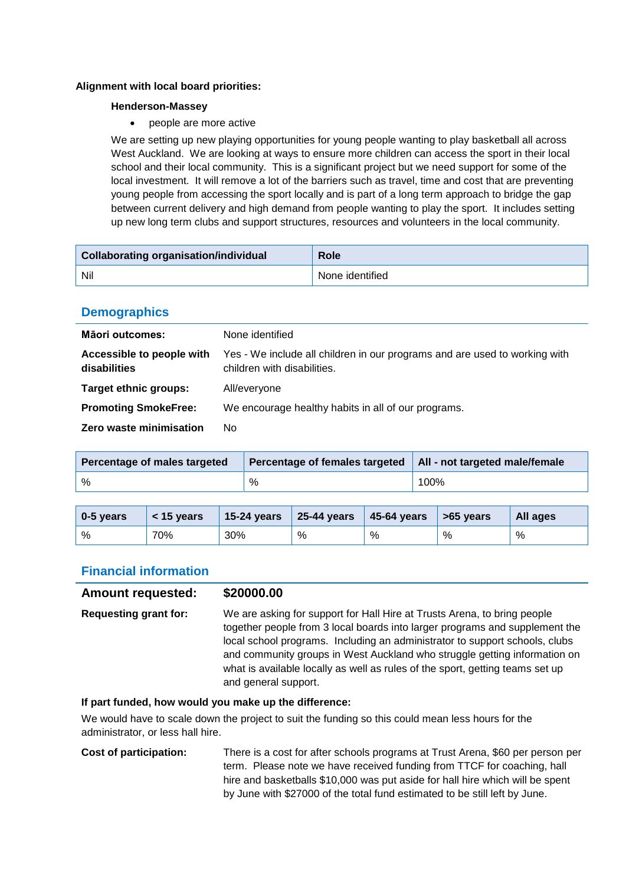### **Alignment with local board priorities:**

### **Henderson-Massey**

• people are more active

We are setting up new playing opportunities for young people wanting to play basketball all across West Auckland. We are looking at ways to ensure more children can access the sport in their local school and their local community. This is a significant project but we need support for some of the local investment. It will remove a lot of the barriers such as travel, time and cost that are preventing young people from accessing the sport locally and is part of a long term approach to bridge the gap between current delivery and high demand from people wanting to play the sport. It includes setting up new long term clubs and support structures, resources and volunteers in the local community.

| <b>Collaborating organisation/individual</b> | <b>Role</b>     |
|----------------------------------------------|-----------------|
| Nil                                          | None identified |

# **Demographics**

| <b>Māori outcomes:</b>                    | None identified                                                                                           |
|-------------------------------------------|-----------------------------------------------------------------------------------------------------------|
| Accessible to people with<br>disabilities | Yes - We include all children in our programs and are used to working with<br>children with disabilities. |
| <b>Target ethnic groups:</b>              | All/everyone                                                                                              |
| <b>Promoting SmokeFree:</b>               | We encourage healthy habits in all of our programs.                                                       |
| Zero waste minimisation                   | No.                                                                                                       |

| Percentage of males targeted | Percentage of females targeted   All - not targeted male/female |      |
|------------------------------|-----------------------------------------------------------------|------|
| %                            | %                                                               | 100% |

| 0-5 years | $<$ 15 vears | 15-24 years | $\vert$ 25-44 years | $\vert$ 45-64 years $\vert$ >65 years |   | All ages |
|-----------|--------------|-------------|---------------------|---------------------------------------|---|----------|
| %         | 70%          | 30%         | %                   | %                                     | % | %        |

# **Financial information**

# **Amount requested: \$20000.00 Requesting grant for:** We are asking for support for Hall Hire at Trusts Arena, to bring people together people from 3 local boards into larger programs and supplement the local school programs. Including an administrator to support schools, clubs and community groups in West Auckland who struggle getting information on what is available locally as well as rules of the sport, getting teams set up and general support.

### **If part funded, how would you make up the difference:**

We would have to scale down the project to suit the funding so this could mean less hours for the administrator, or less hall hire.

### **Cost of participation:** There is a cost for after schools programs at Trust Arena, \$60 per person per term. Please note we have received funding from TTCF for coaching, hall hire and basketballs \$10,000 was put aside for hall hire which will be spent by June with \$27000 of the total fund estimated to be still left by June.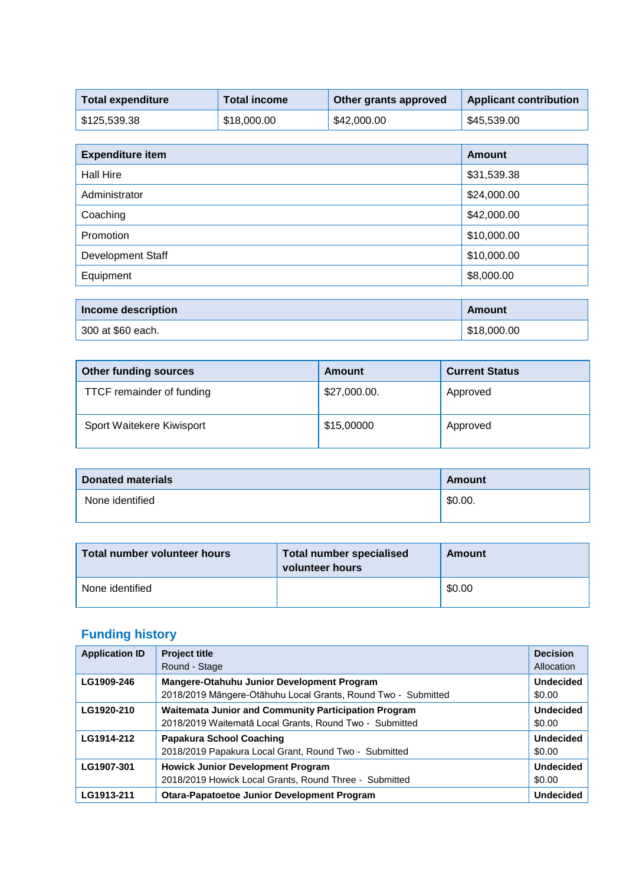| <b>Total expenditure</b> | Total income | Other grants approved | <b>Applicant contribution</b> |
|--------------------------|--------------|-----------------------|-------------------------------|
| \$125,539.38             | \$18,000.00  | \$42,000.00           | \$45,539.00                   |

| <b>Expenditure item</b> | <b>Amount</b> |
|-------------------------|---------------|
| <b>Hall Hire</b>        | \$31,539.38   |
| Administrator           | \$24,000.00   |
| Coaching                | \$42,000.00   |
| Promotion               | \$10,000.00   |
| Development Staff       | \$10,000.00   |
| Equipment               | \$8,000.00    |

| Income description | Amount      |
|--------------------|-------------|
| 300 at \$60 each.  | \$18,000.00 |

| <b>Other funding sources</b>     | Amount       | <b>Current Status</b> |
|----------------------------------|--------------|-----------------------|
| <b>TTCF</b> remainder of funding | \$27,000.00. | Approved              |
| Sport Waitekere Kiwisport        | \$15,00000   | Approved              |

| <b>Donated materials</b> | Amount                |
|--------------------------|-----------------------|
| None identified          | $\frac{1}{2}$ \$0.00. |

| Total number volunteer hours | <b>Total number specialised</b><br>volunteer hours | Amount |
|------------------------------|----------------------------------------------------|--------|
| None identified              |                                                    | \$0.00 |

# **Funding history**

| <b>Application ID</b> | <b>Project title</b><br>Round - Stage                                                                                  | <b>Decision</b><br>Allocation |
|-----------------------|------------------------------------------------------------------------------------------------------------------------|-------------------------------|
| LG1909-246            | Mangere-Otahuhu Junior Development Program<br>2018/2019 Mängere-Otähuhu Local Grants, Round Two - Submitted            | <b>Undecided</b><br>\$0.00    |
| LG1920-210            | <b>Waitemata Junior and Community Participation Program</b><br>2018/2019 Waitematā Local Grants, Round Two - Submitted | <b>Undecided</b><br>\$0.00    |
| LG1914-212            | Papakura School Coaching<br>2018/2019 Papakura Local Grant, Round Two - Submitted                                      | <b>Undecided</b><br>\$0.00    |
| LG1907-301            | <b>Howick Junior Development Program</b><br>2018/2019 Howick Local Grants, Round Three - Submitted                     | <b>Undecided</b><br>\$0.00    |
| LG1913-211            | <b>Otara-Papatoetoe Junior Development Program</b>                                                                     | <b>Undecided</b>              |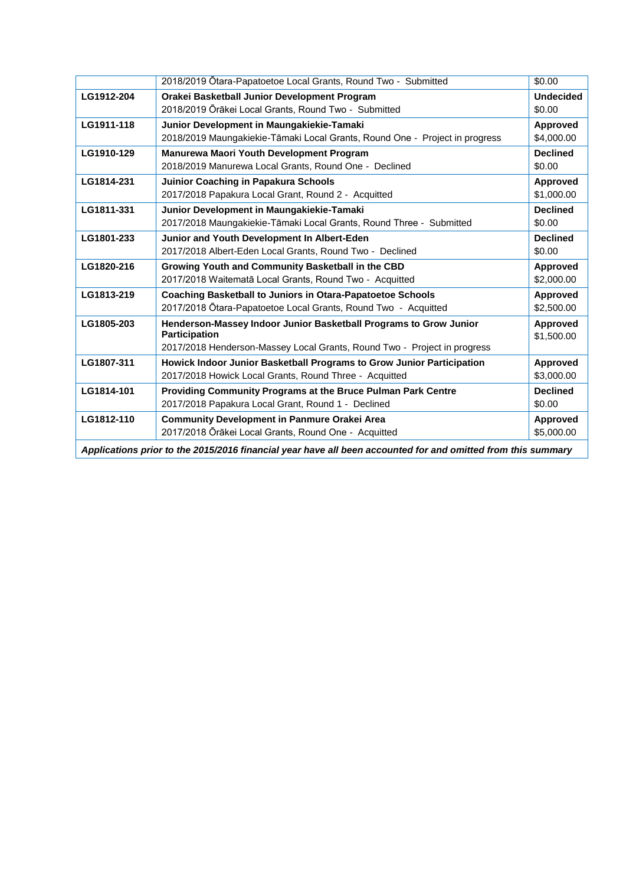|            | 2018/2019 Ōtara-Papatoetoe Local Grants, Round Two - Submitted                                               | \$0.00           |
|------------|--------------------------------------------------------------------------------------------------------------|------------------|
| LG1912-204 | Orakei Basketball Junior Development Program                                                                 | <b>Undecided</b> |
|            | 2018/2019 Ōrākei Local Grants, Round Two - Submitted                                                         | \$0.00           |
| LG1911-118 | Junior Development in Maungakiekie-Tamaki                                                                    | Approved         |
|            | 2018/2019 Maungakiekie-Tāmaki Local Grants, Round One - Project in progress                                  | \$4,000.00       |
| LG1910-129 | <b>Manurewa Maori Youth Development Program</b>                                                              | <b>Declined</b>  |
|            | 2018/2019 Manurewa Local Grants, Round One - Declined                                                        | \$0.00           |
| LG1814-231 | Juinior Coaching in Papakura Schools                                                                         | Approved         |
|            | 2017/2018 Papakura Local Grant, Round 2 - Acquitted                                                          | \$1,000.00       |
| LG1811-331 | Junior Development in Maungakiekie-Tamaki                                                                    | <b>Declined</b>  |
|            | 2017/2018 Maungakiekie-Tāmaki Local Grants, Round Three - Submitted                                          | \$0.00           |
| LG1801-233 | Junior and Youth Development In Albert-Eden                                                                  | <b>Declined</b>  |
|            | 2017/2018 Albert-Eden Local Grants, Round Two - Declined                                                     | \$0.00           |
| LG1820-216 | Growing Youth and Community Basketball in the CBD                                                            | Approved         |
|            | 2017/2018 Waitematā Local Grants, Round Two - Acquitted                                                      | \$2,000.00       |
| LG1813-219 | <b>Coaching Basketball to Juniors in Otara-Papatoetoe Schools</b>                                            | Approved         |
|            | 2017/2018 Otara-Papatoetoe Local Grants, Round Two - Acquitted                                               | \$2,500.00       |
| LG1805-203 | Henderson-Massey Indoor Junior Basketball Programs to Grow Junior                                            | Approved         |
|            | <b>Participation</b>                                                                                         | \$1,500.00       |
|            | 2017/2018 Henderson-Massey Local Grants, Round Two - Project in progress                                     |                  |
| LG1807-311 | Howick Indoor Junior Basketball Programs to Grow Junior Participation                                        | Approved         |
|            | 2017/2018 Howick Local Grants, Round Three - Acquitted                                                       | \$3,000.00       |
| LG1814-101 | Providing Community Programs at the Bruce Pulman Park Centre                                                 | <b>Declined</b>  |
|            | 2017/2018 Papakura Local Grant, Round 1 - Declined                                                           | \$0.00           |
| LG1812-110 | <b>Community Development in Panmure Orakei Area</b>                                                          | Approved         |
|            | 2017/2018 Ōrākei Local Grants, Round One - Acquitted                                                         | \$5,000.00       |
|            | Applications prior to the 2015/2016 financial year have all been accounted for and omitted from this summary |                  |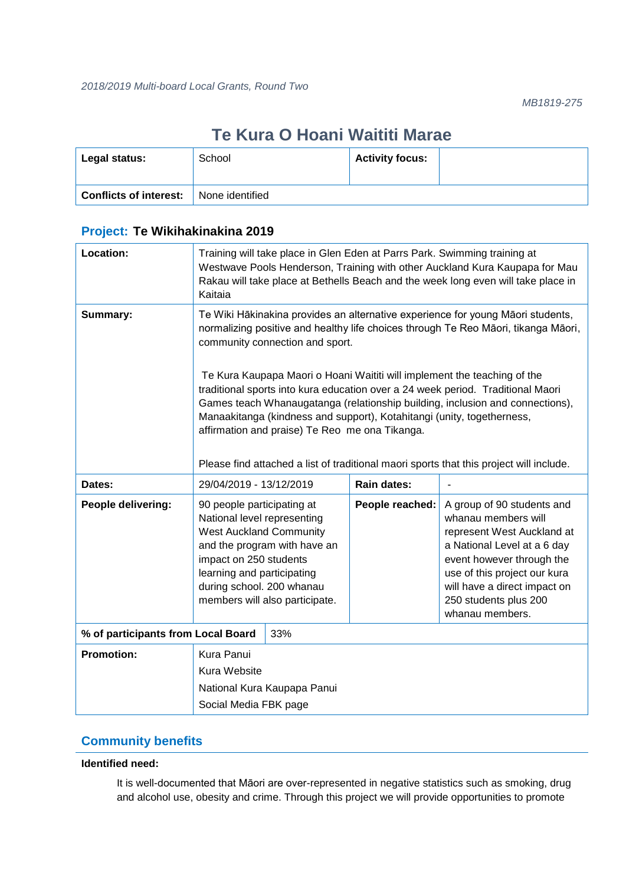# **Te Kura O Hoani Waititi Marae**

| Legal status:                 | School          | <b>Activity focus:</b> |  |
|-------------------------------|-----------------|------------------------|--|
| <b>Conflicts of interest:</b> | None identified |                        |  |

| Location:                          | Training will take place in Glen Eden at Parrs Park. Swimming training at<br>Westwave Pools Henderson, Training with other Auckland Kura Kaupapa for Mau<br>Rakau will take place at Bethells Beach and the week long even will take place in<br>Kaitaia                                                                                                                                                                                                                                                                                                                                                                                                                        |                             |                    |                                                                                                                                                                                                                                                         |
|------------------------------------|---------------------------------------------------------------------------------------------------------------------------------------------------------------------------------------------------------------------------------------------------------------------------------------------------------------------------------------------------------------------------------------------------------------------------------------------------------------------------------------------------------------------------------------------------------------------------------------------------------------------------------------------------------------------------------|-----------------------------|--------------------|---------------------------------------------------------------------------------------------------------------------------------------------------------------------------------------------------------------------------------------------------------|
| Summary:                           | Te Wiki Hākinakina provides an alternative experience for young Māori students,<br>normalizing positive and healthy life choices through Te Reo Māori, tikanga Māori,<br>community connection and sport.<br>Te Kura Kaupapa Maori o Hoani Waititi will implement the teaching of the<br>traditional sports into kura education over a 24 week period. Traditional Maori<br>Games teach Whanaugatanga (relationship building, inclusion and connections),<br>Manaakitanga (kindness and support), Kotahitangi (unity, togetherness,<br>affirmation and praise) Te Reo me ona Tikanga.<br>Please find attached a list of traditional maori sports that this project will include. |                             |                    |                                                                                                                                                                                                                                                         |
| Dates:                             | 29/04/2019 - 13/12/2019                                                                                                                                                                                                                                                                                                                                                                                                                                                                                                                                                                                                                                                         |                             | <b>Rain dates:</b> |                                                                                                                                                                                                                                                         |
| People delivering:                 | 90 people participating at<br>National level representing<br><b>West Auckland Community</b><br>and the program with have an<br>impact on 250 students<br>learning and participating<br>during school. 200 whanau<br>members will also participate.                                                                                                                                                                                                                                                                                                                                                                                                                              |                             | People reached:    | A group of 90 students and<br>whanau members will<br>represent West Auckland at<br>a National Level at a 6 day<br>event however through the<br>use of this project our kura<br>will have a direct impact on<br>250 students plus 200<br>whanau members. |
| % of participants from Local Board | 33%                                                                                                                                                                                                                                                                                                                                                                                                                                                                                                                                                                                                                                                                             |                             |                    |                                                                                                                                                                                                                                                         |
| <b>Promotion:</b>                  | Kura Panui<br>Kura Website<br>Social Media FBK page                                                                                                                                                                                                                                                                                                                                                                                                                                                                                                                                                                                                                             | National Kura Kaupapa Panui |                    |                                                                                                                                                                                                                                                         |

# **Project: Te Wikihakinakina 2019**

# **Community benefits**

### **Identified need:**

It is well-documented that Māori are over-represented in negative statistics such as smoking, drug and alcohol use, obesity and crime. Through this project we will provide opportunities to promote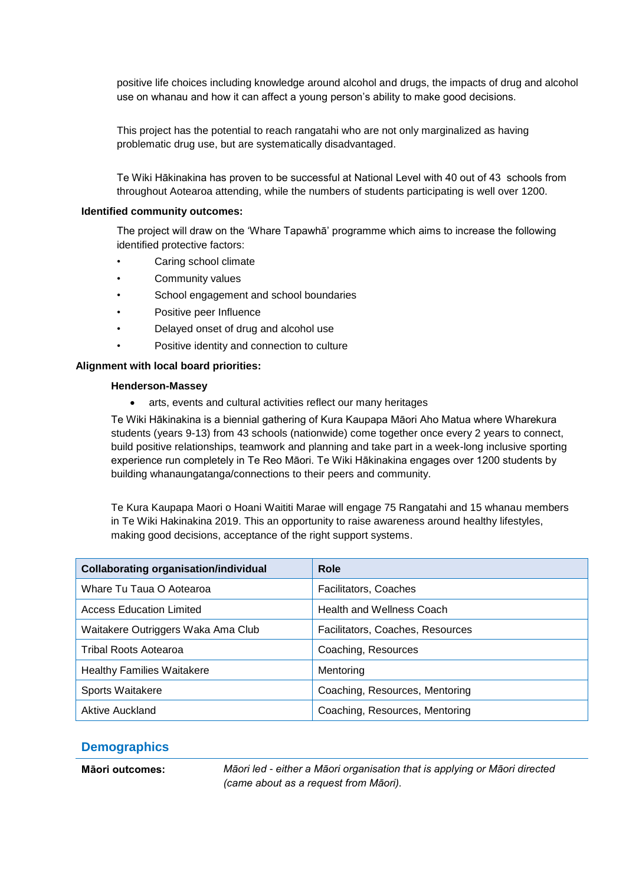positive life choices including knowledge around alcohol and drugs, the impacts of drug and alcohol use on whanau and how it can affect a young person's ability to make good decisions.

This project has the potential to reach rangatahi who are not only marginalized as having problematic drug use, but are systematically disadvantaged.

Te Wiki Hākinakina has proven to be successful at National Level with 40 out of 43 schools from throughout Aotearoa attending, while the numbers of students participating is well over 1200.

#### **Identified community outcomes:**

The project will draw on the 'Whare Tapawhā' programme which aims to increase the following identified protective factors:

- Caring school climate
- Community values
- School engagement and school boundaries
- Positive peer Influence
- Delayed onset of drug and alcohol use
- Positive identity and connection to culture

### **Alignment with local board priorities:**

#### **Henderson-Massey**

• arts, events and cultural activities reflect our many heritages

Te Wiki Hākinakina is a biennial gathering of Kura Kaupapa Māori Aho Matua where Wharekura students (years 9-13) from 43 schools (nationwide) come together once every 2 years to connect, build positive relationships, teamwork and planning and take part in a week-long inclusive sporting experience run completely in Te Reo Māori. Te Wiki Hākinakina engages over 1200 students by building whanaungatanga/connections to their peers and community.

Te Kura Kaupapa Maori o Hoani Waititi Marae will engage 75 Rangatahi and 15 whanau members in Te Wiki Hakinakina 2019. This an opportunity to raise awareness around healthy lifestyles, making good decisions, acceptance of the right support systems.

| <b>Collaborating organisation/individual</b> | Role                             |
|----------------------------------------------|----------------------------------|
| Whare Tu Taua O Aotearoa                     | <b>Facilitators, Coaches</b>     |
| <b>Access Education Limited</b>              | <b>Health and Wellness Coach</b> |
| Waitakere Outriggers Waka Ama Club           | Facilitators, Coaches, Resources |
| Tribal Roots Aotearoa                        | Coaching, Resources              |
| <b>Healthy Families Waitakere</b>            | Mentoring                        |
| Sports Waitakere                             | Coaching, Resources, Mentoring   |
| Aktive Auckland                              | Coaching, Resources, Mentoring   |

### **Demographics**

**Māori outcomes:** *Māori led - either a Māori organisation that is applying or Māori directed (came about as a request from Māori).*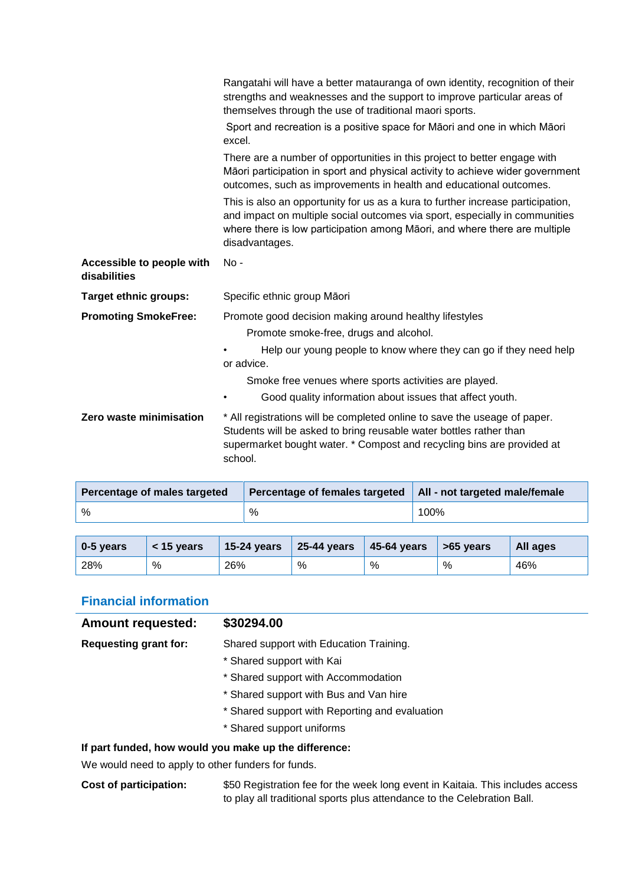|                                           | Rangatahi will have a better matauranga of own identity, recognition of their<br>strengths and weaknesses and the support to improve particular areas of<br>themselves through the use of traditional maori sports.                                            |
|-------------------------------------------|----------------------------------------------------------------------------------------------------------------------------------------------------------------------------------------------------------------------------------------------------------------|
|                                           | Sport and recreation is a positive space for Māori and one in which Māori<br>excel.                                                                                                                                                                            |
|                                           | There are a number of opportunities in this project to better engage with<br>Māori participation in sport and physical activity to achieve wider government<br>outcomes, such as improvements in health and educational outcomes.                              |
|                                           | This is also an opportunity for us as a kura to further increase participation,<br>and impact on multiple social outcomes via sport, especially in communities<br>where there is low participation among Maori, and where there are multiple<br>disadvantages. |
| Accessible to people with<br>disabilities | $No -$                                                                                                                                                                                                                                                         |
| Target ethnic groups:                     | Specific ethnic group Māori                                                                                                                                                                                                                                    |
| <b>Promoting SmokeFree:</b>               | Promote good decision making around healthy lifestyles                                                                                                                                                                                                         |
|                                           | Promote smoke-free, drugs and alcohol.                                                                                                                                                                                                                         |
|                                           | Help our young people to know where they can go if they need help<br>or advice.                                                                                                                                                                                |
|                                           | Smoke free venues where sports activities are played.                                                                                                                                                                                                          |
|                                           | Good quality information about issues that affect youth.                                                                                                                                                                                                       |
| Zero waste minimisation                   | * All registrations will be completed online to save the useage of paper.<br>Students will be asked to bring reusable water bottles rather than<br>supermarket bought water. * Compost and recycling bins are provided at<br>school.                           |

| Percentage of males targeted | Percentage of females targeted   All - not targeted male/female |      |
|------------------------------|-----------------------------------------------------------------|------|
| %                            | %                                                               | 100% |

| $0-5$ years | $\vert$ < 15 vears | 15-24 years   25-44 years   45-64 years   >65 years |   |   |   | All ages |
|-------------|--------------------|-----------------------------------------------------|---|---|---|----------|
| 28%         | %                  | 26%                                                 | % | % | % | 46%      |

## **Financial information**

| <b>Amount requested:</b>                              | \$30294.00                                                                     |
|-------------------------------------------------------|--------------------------------------------------------------------------------|
| <b>Requesting grant for:</b>                          | Shared support with Education Training.                                        |
|                                                       | * Shared support with Kai                                                      |
|                                                       | * Shared support with Accommodation                                            |
|                                                       | * Shared support with Bus and Van hire                                         |
|                                                       | * Shared support with Reporting and evaluation                                 |
|                                                       | * Shared support uniforms                                                      |
| If part funded, how would you make up the difference: |                                                                                |
| We would need to apply to other funders for funds.    |                                                                                |
| <b>Cost of participation:</b>                         | \$50 Registration fee for the week long event in Kaitaia. This includes access |

to play all traditional sports plus attendance to the Celebration Ball.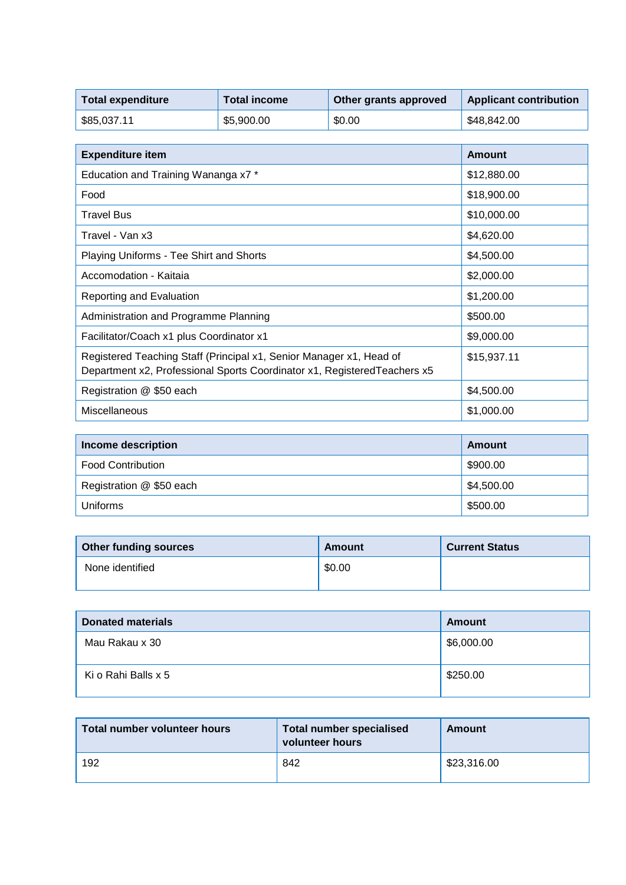| <b>Total expenditure</b> | Total income | Other grants approved | <b>Applicant contribution</b> |
|--------------------------|--------------|-----------------------|-------------------------------|
| \$85,037.11              | \$5,900.00   | \$0.00                | \$48,842.00                   |

| <b>Expenditure item</b>                                                                                                                          | Amount      |
|--------------------------------------------------------------------------------------------------------------------------------------------------|-------------|
| Education and Training Wananga x7 *                                                                                                              | \$12,880.00 |
| Food                                                                                                                                             | \$18,900.00 |
| Travel Bus                                                                                                                                       | \$10,000.00 |
| Travel - Van x3                                                                                                                                  | \$4,620.00  |
| Playing Uniforms - Tee Shirt and Shorts                                                                                                          | \$4,500.00  |
| Accomodation - Kaitaia                                                                                                                           | \$2,000.00  |
| Reporting and Evaluation                                                                                                                         | \$1,200.00  |
| Administration and Programme Planning                                                                                                            | \$500.00    |
| Facilitator/Coach x1 plus Coordinator x1                                                                                                         | \$9,000.00  |
| Registered Teaching Staff (Principal x1, Senior Manager x1, Head of<br>Department x2, Professional Sports Coordinator x1, Registered Teachers x5 | \$15,937.11 |
| Registration @ \$50 each                                                                                                                         | \$4,500.00  |
| Miscellaneous                                                                                                                                    | \$1,000.00  |

| Income description       | Amount     |
|--------------------------|------------|
| <b>Food Contribution</b> | \$900.00   |
| Registration @ \$50 each | \$4,500.00 |
| Uniforms                 | \$500.00   |

| <b>Other funding sources</b> | Amount | <b>Current Status</b> |
|------------------------------|--------|-----------------------|
| None identified              | \$0.00 |                       |

| <b>Donated materials</b> | Amount     |
|--------------------------|------------|
| Mau Rakau x 30           | \$6,000.00 |
| Ki o Rahi Balls x 5      | \$250.00   |

| Total number volunteer hours | <b>Total number specialised</b><br>volunteer hours | <b>Amount</b> |
|------------------------------|----------------------------------------------------|---------------|
| 192                          | 842                                                | \$23,316.00   |